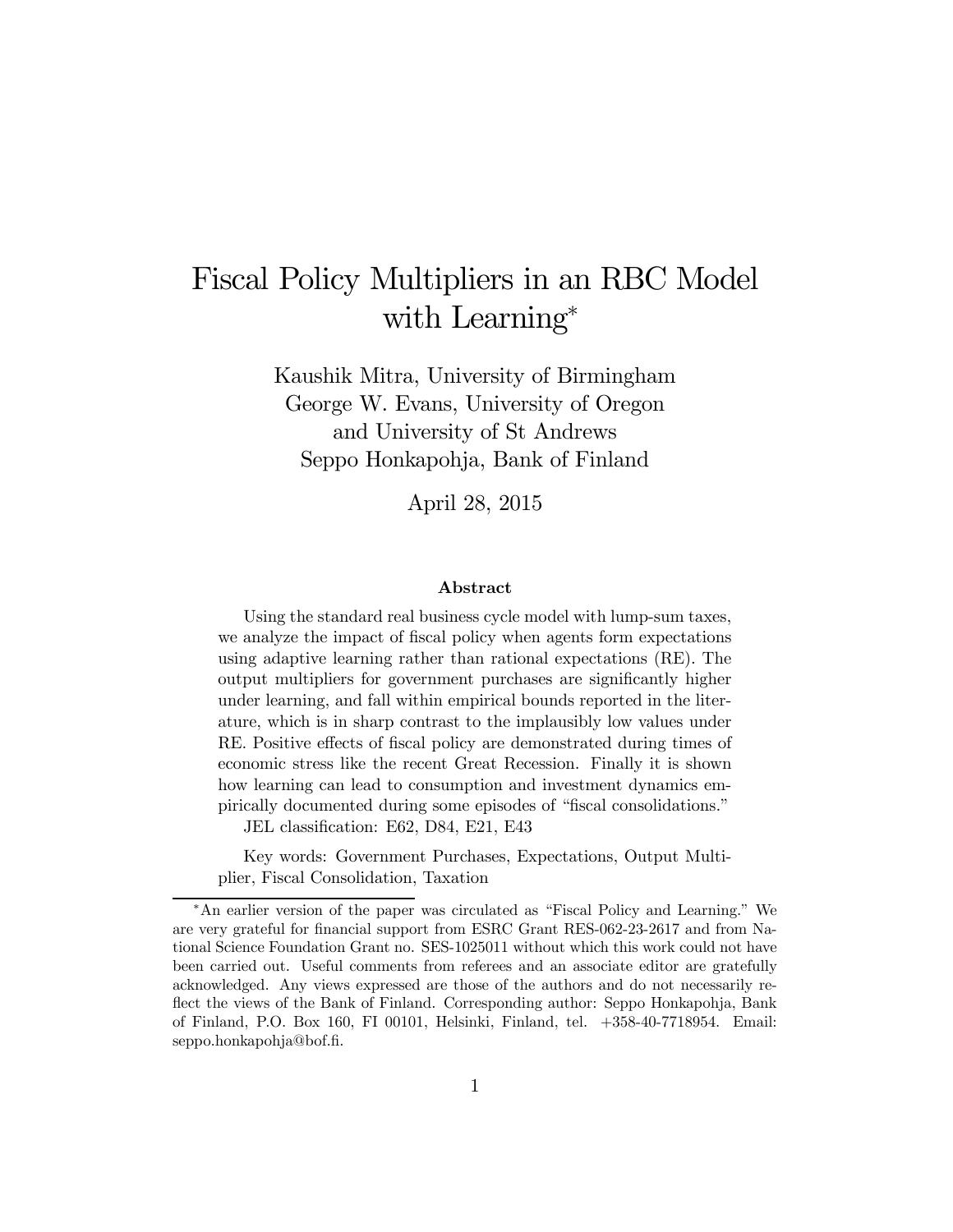# Fiscal Policy Multipliers in an RBC Model with Learning<sup>∗</sup>

Kaushik Mitra, University of Birmingham George W. Evans, University of Oregon and University of St Andrews Seppo Honkapohja, Bank of Finland

April 28, 2015

#### Abstract

Using the standard real business cycle model with lump-sum taxes, we analyze the impact of fiscal policy when agents form expectations using adaptive learning rather than rational expectations (RE). The output multipliers for government purchases are significantly higher under learning, and fall within empirical bounds reported in the literature, which is in sharp contrast to the implausibly low values under RE. Positive effects of fiscal policy are demonstrated during times of economic stress like the recent Great Recession. Finally it is shown how learning can lead to consumption and investment dynamics empirically documented during some episodes of "fiscal consolidations."

JEL classification: E62, D84, E21, E43

Key words: Government Purchases, Expectations, Output Multiplier, Fiscal Consolidation, Taxation

<sup>∗</sup>An earlier version of the paper was circulated as "Fiscal Policy and Learning." We are very grateful for financial support from ESRC Grant RES-062-23-2617 and from National Science Foundation Grant no. SES-1025011 without which this work could not have been carried out. Useful comments from referees and an associate editor are gratefully acknowledged. Any views expressed are those of the authors and do not necessarily reflect the views of the Bank of Finland. Corresponding author: Seppo Honkapohja, Bank of Finland, P.O. Box 160, FI 00101, Helsinki, Finland, tel. +358-40-7718954. Email: seppo.honkapohja@bof.fi.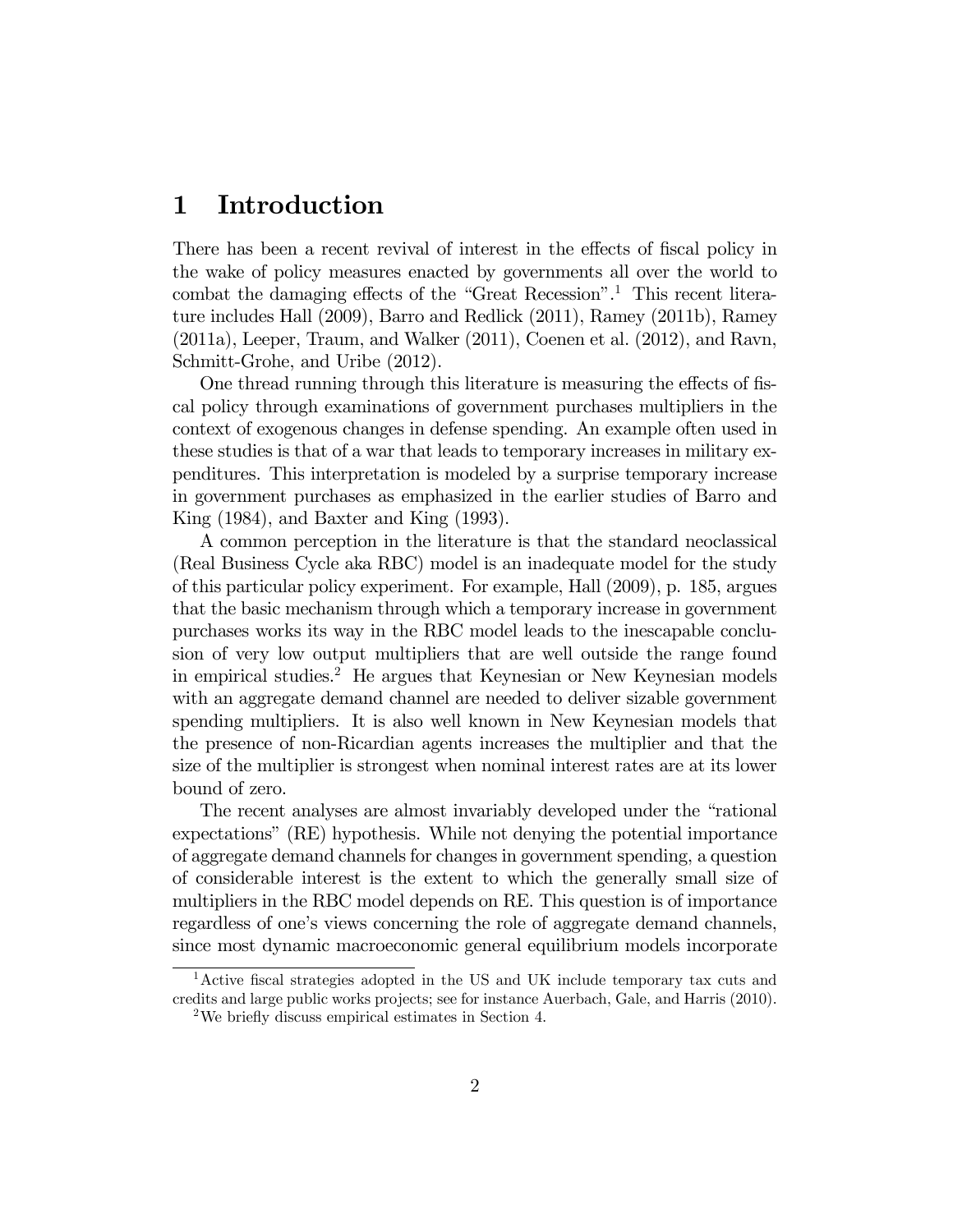### 1 Introduction

There has been a recent revival of interest in the effects of fiscal policy in the wake of policy measures enacted by governments all over the world to combat the damaging effects of the "Great Recession".1 This recent literature includes Hall (2009), Barro and Redlick (2011), Ramey (2011b), Ramey (2011a), Leeper, Traum, and Walker (2011), Coenen et al. (2012), and Ravn, Schmitt-Grohe, and Uribe (2012).

One thread running through this literature is measuring the effects of fiscal policy through examinations of government purchases multipliers in the context of exogenous changes in defense spending. An example often used in these studies is that of a war that leads to temporary increases in military expenditures. This interpretation is modeled by a surprise temporary increase in government purchases as emphasized in the earlier studies of Barro and King (1984), and Baxter and King (1993).

A common perception in the literature is that the standard neoclassical (Real Business Cycle aka RBC) model is an inadequate model for the study of this particular policy experiment. For example, Hall (2009), p. 185, argues that the basic mechanism through which a temporary increase in government purchases works its way in the RBC model leads to the inescapable conclusion of very low output multipliers that are well outside the range found in empirical studies.2 He argues that Keynesian or New Keynesian models with an aggregate demand channel are needed to deliver sizable government spending multipliers. It is also well known in New Keynesian models that the presence of non-Ricardian agents increases the multiplier and that the size of the multiplier is strongest when nominal interest rates are at its lower bound of zero.

The recent analyses are almost invariably developed under the "rational expectations" (RE) hypothesis. While not denying the potential importance of aggregate demand channels for changes in government spending, a question of considerable interest is the extent to which the generally small size of multipliers in the RBC model depends on RE. This question is of importance regardless of one's views concerning the role of aggregate demand channels, since most dynamic macroeconomic general equilibrium models incorporate

<sup>&</sup>lt;sup>1</sup>Active fiscal strategies adopted in the US and UK include temporary tax cuts and credits and large public works projects; see for instance Auerbach, Gale, and Harris (2010).

<sup>2</sup>We briefly discuss empirical estimates in Section 4.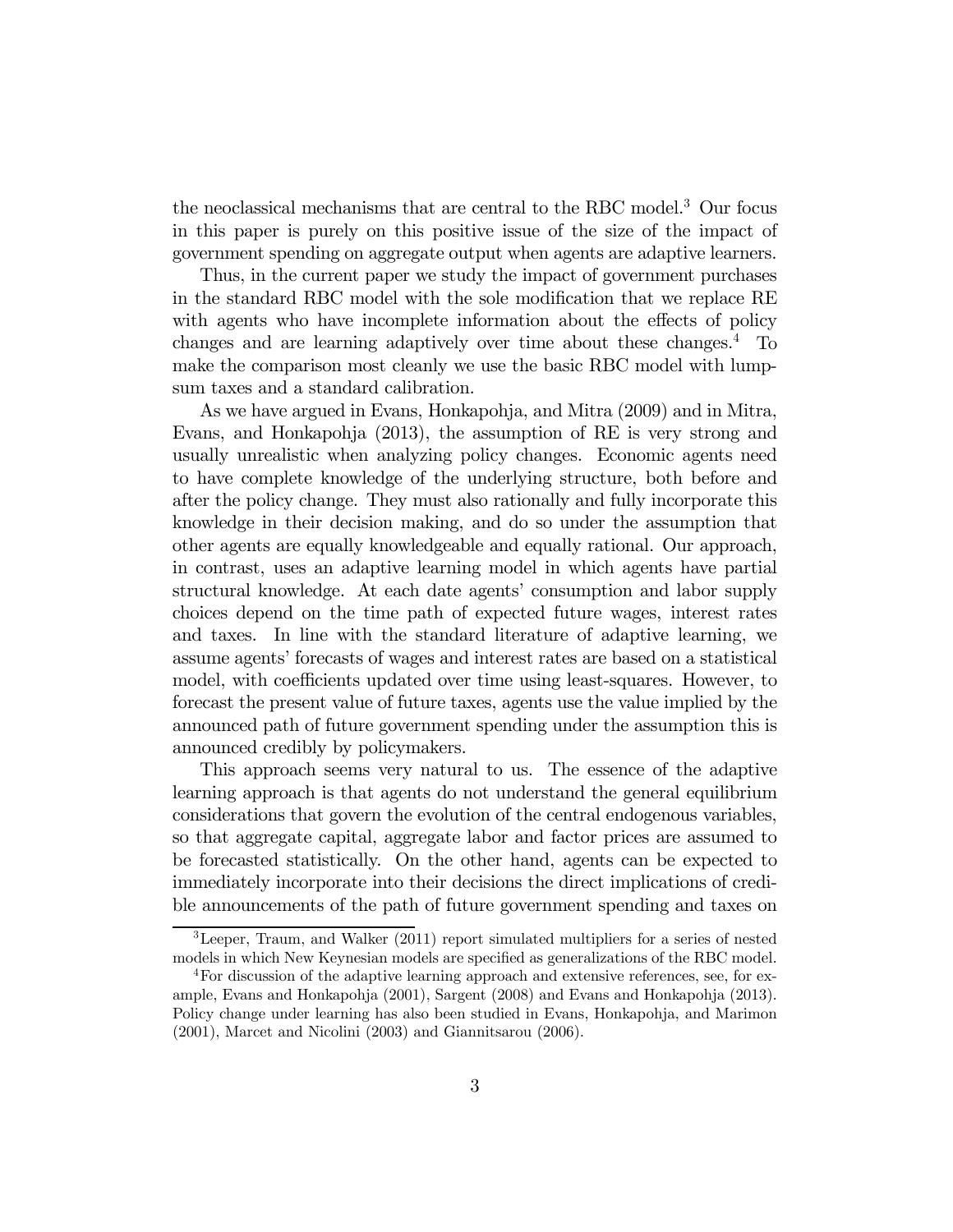the neoclassical mechanisms that are central to the RBC model.3 Our focus in this paper is purely on this positive issue of the size of the impact of government spending on aggregate output when agents are adaptive learners.

Thus, in the current paper we study the impact of government purchases in the standard RBC model with the sole modification that we replace RE with agents who have incomplete information about the effects of policy changes and are learning adaptively over time about these changes.<sup>4</sup> To make the comparison most cleanly we use the basic RBC model with lumpsum taxes and a standard calibration.

As we have argued in Evans, Honkapohja, and Mitra (2009) and in Mitra, Evans, and Honkapohja (2013), the assumption of RE is very strong and usually unrealistic when analyzing policy changes. Economic agents need to have complete knowledge of the underlying structure, both before and after the policy change. They must also rationally and fully incorporate this knowledge in their decision making, and do so under the assumption that other agents are equally knowledgeable and equally rational. Our approach, in contrast, uses an adaptive learning model in which agents have partial structural knowledge. At each date agents' consumption and labor supply choices depend on the time path of expected future wages, interest rates and taxes. In line with the standard literature of adaptive learning, we assume agents' forecasts of wages and interest rates are based on a statistical model, with coefficients updated over time using least-squares. However, to forecast the present value of future taxes, agents use the value implied by the announced path of future government spending under the assumption this is announced credibly by policymakers.

This approach seems very natural to us. The essence of the adaptive learning approach is that agents do not understand the general equilibrium considerations that govern the evolution of the central endogenous variables, so that aggregate capital, aggregate labor and factor prices are assumed to be forecasted statistically. On the other hand, agents can be expected to immediately incorporate into their decisions the direct implications of credible announcements of the path of future government spending and taxes on

<sup>3</sup>Leeper, Traum, and Walker (2011) report simulated multipliers for a series of nested models in which New Keynesian models are specified as generalizations of the RBC model.

<sup>&</sup>lt;sup>4</sup>For discussion of the adaptive learning approach and extensive references, see, for example, Evans and Honkapohja (2001), Sargent (2008) and Evans and Honkapohja (2013). Policy change under learning has also been studied in Evans, Honkapohja, and Marimon (2001), Marcet and Nicolini (2003) and Giannitsarou (2006).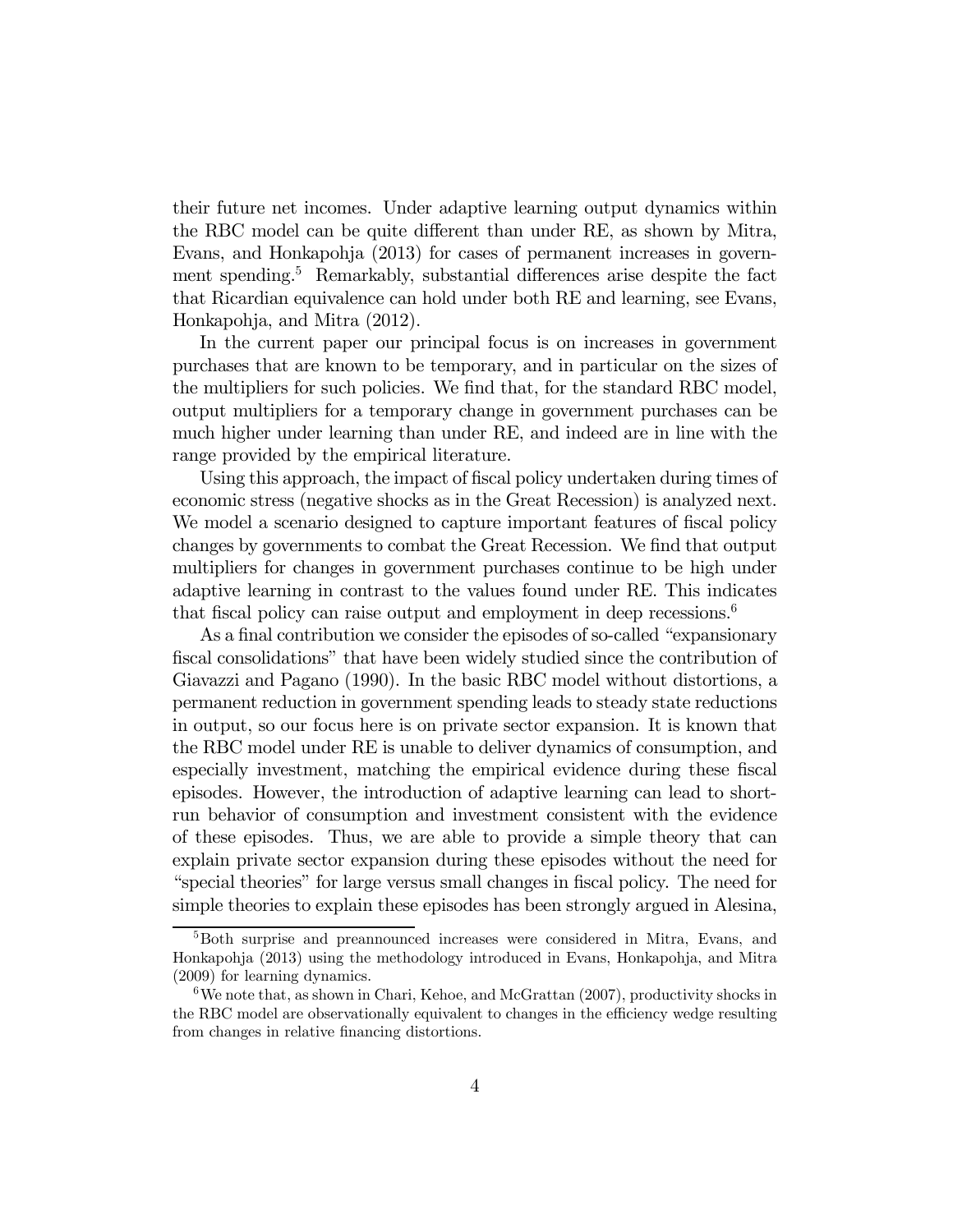their future net incomes. Under adaptive learning output dynamics within the RBC model can be quite different than under RE, as shown by Mitra, Evans, and Honkapohja (2013) for cases of permanent increases in government spending.<sup>5</sup> Remarkably, substantial differences arise despite the fact that Ricardian equivalence can hold under both RE and learning, see Evans, Honkapohja, and Mitra (2012).

In the current paper our principal focus is on increases in government purchases that are known to be temporary, and in particular on the sizes of the multipliers for such policies. We find that, for the standard RBC model, output multipliers for a temporary change in government purchases can be much higher under learning than under RE, and indeed are in line with the range provided by the empirical literature.

Using this approach, the impact of fiscal policy undertaken during times of economic stress (negative shocks as in the Great Recession) is analyzed next. We model a scenario designed to capture important features of fiscal policy changes by governments to combat the Great Recession. We find that output multipliers for changes in government purchases continue to be high under adaptive learning in contrast to the values found under RE. This indicates that fiscal policy can raise output and employment in deep recessions.<sup>6</sup>

As a final contribution we consider the episodes of so-called "expansionary fiscal consolidations" that have been widely studied since the contribution of Giavazzi and Pagano (1990). In the basic RBC model without distortions, a permanent reduction in government spending leads to steady state reductions in output, so our focus here is on private sector expansion. It is known that the RBC model under RE is unable to deliver dynamics of consumption, and especially investment, matching the empirical evidence during these fiscal episodes. However, the introduction of adaptive learning can lead to shortrun behavior of consumption and investment consistent with the evidence of these episodes. Thus, we are able to provide a simple theory that can explain private sector expansion during these episodes without the need for "special theories" for large versus small changes in fiscal policy. The need for simple theories to explain these episodes has been strongly argued in Alesina,

<sup>&</sup>lt;sup>5</sup>Both surprise and preannounced increases were considered in Mitra, Evans, and Honkapohja (2013) using the methodology introduced in Evans, Honkapohja, and Mitra (2009) for learning dynamics.

 $6$ We note that, as shown in Chari, Kehoe, and McGrattan  $(2007)$ , productivity shocks in the RBC model are observationally equivalent to changes in the efficiency wedge resulting from changes in relative financing distortions.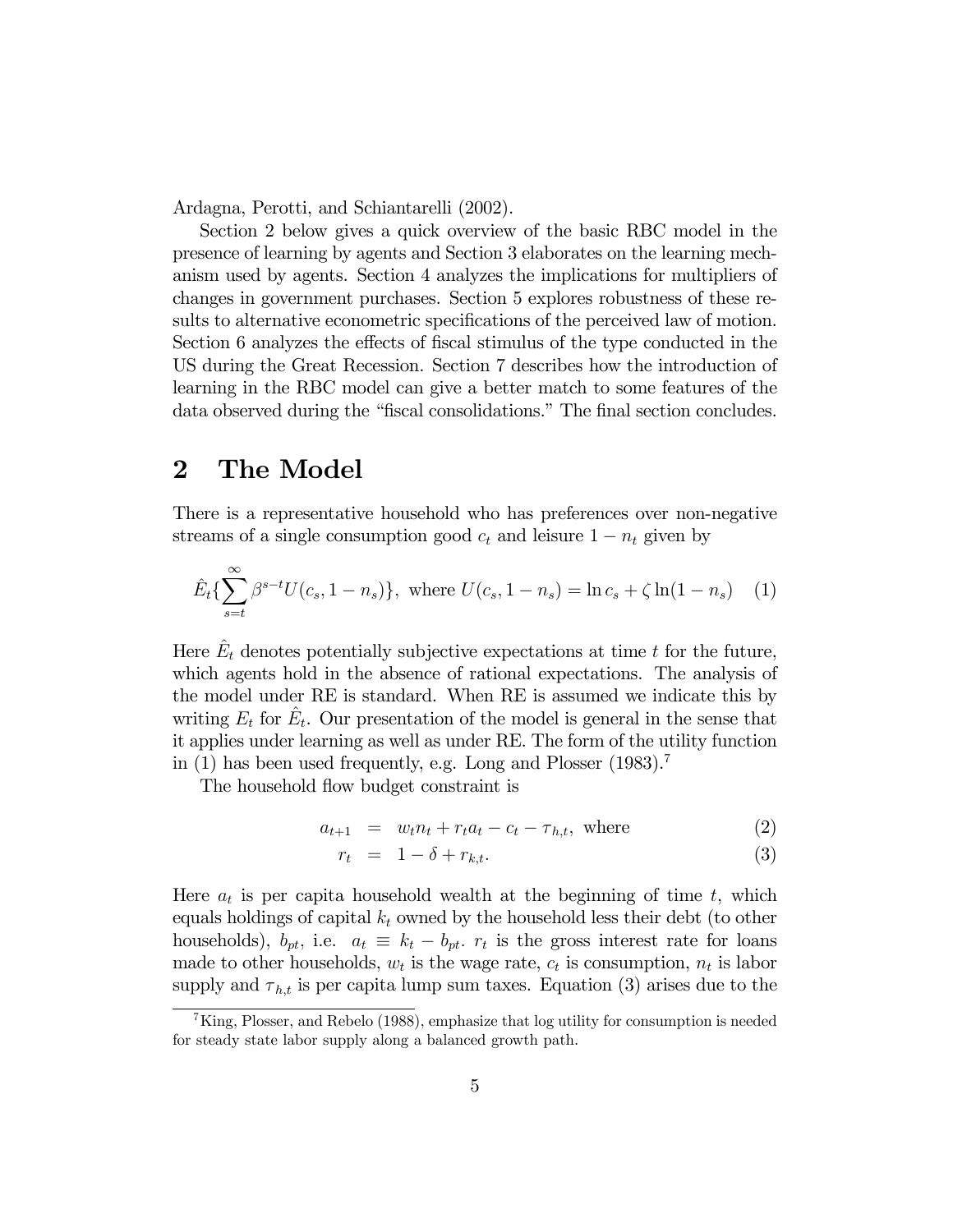Ardagna, Perotti, and Schiantarelli (2002).

Section 2 below gives a quick overview of the basic RBC model in the presence of learning by agents and Section 3 elaborates on the learning mechanism used by agents. Section 4 analyzes the implications for multipliers of changes in government purchases. Section 5 explores robustness of these results to alternative econometric specifications of the perceived law of motion. Section 6 analyzes the effects of fiscal stimulus of the type conducted in the US during the Great Recession. Section 7 describes how the introduction of learning in the RBC model can give a better match to some features of the data observed during the "fiscal consolidations." The final section concludes.

#### 2 The Model

There is a representative household who has preferences over non-negative streams of a single consumption good  $c_t$  and leisure  $1 - n_t$  given by

$$
\hat{E}_t \{ \sum_{s=t}^{\infty} \beta^{s-t} U(c_s, 1 - n_s) \}, \text{ where } U(c_s, 1 - n_s) = \ln c_s + \zeta \ln(1 - n_s) \quad (1)
$$

Here  $\hat{E}_t$  denotes potentially subjective expectations at time t for the future, which agents hold in the absence of rational expectations. The analysis of the model under RE is standard. When RE is assumed we indicate this by writing  $E_t$  for  $E_t$ . Our presentation of the model is general in the sense that it applies under learning as well as under RE. The form of the utility function in (1) has been used frequently, e.g. Long and Plosser  $(1983)$ .

The household flow budget constraint is

$$
a_{t+1} = w_t n_t + r_t a_t - c_t - \tau_{h,t}, \text{ where } (2)
$$

$$
r_t = 1 - \delta + r_{k,t}.\tag{3}
$$

Here  $a_t$  is per capita household wealth at the beginning of time t, which equals holdings of capital  $k_t$  owned by the household less their debt (to other households),  $b_{pt}$ , i.e.  $a_t \equiv k_t - b_{pt}$ .  $r_t$  is the gross interest rate for loans made to other households,  $w_t$  is the wage rate,  $c_t$  is consumption,  $n_t$  is labor supply and  $\tau_{h,t}$  is per capita lump sum taxes. Equation (3) arises due to the

<sup>7</sup>King, Plosser, and Rebelo (1988), emphasize that log utility for consumption is needed for steady state labor supply along a balanced growth path.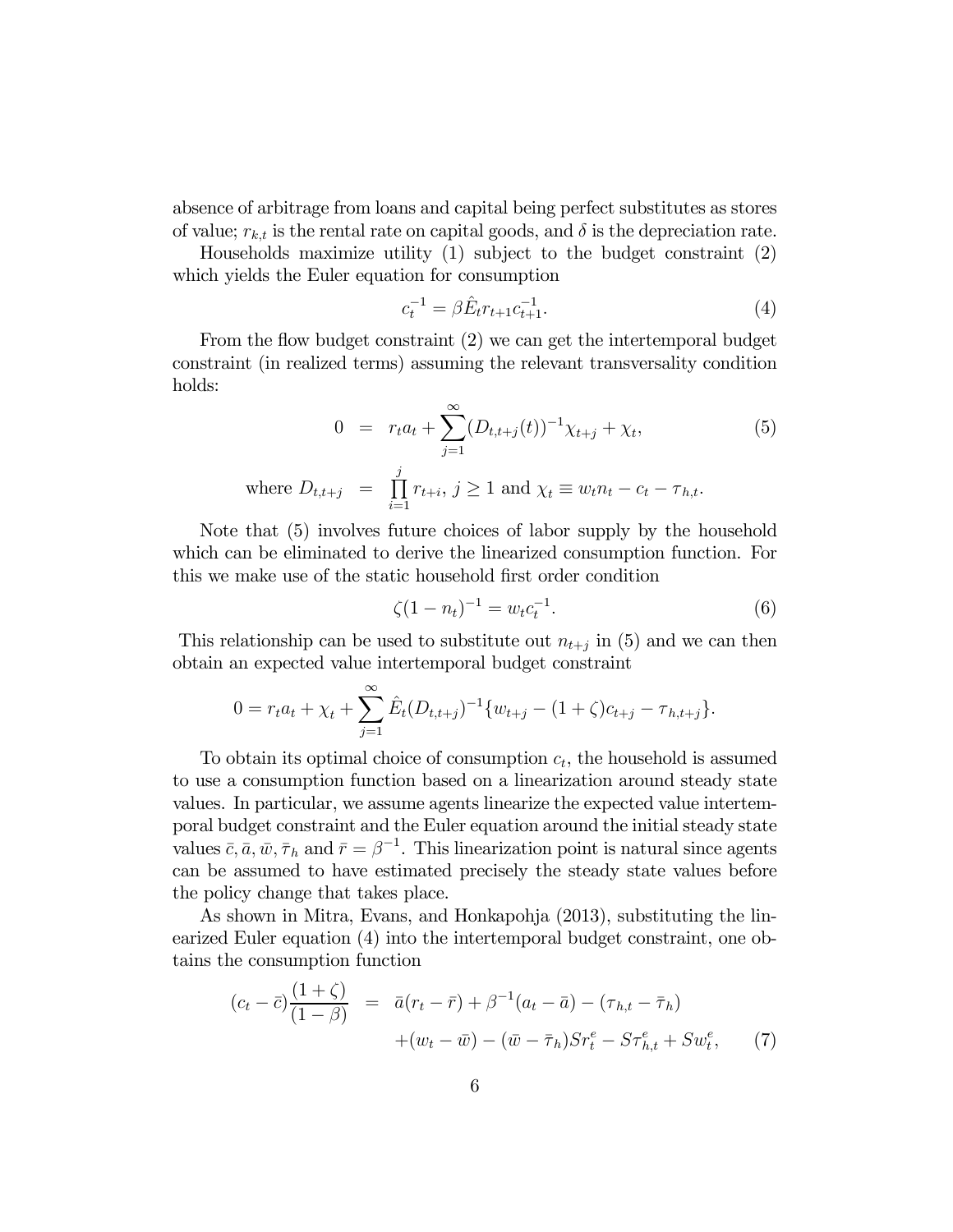absence of arbitrage from loans and capital being perfect substitutes as stores of value;  $r_{k,t}$  is the rental rate on capital goods, and  $\delta$  is the depreciation rate.

Households maximize utility (1) subject to the budget constraint (2) which yields the Euler equation for consumption

$$
c_t^{-1} = \beta \hat{E}_t r_{t+1} c_{t+1}^{-1}.
$$
\n(4)

From the flow budget constraint (2) we can get the intertemporal budget constraint (in realized terms) assuming the relevant transversality condition holds:

$$
0 = r_t a_t + \sum_{j=1}^{\infty} (D_{t,t+j}(t))^{-1} \chi_{t+j} + \chi_t,
$$
  
\nwhere  $D_{t,t+j} = \prod_{i=1}^{j} r_{t+i}, j \ge 1$  and  $\chi_t \equiv w_t n_t - c_t - \tau_{h,t}.$  (5)

Note that (5) involves future choices of labor supply by the household which can be eliminated to derive the linearized consumption function. For this we make use of the static household first order condition

$$
\zeta(1 - n_t)^{-1} = w_t c_t^{-1}.\tag{6}
$$

This relationship can be used to substitute out  $n_{t+i}$  in (5) and we can then obtain an expected value intertemporal budget constraint

$$
0 = r_t a_t + \chi_t + \sum_{j=1}^{\infty} \hat{E}_t (D_{t,t+j})^{-1} \{ w_{t+j} - (1+\zeta)c_{t+j} - \tau_{h,t+j} \}.
$$

To obtain its optimal choice of consumption  $c_t$ , the household is assumed to use a consumption function based on a linearization around steady state values. In particular, we assume agents linearize the expected value intertemporal budget constraint and the Euler equation around the initial steady state values  $\bar{c}, \bar{a}, \bar{w}, \bar{\tau}_h$  and  $\bar{r} = \beta^{-1}$ . This linearization point is natural since agents can be assumed to have estimated precisely the steady state values before the policy change that takes place.

As shown in Mitra, Evans, and Honkapohja (2013), substituting the linearized Euler equation (4) into the intertemporal budget constraint, one obtains the consumption function

$$
(c_t - \bar{c})\frac{(1+\zeta)}{(1-\beta)} = \bar{a}(r_t - \bar{r}) + \beta^{-1}(a_t - \bar{a}) - (\tau_{h,t} - \bar{\tau}_h) + (w_t - \bar{w}) - (\bar{w} - \bar{\tau}_h)Sr_t^e - S\tau_{h,t}^e + Sw_t^e, \qquad (7)
$$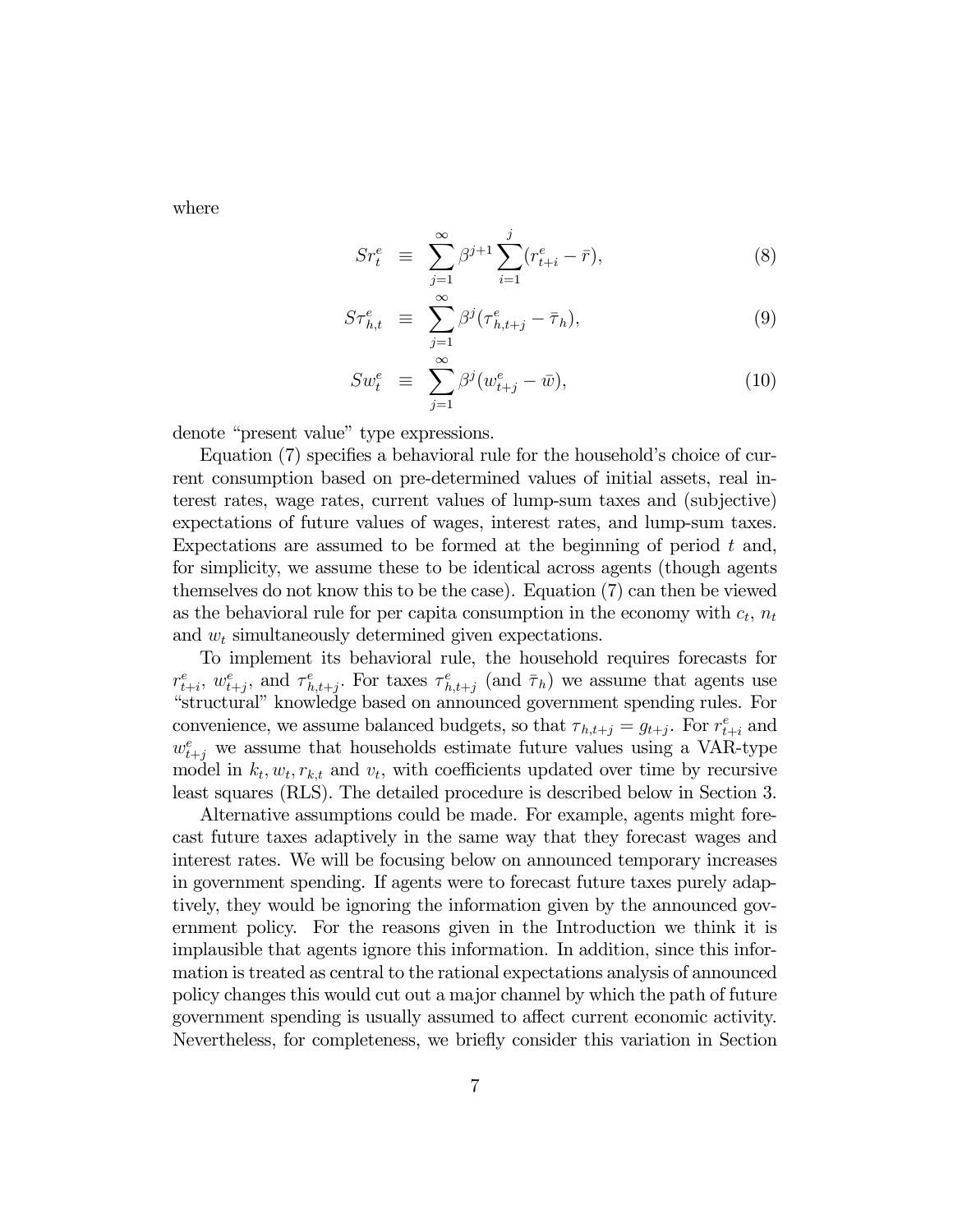where

$$
Sr_t^e \equiv \sum_{j=1}^{\infty} \beta^{j+1} \sum_{i=1}^j (r_{t+i}^e - \bar{r}), \tag{8}
$$

$$
S\tau_{h,t}^e \equiv \sum_{j=1}^{\infty} \beta^j (\tau_{h,t+j}^e - \bar{\tau}_h), \tag{9}
$$

$$
Sw_t^e \equiv \sum_{j=1}^{\infty} \beta^j (w_{t+j}^e - \bar{w}), \qquad (10)
$$

denote "present value" type expressions.

Equation (7) specifies a behavioral rule for the household's choice of current consumption based on pre-determined values of initial assets, real interest rates, wage rates, current values of lump-sum taxes and (subjective) expectations of future values of wages, interest rates, and lump-sum taxes. Expectations are assumed to be formed at the beginning of period  $t$  and, for simplicity, we assume these to be identical across agents (though agents themselves do not know this to be the case). Equation (7) can then be viewed as the behavioral rule for per capita consumption in the economy with  $c_t$ ,  $n_t$ and  $w_t$  simultaneously determined given expectations.

To implement its behavioral rule, the household requires forecasts for  $r_{t+i}^e$ ,  $w_{t+j}^e$ , and  $\tau_{h,t+j}^e$ . For taxes  $\tau_{h,t+j}^e$  (and  $\bar{\tau}_h$ ) we assume that agents use "structural" knowledge based on announced government spending rules. For convenience, we assume balanced budgets, so that  $\tau_{h,t+j} = g_{t+j}$ . For  $r_{t+i}^e$  and  $w_{t+j}^e$  we assume that households estimate future values using a VAR-type model in  $k_t, w_t, r_{k,t}$  and  $v_t$ , with coefficients updated over time by recursive least squares (RLS). The detailed procedure is described below in Section 3.

Alternative assumptions could be made. For example, agents might forecast future taxes adaptively in the same way that they forecast wages and interest rates. We will be focusing below on announced temporary increases in government spending. If agents were to forecast future taxes purely adaptively, they would be ignoring the information given by the announced government policy. For the reasons given in the Introduction we think it is implausible that agents ignore this information. In addition, since this information is treated as central to the rational expectations analysis of announced policy changes this would cut out a major channel by which the path of future government spending is usually assumed to affect current economic activity. Nevertheless, for completeness, we briefly consider this variation in Section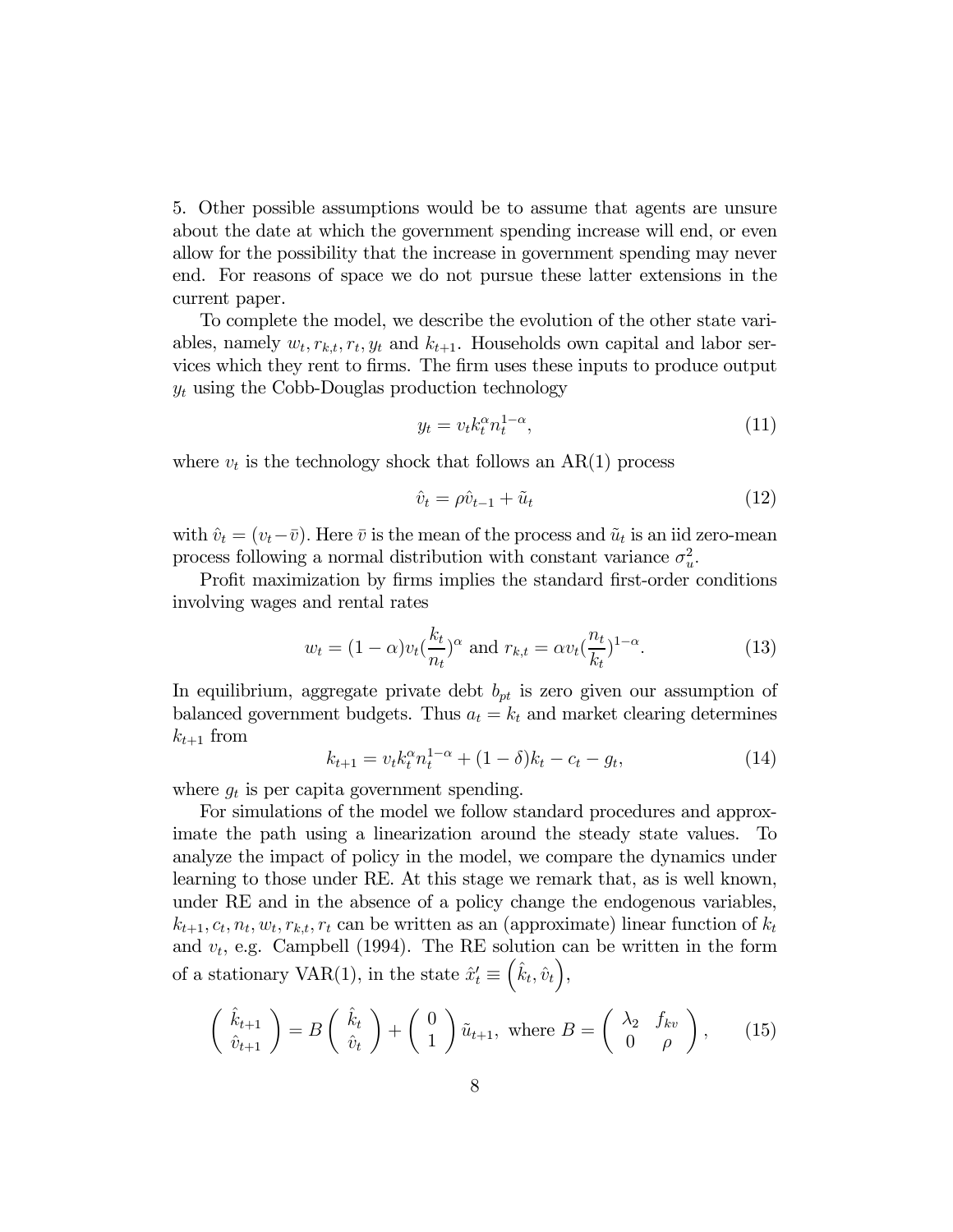5. Other possible assumptions would be to assume that agents are unsure about the date at which the government spending increase will end, or even allow for the possibility that the increase in government spending may never end. For reasons of space we do not pursue these latter extensions in the current paper.

To complete the model, we describe the evolution of the other state variables, namely  $w_t, r_{k,t}, r_t, y_t$  and  $k_{t+1}$ . Households own capital and labor services which they rent to firms. The firm uses these inputs to produce output  $y_t$  using the Cobb-Douglas production technology

$$
y_t = v_t k_t^{\alpha} n_t^{1-\alpha},\tag{11}
$$

where  $v_t$  is the technology shock that follows an AR(1) process

$$
\hat{v}_t = \rho \hat{v}_{t-1} + \tilde{u}_t \tag{12}
$$

with  $\hat{v}_t = (v_t - \bar{v})$ . Here  $\bar{v}$  is the mean of the process and  $\tilde{u}_t$  is an iid zero-mean process following a normal distribution with constant variance  $\sigma_u^2$ .

Profit maximization by firms implies the standard first-order conditions involving wages and rental rates

$$
w_t = (1 - \alpha)v_t(\frac{k_t}{n_t})^{\alpha} \text{ and } r_{k,t} = \alpha v_t(\frac{n_t}{k_t})^{1 - \alpha}.
$$
 (13)

In equilibrium, aggregate private debt  $b_{pt}$  is zero given our assumption of balanced government budgets. Thus  $a_t = k_t$  and market clearing determines  $k_{t+1}$  from

$$
k_{t+1} = v_t k_t^{\alpha} n_t^{1-\alpha} + (1-\delta) k_t - c_t - g_t,
$$
\n(14)

where  $g_t$  is per capita government spending.

For simulations of the model we follow standard procedures and approximate the path using a linearization around the steady state values. To analyze the impact of policy in the model, we compare the dynamics under learning to those under RE. At this stage we remark that, as is well known, under RE and in the absence of a policy change the endogenous variables,  $k_{t+1}, c_t, n_t, w_t, r_{k,t}, r_t$  can be written as an (approximate) linear function of  $k_t$ and  $v_t$ , e.g. Campbell (1994). The RE solution can be written in the form of a stationary VAR(1), in the state  $\hat{x}'_t \equiv$  $(\hat{k}_t, \hat{v}_t),$ 

$$
\begin{pmatrix}\n\hat{k}_{t+1} \\
\hat{v}_{t+1}\n\end{pmatrix} = B \begin{pmatrix}\n\hat{k}_t \\
\hat{v}_t\n\end{pmatrix} + \begin{pmatrix}\n0 \\
1\n\end{pmatrix} \tilde{u}_{t+1}, \text{ where } B = \begin{pmatrix}\n\lambda_2 & f_{kv} \\
0 & \rho\n\end{pmatrix}, \quad (15)
$$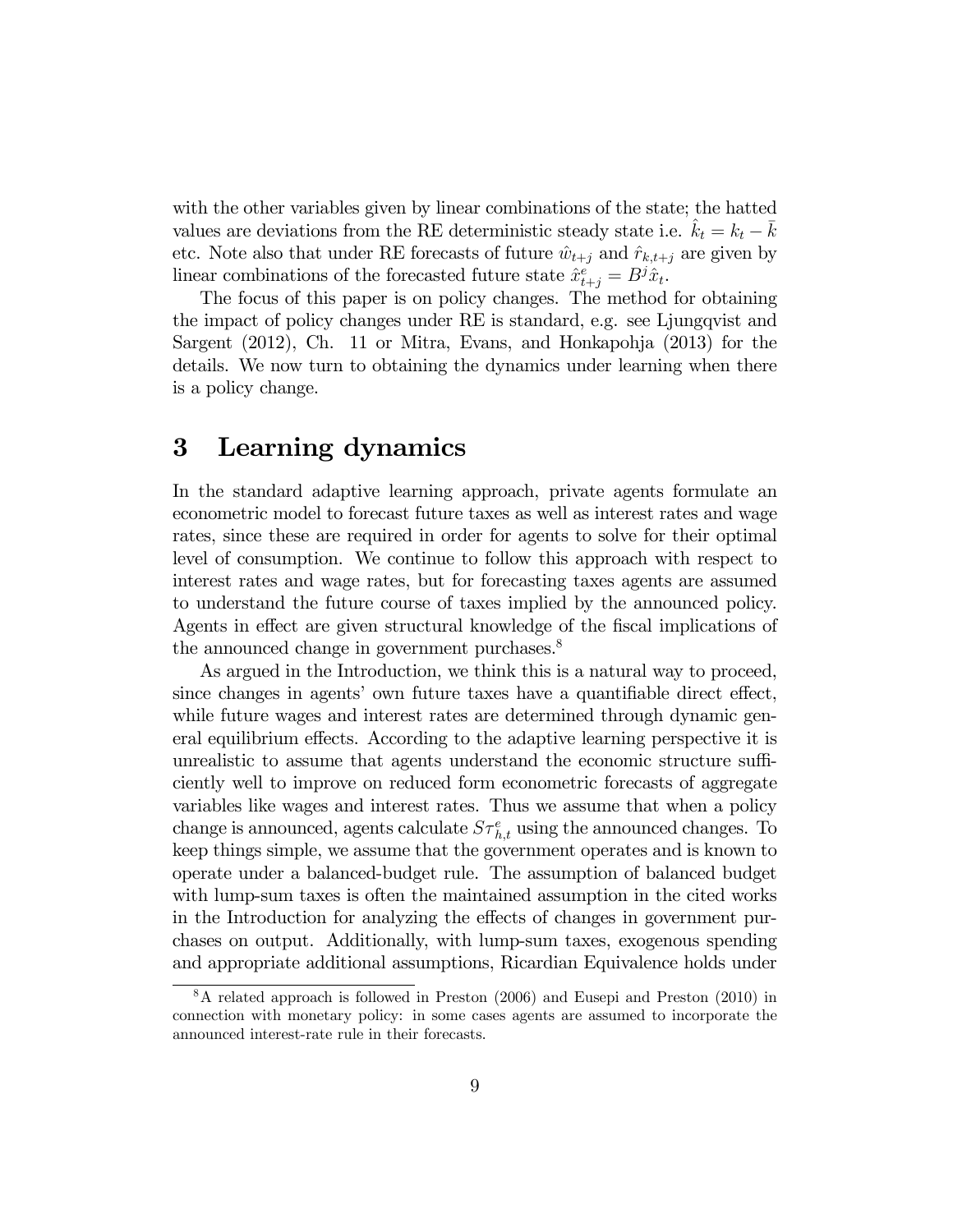with the other variables given by linear combinations of the state; the hatted values are deviations from the RE deterministic steady state i.e.  $\hat{k}_t = k_t - \bar{k}$ etc. Note also that under RE forecasts of future  $\hat{w}_{t+j}$  and  $\hat{r}_{k,t+j}$  are given by linear combinations of the forecasted future state  $\hat{x}_{t+j}^e = B^j \hat{x}_t$ .

The focus of this paper is on policy changes. The method for obtaining the impact of policy changes under RE is standard, e.g. see Ljungqvist and Sargent (2012), Ch. 11 or Mitra, Evans, and Honkapohja (2013) for the details. We now turn to obtaining the dynamics under learning when there is a policy change.

### 3 Learning dynamics

In the standard adaptive learning approach, private agents formulate an econometric model to forecast future taxes as well as interest rates and wage rates, since these are required in order for agents to solve for their optimal level of consumption. We continue to follow this approach with respect to interest rates and wage rates, but for forecasting taxes agents are assumed to understand the future course of taxes implied by the announced policy. Agents in effect are given structural knowledge of the fiscal implications of the announced change in government purchases.<sup>8</sup>

As argued in the Introduction, we think this is a natural way to proceed, since changes in agents' own future taxes have a quantifiable direct effect, while future wages and interest rates are determined through dynamic general equilibrium effects. According to the adaptive learning perspective it is unrealistic to assume that agents understand the economic structure sufficiently well to improve on reduced form econometric forecasts of aggregate variables like wages and interest rates. Thus we assume that when a policy change is announced, agents calculate  $S_{\tau_{h,t}}^e$  using the announced changes. To keep things simple, we assume that the government operates and is known to operate under a balanced-budget rule. The assumption of balanced budget with lump-sum taxes is often the maintained assumption in the cited works in the Introduction for analyzing the effects of changes in government purchases on output. Additionally, with lump-sum taxes, exogenous spending and appropriate additional assumptions, Ricardian Equivalence holds under

<sup>8</sup>A related approach is followed in Preston (2006) and Eusepi and Preston (2010) in connection with monetary policy: in some cases agents are assumed to incorporate the announced interest-rate rule in their forecasts.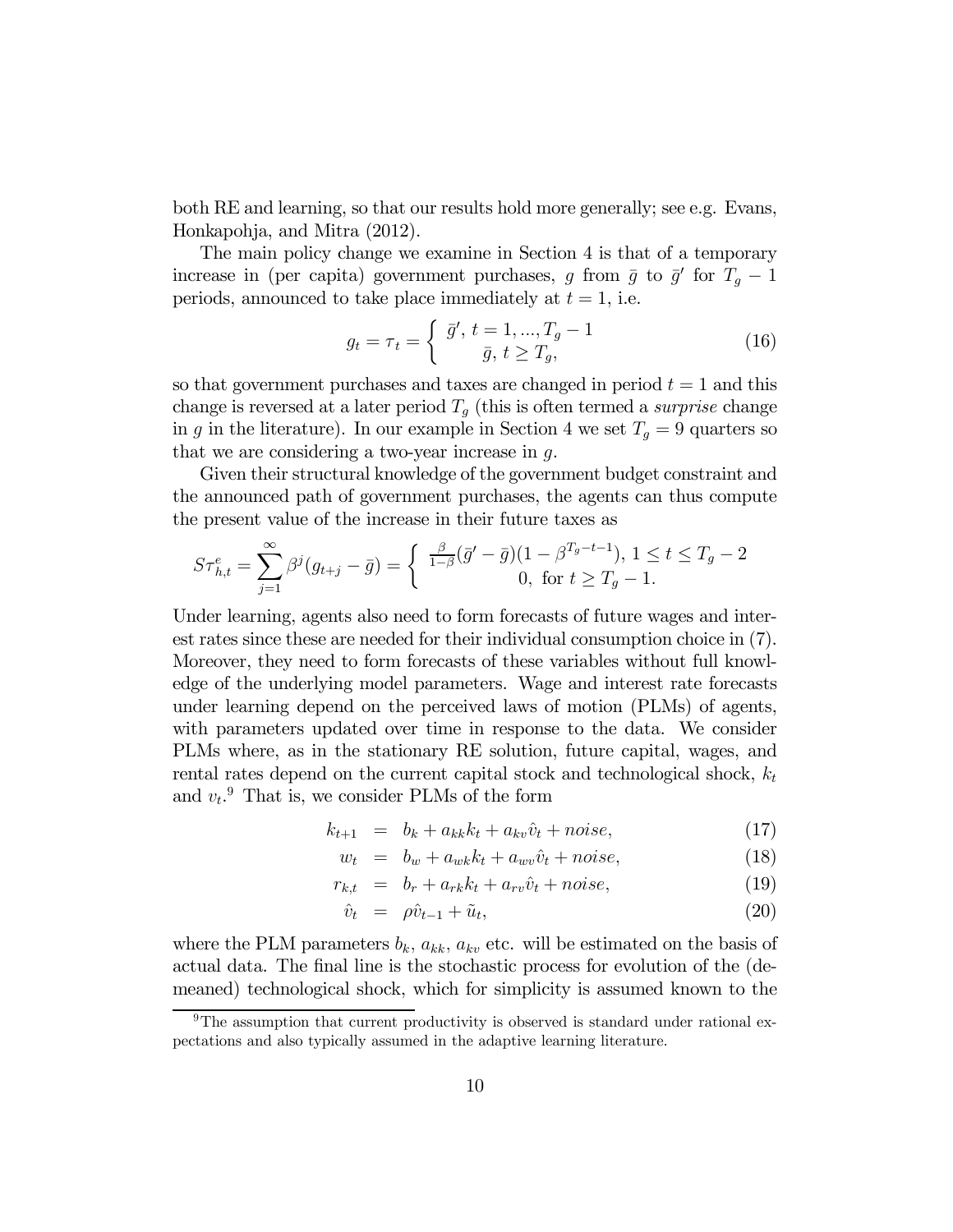both RE and learning, so that our results hold more generally; see e.g. Evans, Honkapohja, and Mitra (2012).

The main policy change we examine in Section 4 is that of a temporary increase in (per capita) government purchases, g from  $\bar{g}$  to  $\bar{g}'$  for  $T_g - 1$ periods, announced to take place immediately at  $t = 1$ , i.e.

$$
g_t = \tau_t = \begin{cases} \bar{g}', \ t = 1, ..., T_g - 1 \\ \bar{g}, \ t \ge T_g, \end{cases}
$$
 (16)

so that government purchases and taxes are changed in period  $t = 1$  and this change is reversed at a later period  $T<sub>g</sub>$  (this is often termed a *surprise* change in g in the literature). In our example in Section 4 we set  $T<sub>q</sub> = 9$  quarters so that we are considering a two-year increase in  $q$ .

Given their structural knowledge of the government budget constraint and the announced path of government purchases, the agents can thus compute the present value of the increase in their future taxes as

$$
S\tau_{h,t}^e = \sum_{j=1}^{\infty} \beta^j (g_{t+j} - \bar{g}) = \begin{cases} \frac{\beta}{1-\beta} (\bar{g}' - \bar{g})(1 - \beta^{T_g - t - 1}), \ 1 \le t \le T_g - 2\\ 0, \text{ for } t \ge T_g - 1. \end{cases}
$$

Under learning, agents also need to form forecasts of future wages and interest rates since these are needed for their individual consumption choice in (7). Moreover, they need to form forecasts of these variables without full knowledge of the underlying model parameters. Wage and interest rate forecasts under learning depend on the perceived laws of motion (PLMs) of agents, with parameters updated over time in response to the data. We consider PLMs where, as in the stationary RE solution, future capital, wages, and rental rates depend on the current capital stock and technological shock,  $k_t$ and  $v_t$ .<sup>9</sup> That is, we consider PLMs of the form

$$
k_{t+1} = b_k + a_{kk}k_t + a_{kv}\hat{v}_t + noise,
$$
\n(17)

$$
w_t = b_w + a_{wk}k_t + a_{wv}\hat{v}_t + noise,
$$
\n(18)

$$
r_{k,t} = b_r + a_{rk}k_t + a_{rv}\hat{v}_t + noise,
$$
\n(19)

$$
\hat{v}_t = \rho \hat{v}_{t-1} + \tilde{u}_t, \tag{20}
$$

where the PLM parameters  $b_k$ ,  $a_{kk}$ ,  $a_{kv}$  etc. will be estimated on the basis of actual data. The final line is the stochastic process for evolution of the (demeaned) technological shock, which for simplicity is assumed known to the

 $9$ The assumption that current productivity is observed is standard under rational expectations and also typically assumed in the adaptive learning literature.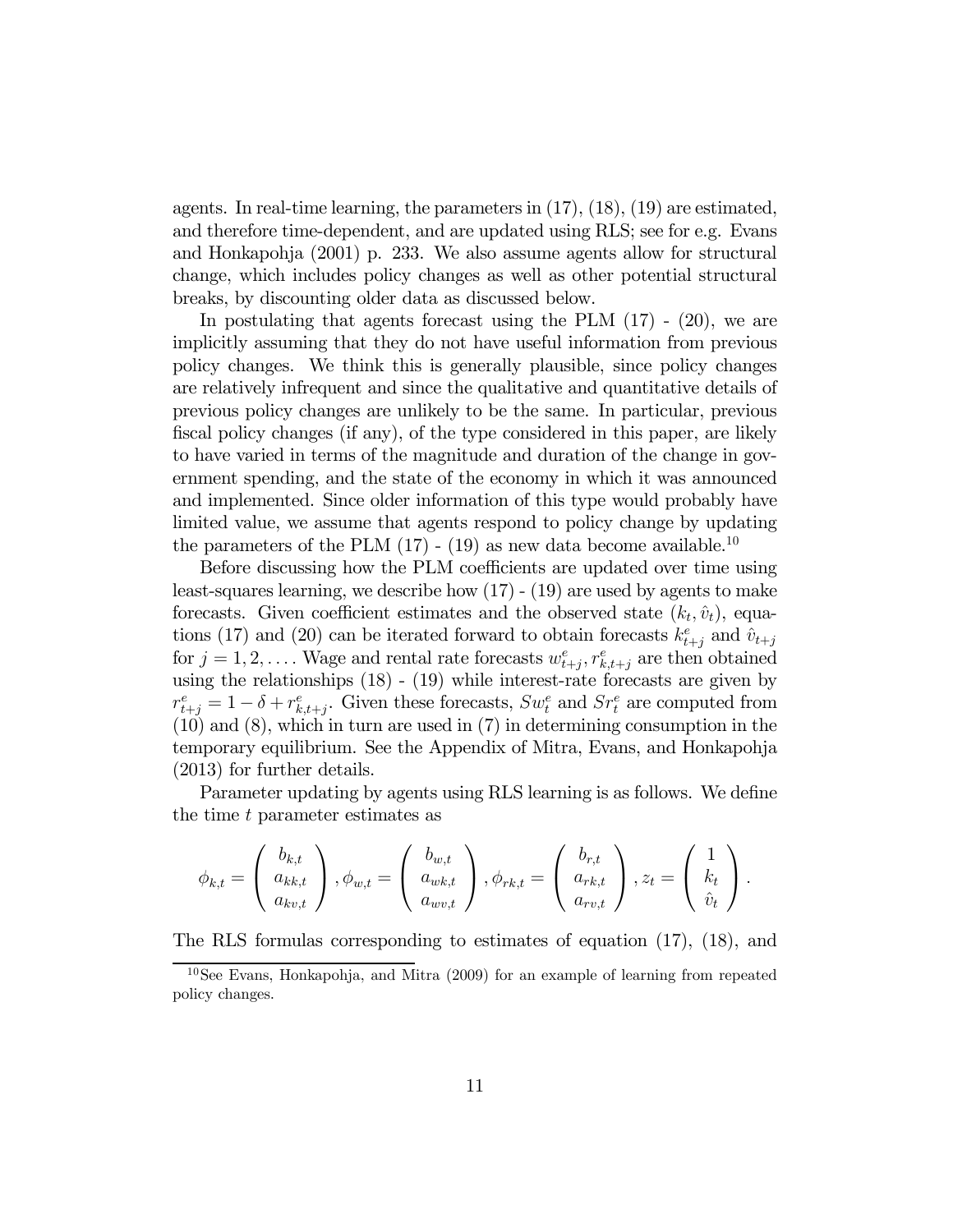agents. In real-time learning, the parameters in  $(17)$ ,  $(18)$ ,  $(19)$  are estimated, and therefore time-dependent, and are updated using RLS; see for e.g. Evans and Honkapohja (2001) p. 233. We also assume agents allow for structural change, which includes policy changes as well as other potential structural breaks, by discounting older data as discussed below.

In postulating that agents forecast using the PLM  $(17)$  -  $(20)$ , we are implicitly assuming that they do not have useful information from previous policy changes. We think this is generally plausible, since policy changes are relatively infrequent and since the qualitative and quantitative details of previous policy changes are unlikely to be the same. In particular, previous fiscal policy changes (if any), of the type considered in this paper, are likely to have varied in terms of the magnitude and duration of the change in government spending, and the state of the economy in which it was announced and implemented. Since older information of this type would probably have limited value, we assume that agents respond to policy change by updating the parameters of the PLM  $(17)$  -  $(19)$  as new data become available.<sup>10</sup>

Before discussing how the PLM coefficients are updated over time using least-squares learning, we describe how  $(17)$  -  $(19)$  are used by agents to make forecasts. Given coefficient estimates and the observed state  $(k_t, \hat{v}_t)$ , equations (17) and (20) can be iterated forward to obtain forecasts  $k_{t+j}^e$  and  $\hat{v}_{t+j}$ for  $j = 1, 2, \ldots$ . Wage and rental rate forecasts  $w_{t+j}^e, r_{k,t+j}^e$  are then obtained using the relationships  $(18) - (19)$  while interest-rate forecasts are given by  $r_{t+j}^e = 1 - \delta + r_{k,t+j}^e$ . Given these forecasts,  $Sw_t^e$  and  $Sr_t^e$  are computed from (10) and (8), which in turn are used in (7) in determining consumption in the temporary equilibrium. See the Appendix of Mitra, Evans, and Honkapohja (2013) for further details.

Parameter updating by agents using RLS learning is as follows. We define the time  $t$  parameter estimates as

$$
\phi_{k,t} = \begin{pmatrix} b_{k,t} \\ a_{kk,t} \\ a_{kv,t} \end{pmatrix}, \phi_{w,t} = \begin{pmatrix} b_{w,t} \\ a_{wk,t} \\ a_{wv,t} \end{pmatrix}, \phi_{rk,t} = \begin{pmatrix} b_{r,t} \\ a_{rk,t} \\ a_{rv,t} \end{pmatrix}, z_t = \begin{pmatrix} 1 \\ k_t \\ \hat{v}_t \end{pmatrix}.
$$

The RLS formulas corresponding to estimates of equation (17), (18), and

<sup>10</sup>See Evans, Honkapohja, and Mitra (2009) for an example of learning from repeated policy changes.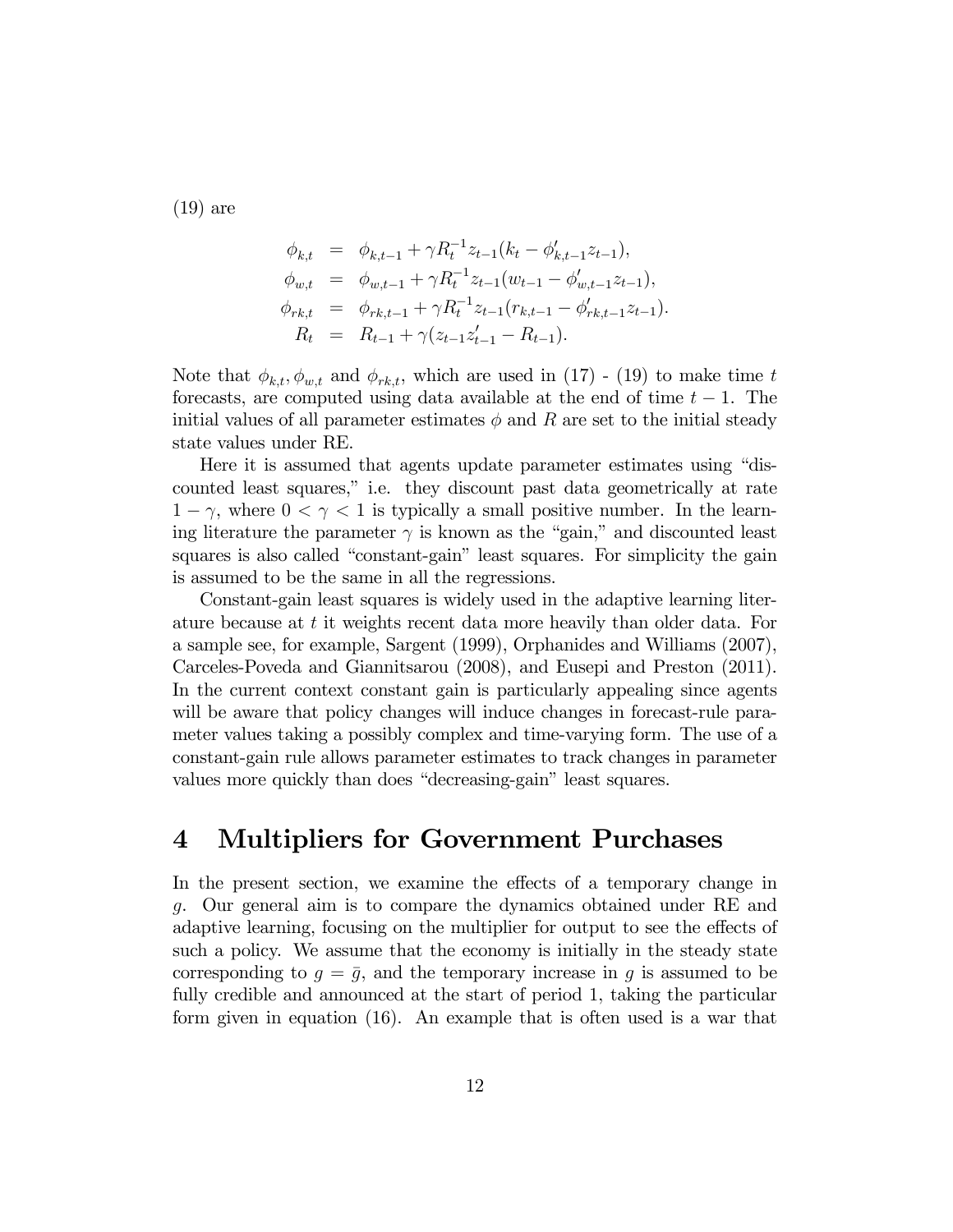(19) are

$$
\begin{array}{rcl}\n\phi_{k,t} & = & \phi_{k,t-1} + \gamma R_t^{-1} z_{t-1} (k_t - \phi'_{k,t-1} z_{t-1}), \\
\phi_{w,t} & = & \phi_{w,t-1} + \gamma R_t^{-1} z_{t-1} (w_{t-1} - \phi'_{w,t-1} z_{t-1}), \\
\phi_{rk,t} & = & \phi_{rk,t-1} + \gamma R_t^{-1} z_{t-1} (r_{k,t-1} - \phi'_{rk,t-1} z_{t-1}). \\
R_t & = & R_{t-1} + \gamma (z_{t-1} z'_{t-1} - R_{t-1}).\n\end{array}
$$

Note that  $\phi_{k,t}, \phi_{w,t}$  and  $\phi_{rk,t}$ , which are used in (17) - (19) to make time t forecasts, are computed using data available at the end of time  $t-1$ . The initial values of all parameter estimates  $\phi$  and  $R$  are set to the initial steady state values under RE.

Here it is assumed that agents update parameter estimates using "discounted least squares," i.e. they discount past data geometrically at rate  $1 - \gamma$ , where  $0 < \gamma < 1$  is typically a small positive number. In the learning literature the parameter  $\gamma$  is known as the "gain," and discounted least squares is also called "constant-gain" least squares. For simplicity the gain is assumed to be the same in all the regressions.

Constant-gain least squares is widely used in the adaptive learning literature because at it weights recent data more heavily than older data. For a sample see, for example, Sargent (1999), Orphanides and Williams (2007), Carceles-Poveda and Giannitsarou (2008), and Eusepi and Preston (2011). In the current context constant gain is particularly appealing since agents will be aware that policy changes will induce changes in forecast-rule parameter values taking a possibly complex and time-varying form. The use of a constant-gain rule allows parameter estimates to track changes in parameter values more quickly than does "decreasing-gain" least squares.

### 4 Multipliers for Government Purchases

In the present section, we examine the effects of a temporary change in . Our general aim is to compare the dynamics obtained under RE and adaptive learning, focusing on the multiplier for output to see the effects of such a policy. We assume that the economy is initially in the steady state corresponding to  $q = \bar{q}$ , and the temporary increase in q is assumed to be fully credible and announced at the start of period 1, taking the particular form given in equation (16). An example that is often used is a war that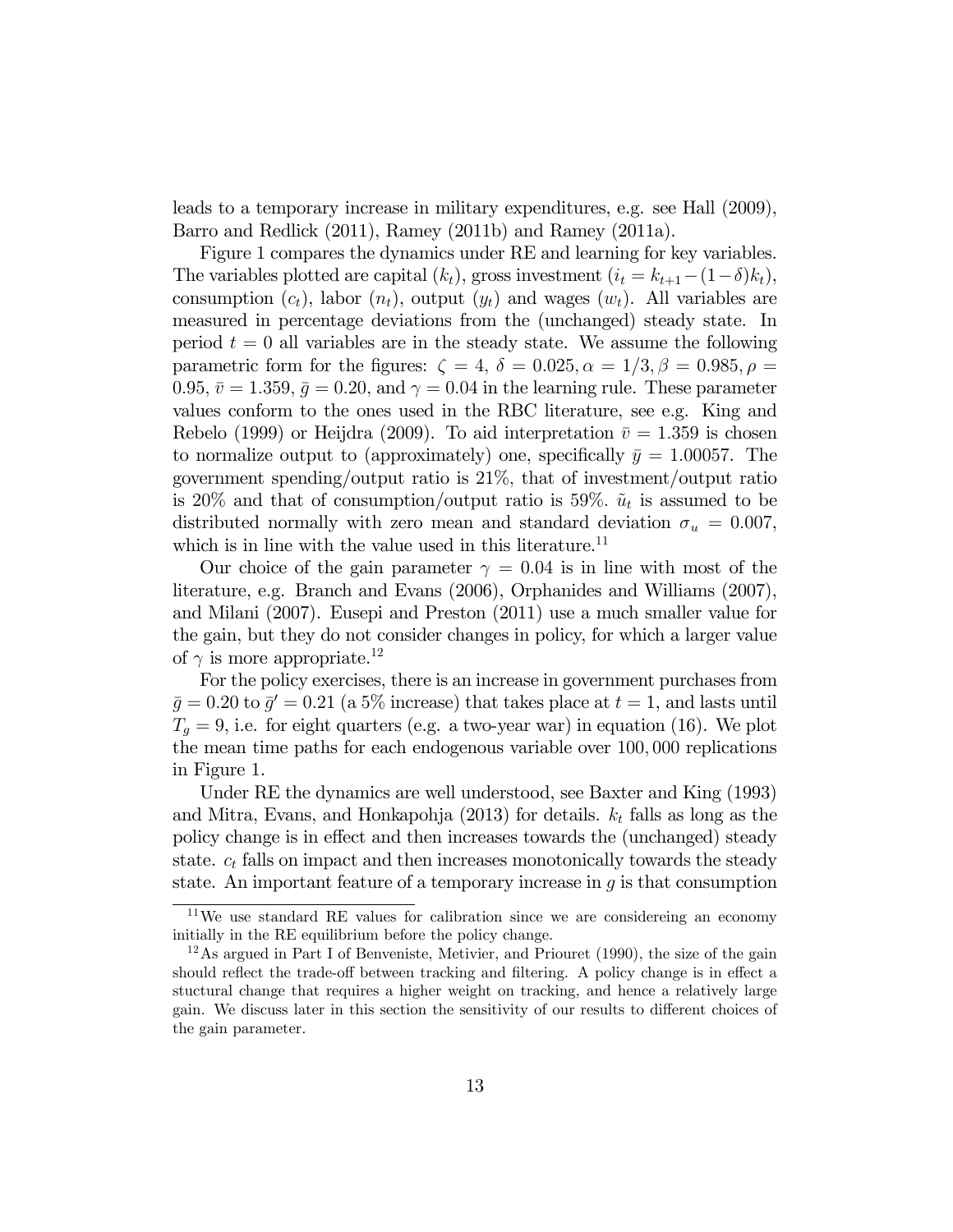leads to a temporary increase in military expenditures, e.g. see Hall (2009), Barro and Redlick (2011), Ramey (2011b) and Ramey (2011a).

Figure 1 compares the dynamics under RE and learning for key variables. The variables plotted are capital  $(k_t)$ , gross investment  $(i_t = k_{t+1} - (1-\delta)k_t)$ , consumption  $(c_t)$ , labor  $(n_t)$ , output  $(y_t)$  and wages  $(w_t)$ . All variables are measured in percentage deviations from the (unchanged) steady state. In period  $t = 0$  all variables are in the steady state. We assume the following parametric form for the figures:  $\zeta = 4$ ,  $\delta = 0.025$ ,  $\alpha = 1/3$ ,  $\beta = 0.985$ ,  $\rho =$ 0.95,  $\bar{v} = 1.359$ ,  $\bar{q} = 0.20$ , and  $\gamma = 0.04$  in the learning rule. These parameter values conform to the ones used in the RBC literature, see e.g. King and Rebelo (1999) or Heijdra (2009). To aid interpretation  $\bar{v} = 1.359$  is chosen to normalize output to (approximately) one, specifically  $\bar{y} = 1.00057$ . The government spending/output ratio is  $21\%$ , that of investment/output ratio is 20% and that of consumption/output ratio is 59%.  $\tilde{u}_t$  is assumed to be distributed normally with zero mean and standard deviation  $\sigma_u = 0.007$ , which is in line with the value used in this literature.<sup>11</sup>

Our choice of the gain parameter  $\gamma = 0.04$  is in line with most of the literature, e.g. Branch and Evans (2006), Orphanides and Williams (2007), and Milani (2007). Eusepi and Preston (2011) use a much smaller value for the gain, but they do not consider changes in policy, for which a larger value of  $\gamma$  is more appropriate.<sup>12</sup>

For the policy exercises, there is an increase in government purchases from  $\bar{q} = 0.20$  to  $\bar{q}' = 0.21$  (a 5% increase) that takes place at  $t = 1$ , and lasts until  $T<sub>g</sub> = 9$ , i.e. for eight quarters (e.g. a two-year war) in equation (16). We plot the mean time paths for each endogenous variable over 100,000 replications in Figure 1.

Under RE the dynamics are well understood, see Baxter and King (1993) and Mitra, Evans, and Honkapohja (2013) for details.  $k_t$  falls as long as the policy change is in effect and then increases towards the (unchanged) steady state.  $c_t$  falls on impact and then increases monotonically towards the steady state. An important feature of a temporary increase in  $g$  is that consumption

<sup>&</sup>lt;sup>11</sup>We use standard RE values for calibration since we are considereing an economy initially in the RE equilibrium before the policy change.

 $12$ As argued in Part I of Benveniste, Metivier, and Priouret (1990), the size of the gain should reflect the trade-off between tracking and filtering. A policy change is in effect a stuctural change that requires a higher weight on tracking, and hence a relatively large gain. We discuss later in this section the sensitivity of our results to different choices of the gain parameter.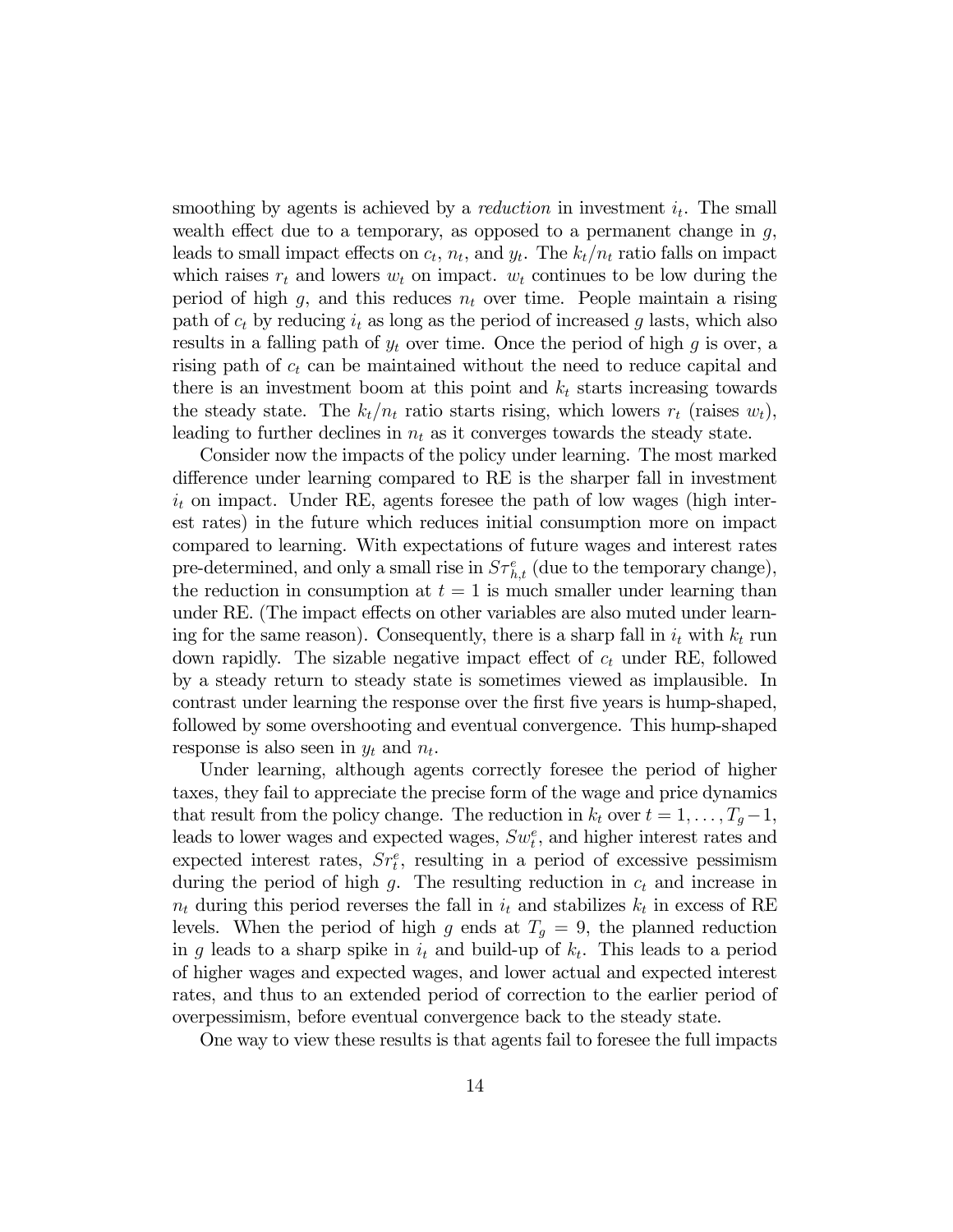smoothing by agents is achieved by a *reduction* in investment  $i_t$ . The small wealth effect due to a temporary, as opposed to a permanent change in  $q$ , leads to small impact effects on  $c_t$ ,  $n_t$ , and  $y_t$ . The  $k_t/n_t$  ratio falls on impact which raises  $r_t$  and lowers  $w_t$  on impact.  $w_t$  continues to be low during the period of high  $g$ , and this reduces  $n_t$  over time. People maintain a rising path of  $c_t$  by reducing  $i_t$  as long as the period of increased g lasts, which also results in a falling path of  $y_t$  over time. Once the period of high  $g$  is over, a rising path of  $c_t$  can be maintained without the need to reduce capital and there is an investment boom at this point and  $k_t$  starts increasing towards the steady state. The  $k_t/n_t$  ratio starts rising, which lowers  $r_t$  (raises  $w_t$ ), leading to further declines in  $n_t$  as it converges towards the steady state.

Consider now the impacts of the policy under learning. The most marked difference under learning compared to RE is the sharper fall in investment  $i_t$  on impact. Under RE, agents foresee the path of low wages (high interest rates) in the future which reduces initial consumption more on impact compared to learning. With expectations of future wages and interest rates pre-determined, and only a small rise in  $S\tau_{h,t}^e$  (due to the temporary change), the reduction in consumption at  $t = 1$  is much smaller under learning than under RE. (The impact effects on other variables are also muted under learning for the same reason). Consequently, there is a sharp fall in  $i_t$  with  $k_t$  run down rapidly. The sizable negative impact effect of  $c_t$  under RE, followed by a steady return to steady state is sometimes viewed as implausible. In contrast under learning the response over the first five years is hump-shaped, followed by some overshooting and eventual convergence. This hump-shaped response is also seen in  $y_t$  and  $n_t$ .

Under learning, although agents correctly foresee the period of higher taxes, they fail to appreciate the precise form of the wage and price dynamics that result from the policy change. The reduction in  $k_t$  over  $t = 1, \ldots, T_q - 1$ , leads to lower wages and expected wages,  $Sw_t^e$ , and higher interest rates and expected interest rates,  $Sr_t^e$ , resulting in a period of excessive pessimism during the period of high  $g$ . The resulting reduction in  $c_t$  and increase in  $n_t$  during this period reverses the fall in  $i_t$  and stabilizes  $k_t$  in excess of RE levels. When the period of high g ends at  $T<sub>g</sub> = 9$ , the planned reduction in g leads to a sharp spike in  $i_t$  and build-up of  $k_t$ . This leads to a period of higher wages and expected wages, and lower actual and expected interest rates, and thus to an extended period of correction to the earlier period of overpessimism, before eventual convergence back to the steady state.

One way to view these results is that agents fail to foresee the full impacts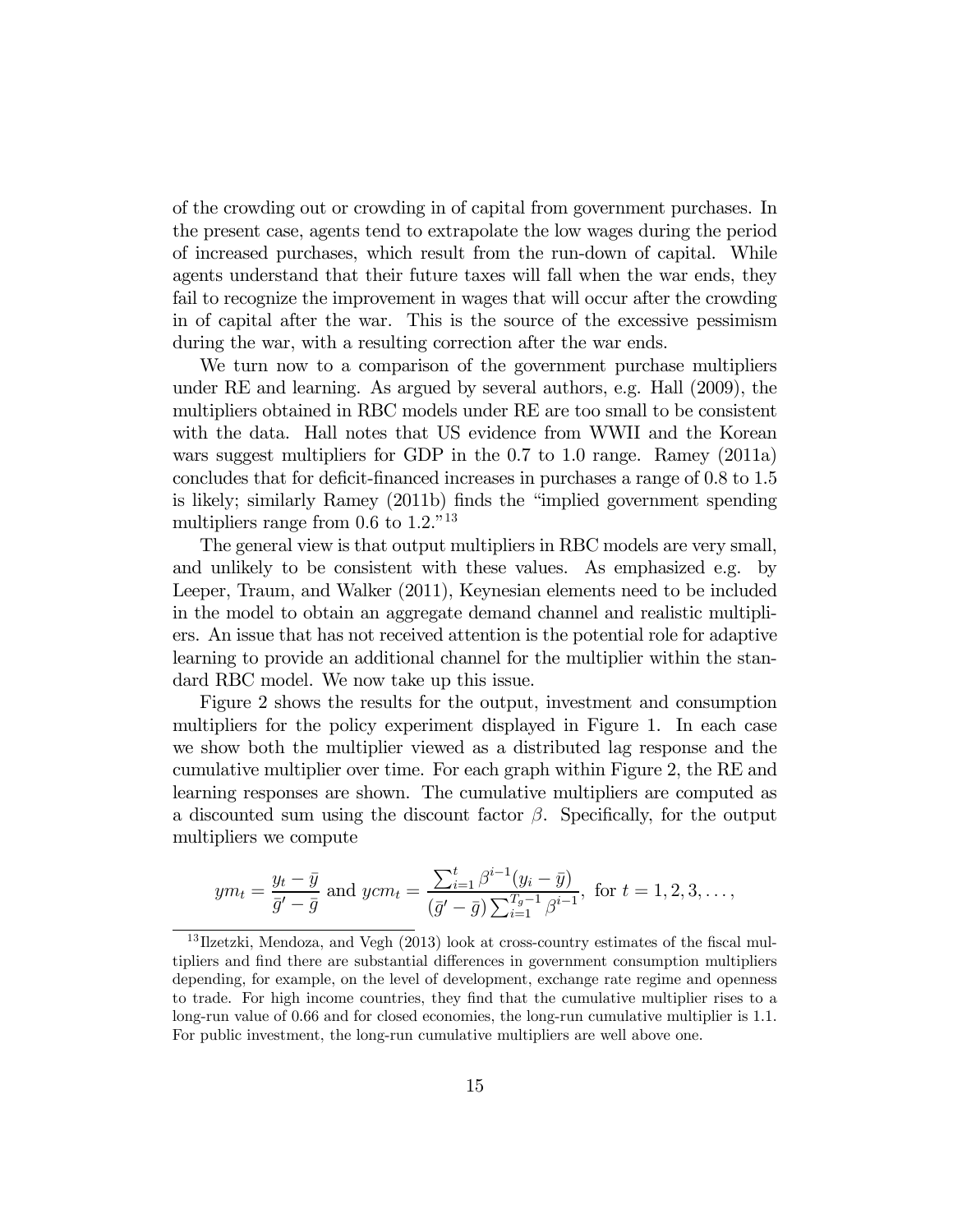of the crowding out or crowding in of capital from government purchases. In the present case, agents tend to extrapolate the low wages during the period of increased purchases, which result from the run-down of capital. While agents understand that their future taxes will fall when the war ends, they fail to recognize the improvement in wages that will occur after the crowding in of capital after the war. This is the source of the excessive pessimism during the war, with a resulting correction after the war ends.

We turn now to a comparison of the government purchase multipliers under RE and learning. As argued by several authors, e.g. Hall (2009), the multipliers obtained in RBC models under RE are too small to be consistent with the data. Hall notes that US evidence from WWII and the Korean wars suggest multipliers for GDP in the 0.7 to 1.0 range. Ramey (2011a) concludes that for deficit-financed increases in purchases a range of 0.8 to 1.5 is likely; similarly Ramey (2011b) finds the "implied government spending multipliers range from  $0.6$  to  $1.2.^{13}$ 

The general view is that output multipliers in RBC models are very small, and unlikely to be consistent with these values. As emphasized e.g. by Leeper, Traum, and Walker (2011), Keynesian elements need to be included in the model to obtain an aggregate demand channel and realistic multipliers. An issue that has not received attention is the potential role for adaptive learning to provide an additional channel for the multiplier within the standard RBC model. We now take up this issue.

Figure 2 shows the results for the output, investment and consumption multipliers for the policy experiment displayed in Figure 1. In each case we show both the multiplier viewed as a distributed lag response and the cumulative multiplier over time. For each graph within Figure 2, the RE and learning responses are shown. The cumulative multipliers are computed as a discounted sum using the discount factor  $\beta$ . Specifically, for the output multipliers we compute

$$
ym_t = \frac{y_t - \bar{y}}{\bar{g}' - \bar{g}} \text{ and } ycm_t = \frac{\sum_{i=1}^t \beta^{i-1} (y_i - \bar{y})}{(\bar{g}' - \bar{g}) \sum_{i=1}^{T_g - 1} \beta^{i-1}}, \text{ for } t = 1, 2, 3, \dots,
$$

 $13$  Ilzetzki, Mendoza, and Vegh (2013) look at cross-country estimates of the fiscal multipliers and find there are substantial differences in government consumption multipliers depending, for example, on the level of development, exchange rate regime and openness to trade. For high income countries, they find that the cumulative multiplier rises to a long-run value of 066 and for closed economies, the long-run cumulative multiplier is 11. For public investment, the long-run cumulative multipliers are well above one.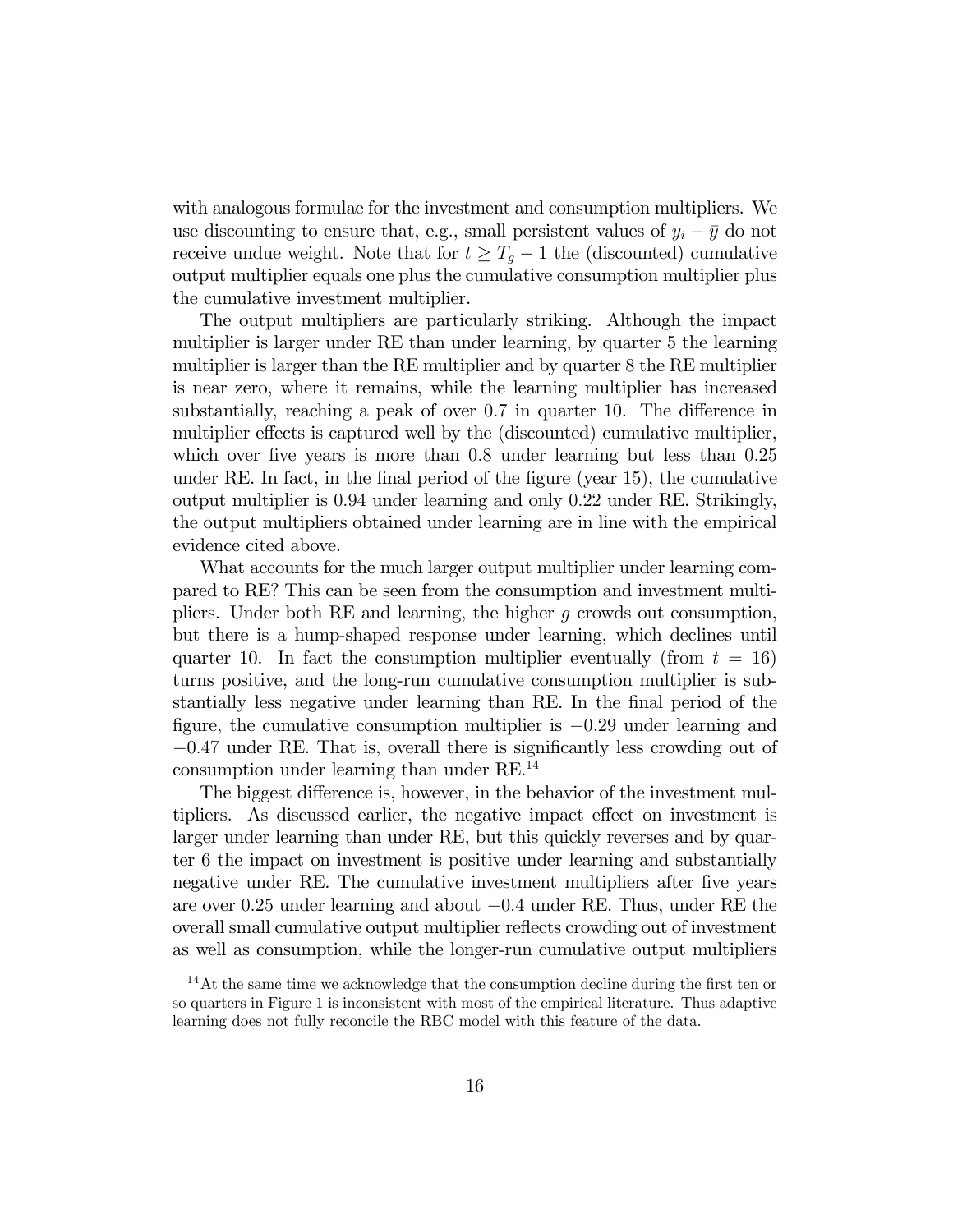with analogous formulae for the investment and consumption multipliers. We use discounting to ensure that, e.g., small persistent values of  $y_i - \bar{y}$  do not receive undue weight. Note that for  $t \geq T_g - 1$  the (discounted) cumulative output multiplier equals one plus the cumulative consumption multiplier plus the cumulative investment multiplier.

The output multipliers are particularly striking. Although the impact multiplier is larger under RE than under learning, by quarter 5 the learning multiplier is larger than the RE multiplier and by quarter 8 the RE multiplier is near zero, where it remains, while the learning multiplier has increased substantially, reaching a peak of over 07 in quarter 10. The difference in multiplier effects is captured well by the (discounted) cumulative multiplier, which over five years is more than  $0.8$  under learning but less than  $0.25$ under RE. In fact, in the final period of the figure (year 15), the cumulative output multiplier is 094 under learning and only 022 under RE. Strikingly, the output multipliers obtained under learning are in line with the empirical evidence cited above.

What accounts for the much larger output multiplier under learning compared to RE? This can be seen from the consumption and investment multipliers. Under both RE and learning, the higher  $q$  crowds out consumption, but there is a hump-shaped response under learning, which declines until quarter 10. In fact the consumption multiplier eventually (from  $t = 16$ ) turns positive, and the long-run cumulative consumption multiplier is substantially less negative under learning than RE. In the final period of the figure, the cumulative consumption multiplier is −029 under learning and −047 under RE. That is, overall there is significantly less crowding out of consumption under learning than under RE.14

The biggest difference is, however, in the behavior of the investment multipliers. As discussed earlier, the negative impact effect on investment is larger under learning than under RE, but this quickly reverses and by quarter 6 the impact on investment is positive under learning and substantially negative under RE. The cumulative investment multipliers after five years are over 025 under learning and about −04 under RE. Thus, under RE the overall small cumulative output multiplier reflects crowding out of investment as well as consumption, while the longer-run cumulative output multipliers

<sup>&</sup>lt;sup>14</sup>At the same time we acknowledge that the consumption decline during the first ten or so quarters in Figure 1 is inconsistent with most of the empirical literature. Thus adaptive learning does not fully reconcile the RBC model with this feature of the data.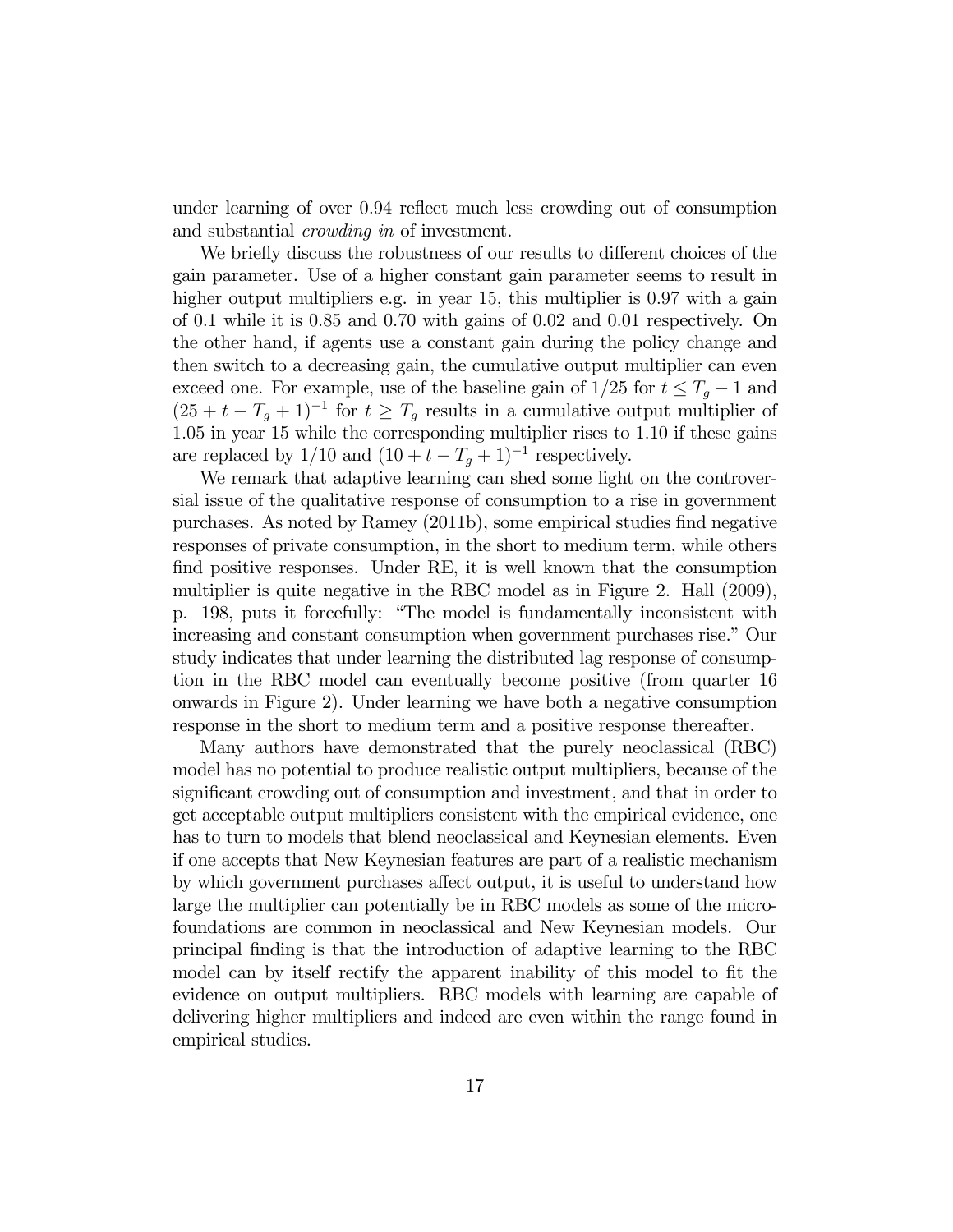under learning of over 0.94 reflect much less crowding out of consumption and substantial crowding in of investment.

We briefly discuss the robustness of our results to different choices of the gain parameter. Use of a higher constant gain parameter seems to result in higher output multipliers e.g. in year 15, this multiplier is 0.97 with a gain of 0.1 while it is  $0.85$  and  $0.70$  with gains of  $0.02$  and  $0.01$  respectively. On the other hand, if agents use a constant gain during the policy change and then switch to a decreasing gain, the cumulative output multiplier can even exceed one. For example, use of the baseline gain of  $1/25$  for  $t \leq T_q - 1$  and  $(25 + t - T_q + 1)^{-1}$  for  $t \geq T_q$  results in a cumulative output multiplier of 1.05 in year 15 while the corresponding multiplier rises to 1.10 if these gains are replaced by  $1/10$  and  $(10 + t - T<sub>q</sub> + 1)<sup>-1</sup>$  respectively.

We remark that adaptive learning can shed some light on the controversial issue of the qualitative response of consumption to a rise in government purchases. As noted by Ramey (2011b), some empirical studies find negative responses of private consumption, in the short to medium term, while others find positive responses. Under RE, it is well known that the consumption multiplier is quite negative in the RBC model as in Figure 2. Hall (2009), p. 198, puts it forcefully: "The model is fundamentally inconsistent with increasing and constant consumption when government purchases rise." Our study indicates that under learning the distributed lag response of consumption in the RBC model can eventually become positive (from quarter 16 onwards in Figure 2). Under learning we have both a negative consumption response in the short to medium term and a positive response thereafter.

Many authors have demonstrated that the purely neoclassical (RBC) model has no potential to produce realistic output multipliers, because of the significant crowding out of consumption and investment, and that in order to get acceptable output multipliers consistent with the empirical evidence, one has to turn to models that blend neoclassical and Keynesian elements. Even if one accepts that New Keynesian features are part of a realistic mechanism by which government purchases affect output, it is useful to understand how large the multiplier can potentially be in RBC models as some of the microfoundations are common in neoclassical and New Keynesian models. Our principal finding is that the introduction of adaptive learning to the RBC model can by itself rectify the apparent inability of this model to fit the evidence on output multipliers. RBC models with learning are capable of delivering higher multipliers and indeed are even within the range found in empirical studies.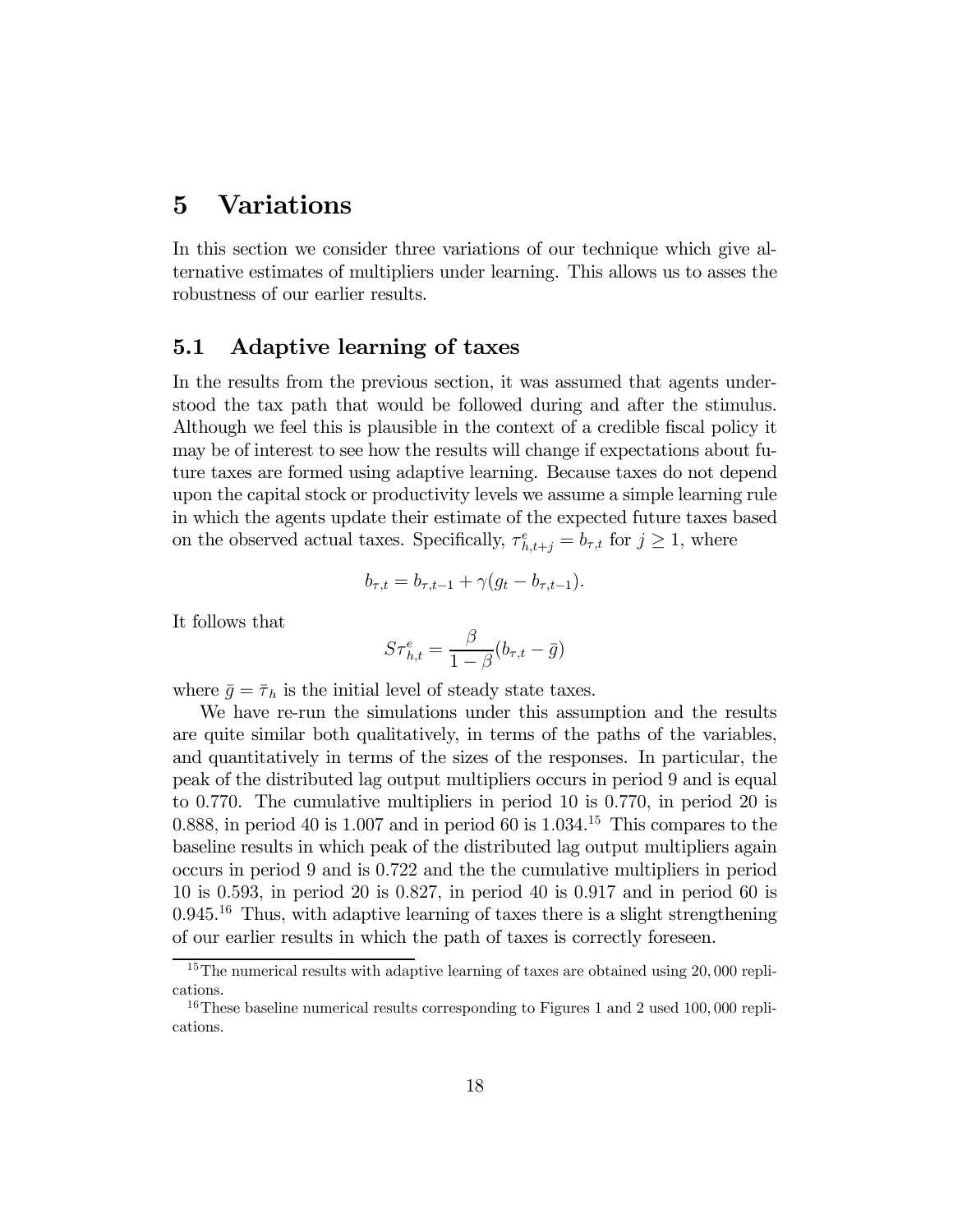#### 5 Variations

In this section we consider three variations of our technique which give alternative estimates of multipliers under learning. This allows us to asses the robustness of our earlier results.

#### 5.1 Adaptive learning of taxes

In the results from the previous section, it was assumed that agents understood the tax path that would be followed during and after the stimulus. Although we feel this is plausible in the context of a credible fiscal policy it may be of interest to see how the results will change if expectations about future taxes are formed using adaptive learning. Because taxes do not depend upon the capital stock or productivity levels we assume a simple learning rule in which the agents update their estimate of the expected future taxes based on the observed actual taxes. Specifically,  $\tau_{h,t+j}^e = b_{\tau,t}$  for  $j \geq 1$ , where

$$
b_{\tau,t} = b_{\tau,t-1} + \gamma (g_t - b_{\tau,t-1}).
$$

It follows that

$$
S\tau_{h,t}^e = \frac{\beta}{1-\beta}(b_{\tau,t} - \bar{g})
$$

where  $\bar{g} = \bar{\tau}_h$  is the initial level of steady state taxes.

We have re-run the simulations under this assumption and the results are quite similar both qualitatively, in terms of the paths of the variables, and quantitatively in terms of the sizes of the responses. In particular, the peak of the distributed lag output multipliers occurs in period 9 and is equal to  $0.770$ . The cumulative multipliers in period 10 is  $0.770$ , in period 20 is 0.888, in period 40 is 1.007 and in period 60 is  $1.034$ <sup>15</sup> This compares to the baseline results in which peak of the distributed lag output multipliers again occurs in period 9 and is 0722 and the the cumulative multipliers in period 10 is 0.593, in period 20 is 0.827, in period 40 is 0.917 and in period 60 is  $0.945<sup>16</sup>$  Thus, with adaptive learning of taxes there is a slight strengthening of our earlier results in which the path of taxes is correctly foreseen.

 $15$ The numerical results with adaptive learning of taxes are obtained using 20,000 replications.

 $16$ These baseline numerical results corresponding to Figures 1 and 2 used 100,000 replications.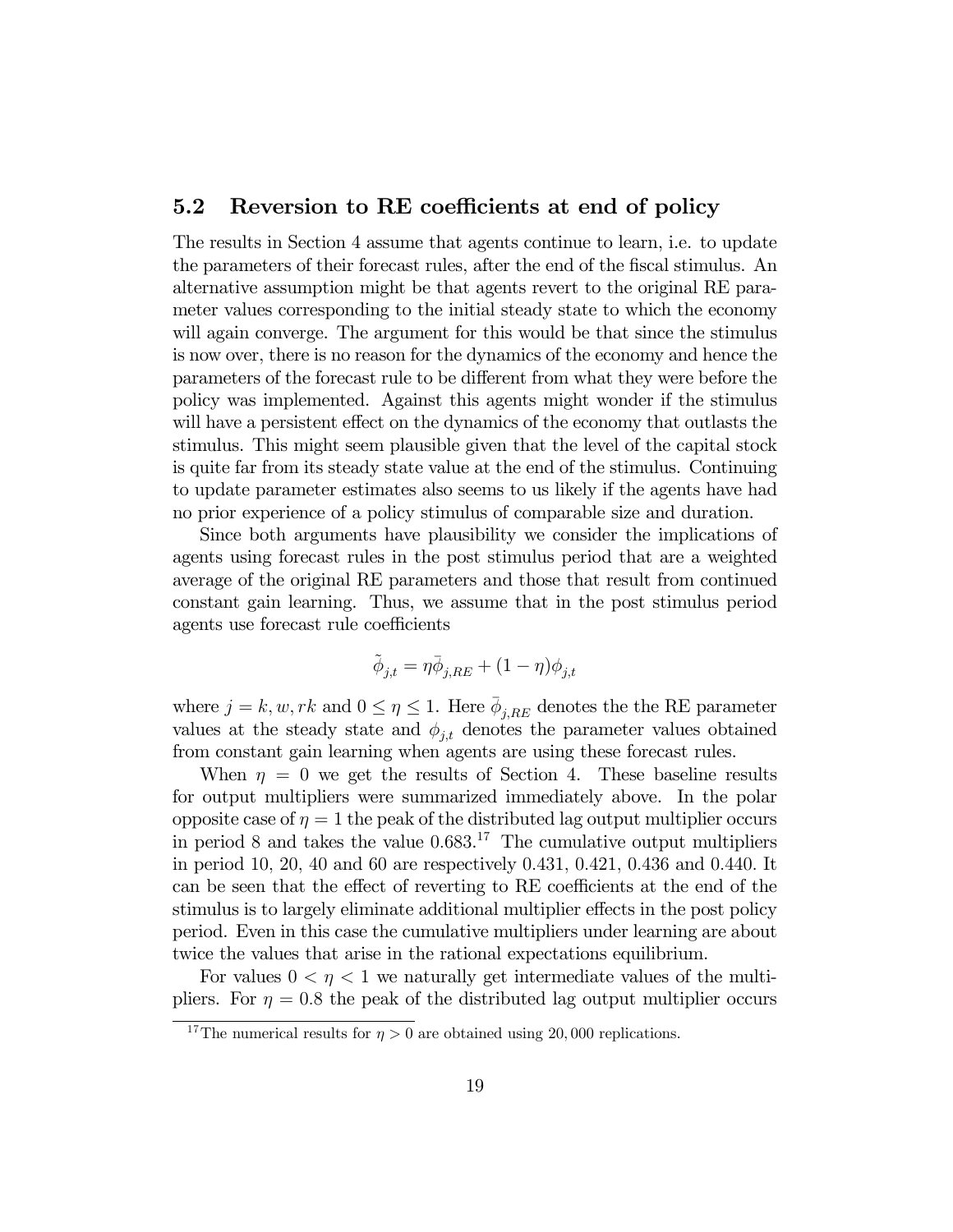#### 5.2 Reversion to RE coefficients at end of policy

The results in Section 4 assume that agents continue to learn, i.e. to update the parameters of their forecast rules, after the end of the fiscal stimulus. An alternative assumption might be that agents revert to the original RE parameter values corresponding to the initial steady state to which the economy will again converge. The argument for this would be that since the stimulus is now over, there is no reason for the dynamics of the economy and hence the parameters of the forecast rule to be different from what they were before the policy was implemented. Against this agents might wonder if the stimulus will have a persistent effect on the dynamics of the economy that outlasts the stimulus. This might seem plausible given that the level of the capital stock is quite far from its steady state value at the end of the stimulus. Continuing to update parameter estimates also seems to us likely if the agents have had no prior experience of a policy stimulus of comparable size and duration.

Since both arguments have plausibility we consider the implications of agents using forecast rules in the post stimulus period that are a weighted average of the original RE parameters and those that result from continued constant gain learning. Thus, we assume that in the post stimulus period agents use forecast rule coefficients

$$
\tilde{\phi}_{j,t} = \eta \bar{\phi}_{j,RE} + (1 - \eta)\phi_{j,t}
$$

where  $j = k, w, rk$  and  $0 \leq \eta \leq 1$ . Here  $\bar{\phi}_{j,RE}$  denotes the the RE parameter values at the steady state and  $\phi_{j,t}$  denotes the parameter values obtained from constant gain learning when agents are using these forecast rules.

When  $\eta = 0$  we get the results of Section 4. These baseline results for output multipliers were summarized immediately above. In the polar opposite case of  $\eta = 1$  the peak of the distributed lag output multiplier occurs in period 8 and takes the value  $0.683<sup>17</sup>$  The cumulative output multipliers in period 10, 20, 40 and 60 are respectively 0.431, 0.421, 0.436 and 0.440. It can be seen that the effect of reverting to RE coefficients at the end of the stimulus is to largely eliminate additional multiplier effects in the post policy period. Even in this case the cumulative multipliers under learning are about twice the values that arise in the rational expectations equilibrium.

For values  $0 < \eta < 1$  we naturally get intermediate values of the multipliers. For  $\eta = 0.8$  the peak of the distributed lag output multiplier occurs

<sup>&</sup>lt;sup>17</sup>The numerical results for  $\eta > 0$  are obtained using 20,000 replications.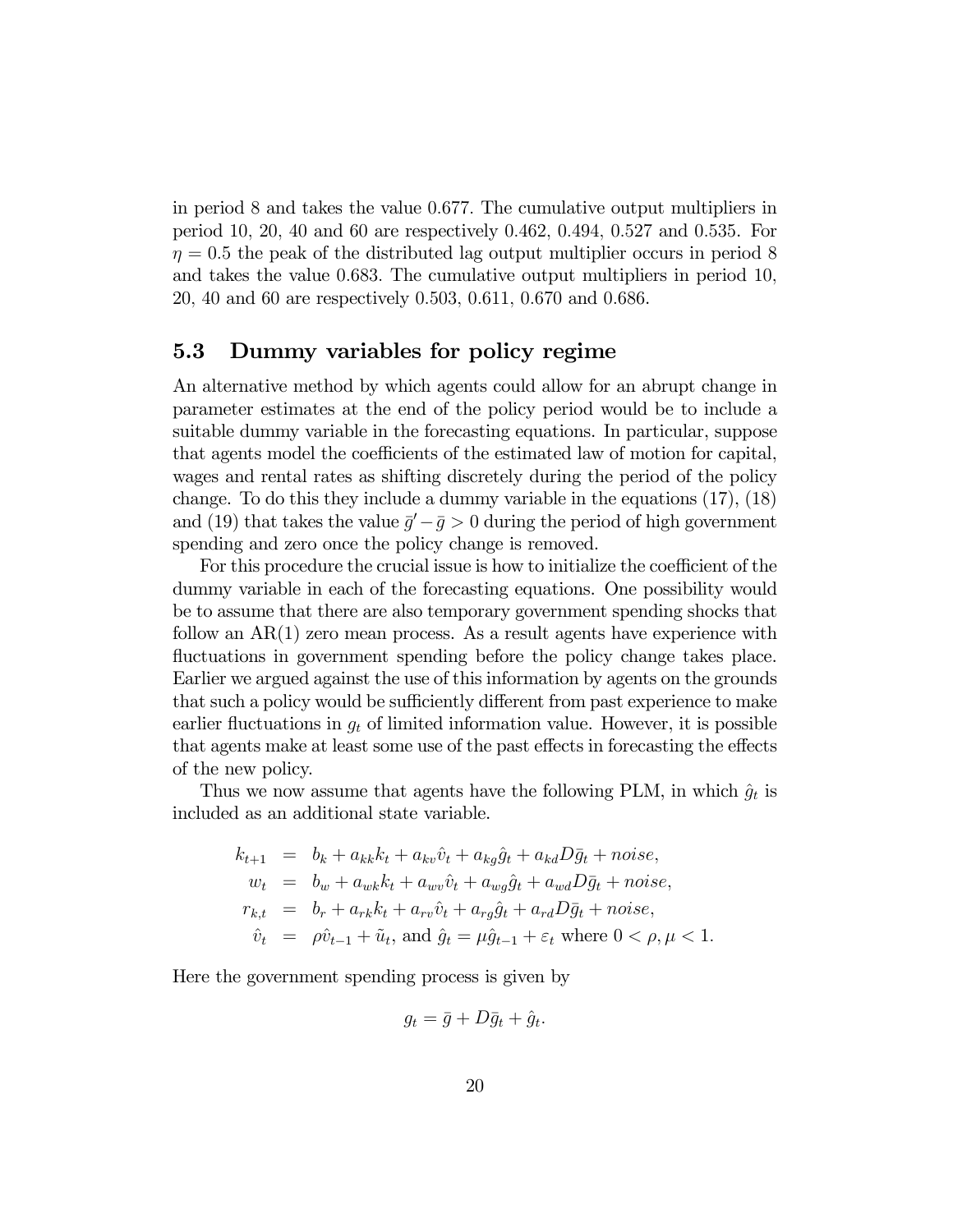in period 8 and takes the value 0677 The cumulative output multipliers in period 10, 20, 40 and 60 are respectively  $0.462$ ,  $0.494$ ,  $0.527$  and  $0.535$ . For  $\eta = 0.5$  the peak of the distributed lag output multiplier occurs in period 8 and takes the value 0.683. The cumulative output multipliers in period 10, 20, 40 and 60 are respectively 0.503, 0.611, 0.670 and 0.686.

#### 5.3 Dummy variables for policy regime

An alternative method by which agents could allow for an abrupt change in parameter estimates at the end of the policy period would be to include a suitable dummy variable in the forecasting equations. In particular, suppose that agents model the coefficients of the estimated law of motion for capital, wages and rental rates as shifting discretely during the period of the policy change. To do this they include a dummy variable in the equations (17), (18) and (19) that takes the value  $\bar{g}' - \bar{g} > 0$  during the period of high government spending and zero once the policy change is removed.

For this procedure the crucial issue is how to initialize the coefficient of the dummy variable in each of the forecasting equations. One possibility would be to assume that there are also temporary government spending shocks that follow an  $AR(1)$  zero mean process. As a result agents have experience with fluctuations in government spending before the policy change takes place. Earlier we argued against the use of this information by agents on the grounds that such a policy would be sufficiently different from past experience to make earlier fluctuations in  $g_t$  of limited information value. However, it is possible that agents make at least some use of the past effects in forecasting the effects of the new policy.

Thus we now assume that agents have the following PLM, in which  $\hat{g}_t$  is included as an additional state variable.

$$
k_{t+1} = b_k + a_{kk}k_t + a_{kv}\hat{v}_t + a_{kg}\hat{g}_t + a_{kd}D\bar{g}_t + noise,
$$
  
\n
$$
w_t = b_w + a_{wk}k_t + a_{wv}\hat{v}_t + a_{wg}\hat{g}_t + a_{wd}D\bar{g}_t + noise,
$$
  
\n
$$
r_{k,t} = b_r + a_{rk}k_t + a_{rv}\hat{v}_t + a_{rg}\hat{g}_t + a_{rd}D\bar{g}_t + noise,
$$
  
\n
$$
\hat{v}_t = \rho \hat{v}_{t-1} + \tilde{u}_t, \text{ and } \hat{g}_t = \mu \hat{g}_{t-1} + \varepsilon_t \text{ where } 0 < \rho, \mu < 1.
$$

Here the government spending process is given by

$$
g_t = \bar{g} + D\bar{g}_t + \hat{g}_t.
$$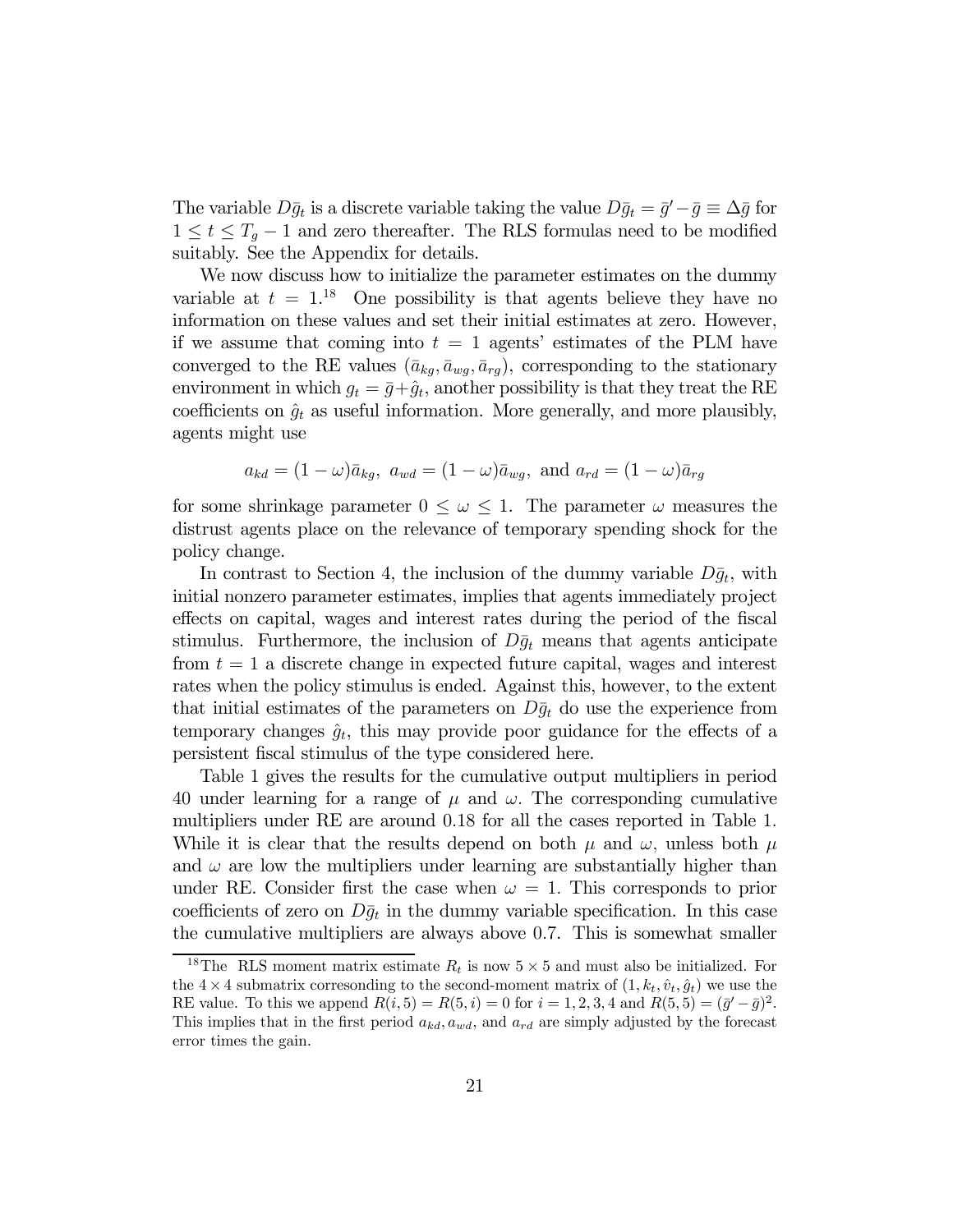The variable  $D\bar{g}_t$  is a discrete variable taking the value  $D\bar{g}_t = \bar{g}' - \bar{g} \equiv \Delta \bar{g}$  for  $1 \leq t \leq T_g - 1$  and zero thereafter. The RLS formulas need to be modified suitably. See the Appendix for details.

We now discuss how to initialize the parameter estimates on the dummy variable at  $t = 1$ .<sup>18</sup> One possibility is that agents believe they have no information on these values and set their initial estimates at zero. However, if we assume that coming into  $t = 1$  agents' estimates of the PLM have converged to the RE values  $(\bar{a}_{kq}, \bar{a}_{wq}, \bar{a}_{rq})$ , corresponding to the stationary environment in which  $g_t = \bar{g} + \hat{g}_t$ , another possibility is that they treat the RE coefficients on  $\hat{g}_t$  as useful information. More generally, and more plausibly, agents might use

$$
a_{kd} = (1 - \omega)\bar{a}_{kg}, \ a_{wd} = (1 - \omega)\bar{a}_{wg}, \text{ and } a_{rd} = (1 - \omega)\bar{a}_{rg}
$$

for some shrinkage parameter  $0 \leq \omega \leq 1$ . The parameter  $\omega$  measures the distrust agents place on the relevance of temporary spending shock for the policy change.

In contrast to Section 4, the inclusion of the dummy variable  $D\bar{g}_t$ , with initial nonzero parameter estimates, implies that agents immediately project effects on capital, wages and interest rates during the period of the fiscal stimulus. Furthermore, the inclusion of  $D\bar{g}_t$  means that agents anticipate from  $t = 1$  a discrete change in expected future capital, wages and interest rates when the policy stimulus is ended. Against this, however, to the extent that initial estimates of the parameters on  $D\bar{g}_t$  do use the experience from temporary changes  $\hat{g}_t$ , this may provide poor guidance for the effects of a persistent fiscal stimulus of the type considered here.

Table 1 gives the results for the cumulative output multipliers in period 40 under learning for a range of  $\mu$  and  $\omega$ . The corresponding cumulative multipliers under RE are around 0.18 for all the cases reported in Table 1. While it is clear that the results depend on both  $\mu$  and  $\omega$ , unless both  $\mu$ and  $\omega$  are low the multipliers under learning are substantially higher than under RE. Consider first the case when  $\omega = 1$ . This corresponds to prior coefficients of zero on  $D\bar{g}_t$  in the dummy variable specification. In this case the cumulative multipliers are always above 07. This is somewhat smaller

<sup>&</sup>lt;sup>18</sup>The RLS moment matrix estimate  $R_t$  is now  $5 \times 5$  and must also be initialized. For the  $4 \times 4$  submatrix corresonding to the second-moment matrix of  $(1, k_t, \hat{v}_t, \hat{g}_t)$  we use the RE value. To this we append  $R(i,5) = R(5, i) = 0$  for  $i = 1, 2, 3, 4$  and  $R(5, 5) = (\bar{g}' - \bar{g})^2$ . This implies that in the first period  $a_{kd}$ ,  $a_{wd}$ , and  $a_{rd}$  are simply adjusted by the forecast error times the gain.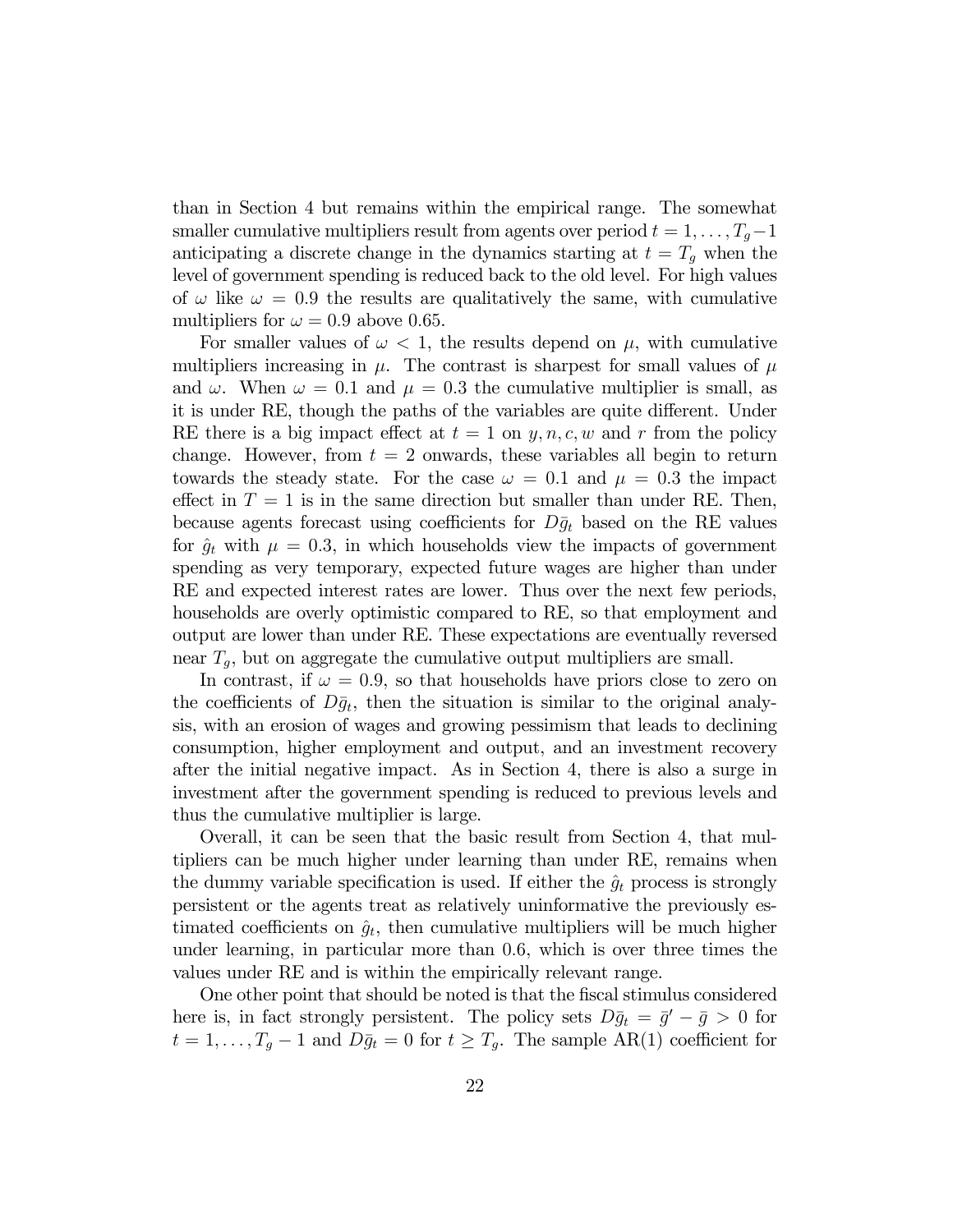than in Section 4 but remains within the empirical range. The somewhat smaller cumulative multipliers result from agents over period  $t = 1, \ldots, T_g - 1$ anticipating a discrete change in the dynamics starting at  $t = T<sub>g</sub>$  when the level of government spending is reduced back to the old level. For high values of  $\omega$  like  $\omega = 0.9$  the results are qualitatively the same, with cumulative multipliers for  $\omega = 0.9$  above 0.65.

For smaller values of  $\omega < 1$ , the results depend on  $\mu$ , with cumulative multipliers increasing in  $\mu$ . The contrast is sharpest for small values of  $\mu$ and  $\omega$ . When  $\omega = 0.1$  and  $\mu = 0.3$  the cumulative multiplier is small, as it is under RE, though the paths of the variables are quite different. Under RE there is a big impact effect at  $t = 1$  on  $y, n, c, w$  and r from the policy change. However, from  $t = 2$  onwards, these variables all begin to return towards the steady state. For the case  $\omega = 0.1$  and  $\mu = 0.3$  the impact effect in  $T = 1$  is in the same direction but smaller than under RE. Then, because agents forecast using coefficients for  $D\bar{g}_t$  based on the RE values for  $\hat{g}_t$  with  $\mu = 0.3$ , in which households view the impacts of government spending as very temporary, expected future wages are higher than under RE and expected interest rates are lower. Thus over the next few periods, households are overly optimistic compared to RE, so that employment and output are lower than under RE. These expectations are eventually reversed near  $T_q$ , but on aggregate the cumulative output multipliers are small.

In contrast, if  $\omega = 0.9$ , so that households have priors close to zero on the coefficients of  $D\bar{g}_t$ , then the situation is similar to the original analysis, with an erosion of wages and growing pessimism that leads to declining consumption, higher employment and output, and an investment recovery after the initial negative impact. As in Section 4, there is also a surge in investment after the government spending is reduced to previous levels and thus the cumulative multiplier is large.

Overall, it can be seen that the basic result from Section 4, that multipliers can be much higher under learning than under RE, remains when the dummy variable specification is used. If either the  $\hat{g}_t$  process is strongly persistent or the agents treat as relatively uninformative the previously estimated coefficients on  $\hat{g}_t$ , then cumulative multipliers will be much higher under learning, in particular more than 06, which is over three times the values under RE and is within the empirically relevant range.

One other point that should be noted is that the fiscal stimulus considered here is, in fact strongly persistent. The policy sets  $D\bar{g}_t = \bar{g}' - \bar{g} > 0$  for  $t = 1, \ldots, T_g - 1$  and  $D\bar{g}_t = 0$  for  $t \geq T_g$ . The sample AR(1) coefficient for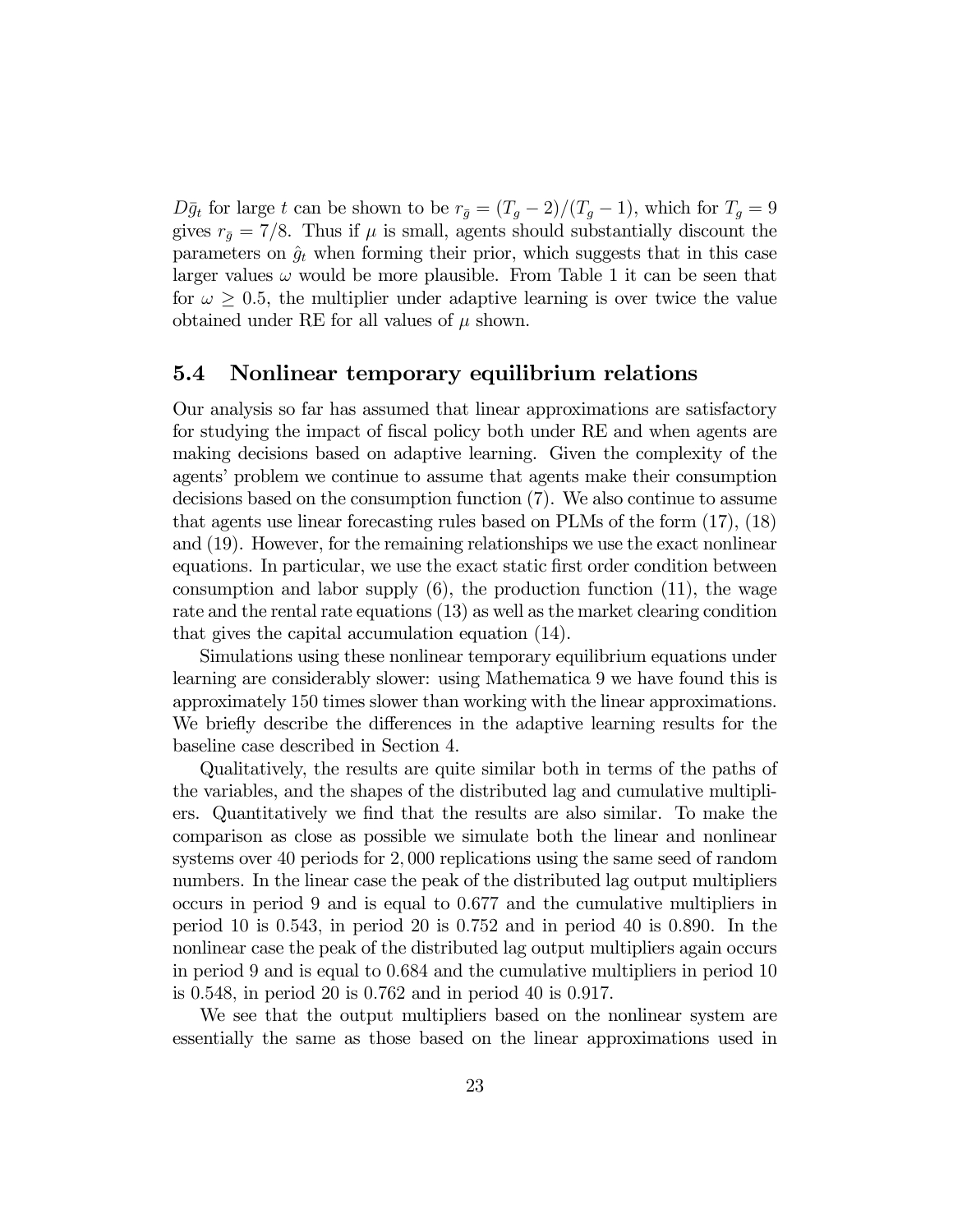$D\bar{g}_t$  for large t can be shown to be  $r_{\bar{g}} = (T_g - 2)/(T_g - 1)$ , which for  $T_g = 9$ gives  $r_{\bar{q}} = 7/8$ . Thus if  $\mu$  is small, agents should substantially discount the parameters on  $\hat{g}_t$  when forming their prior, which suggests that in this case larger values  $\omega$  would be more plausible. From Table 1 it can be seen that for  $\omega \geq 0.5$ , the multiplier under adaptive learning is over twice the value obtained under RE for all values of  $\mu$  shown.

#### 5.4 Nonlinear temporary equilibrium relations

Our analysis so far has assumed that linear approximations are satisfactory for studying the impact of fiscal policy both under RE and when agents are making decisions based on adaptive learning. Given the complexity of the agents' problem we continue to assume that agents make their consumption decisions based on the consumption function (7). We also continue to assume that agents use linear forecasting rules based on PLMs of the form (17), (18) and (19). However, for the remaining relationships we use the exact nonlinear equations. In particular, we use the exact static first order condition between consumption and labor supply  $(6)$ , the production function  $(11)$ , the wage rate and the rental rate equations (13) as well as the market clearing condition that gives the capital accumulation equation (14).

Simulations using these nonlinear temporary equilibrium equations under learning are considerably slower: using Mathematica 9 we have found this is approximately 150 times slower than working with the linear approximations. We briefly describe the differences in the adaptive learning results for the baseline case described in Section 4.

Qualitatively, the results are quite similar both in terms of the paths of the variables, and the shapes of the distributed lag and cumulative multipliers. Quantitatively we find that the results are also similar. To make the comparison as close as possible we simulate both the linear and nonlinear systems over 40 periods for 2,000 replications using the same seed of random numbers. In the linear case the peak of the distributed lag output multipliers occurs in period 9 and is equal to 0677 and the cumulative multipliers in period 10 is 0.543, in period 20 is 0.752 and in period 40 is 0.890. In the nonlinear case the peak of the distributed lag output multipliers again occurs in period 9 and is equal to 0684 and the cumulative multipliers in period 10 is 0.548, in period 20 is  $0.762$  and in period 40 is 0.917.

We see that the output multipliers based on the nonlinear system are essentially the same as those based on the linear approximations used in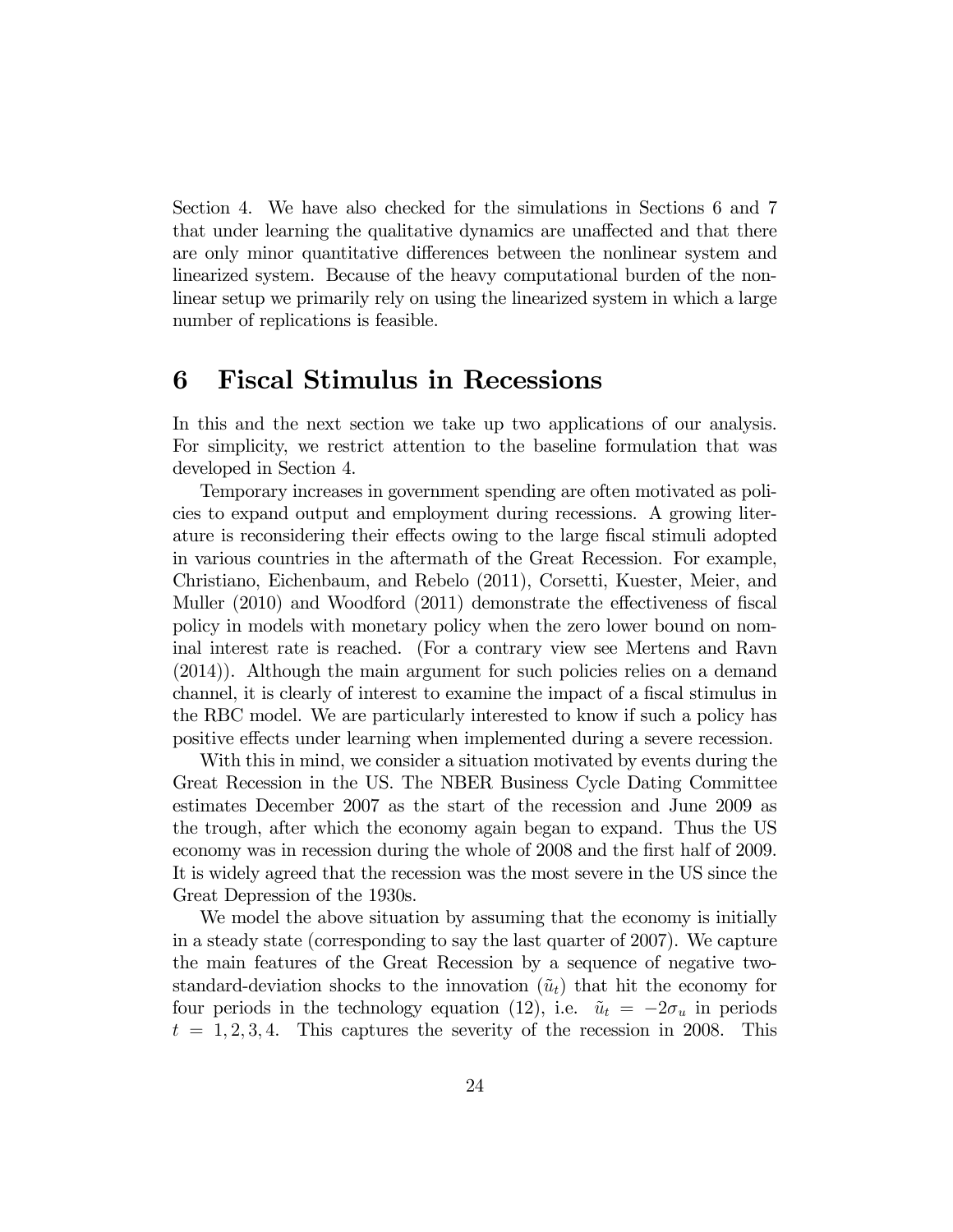Section 4. We have also checked for the simulations in Sections 6 and 7 that under learning the qualitative dynamics are unaffected and that there are only minor quantitative differences between the nonlinear system and linearized system. Because of the heavy computational burden of the nonlinear setup we primarily rely on using the linearized system in which a large number of replications is feasible.

### 6 Fiscal Stimulus in Recessions

In this and the next section we take up two applications of our analysis. For simplicity, we restrict attention to the baseline formulation that was developed in Section 4.

Temporary increases in government spending are often motivated as policies to expand output and employment during recessions. A growing literature is reconsidering their effects owing to the large fiscal stimuli adopted in various countries in the aftermath of the Great Recession. For example, Christiano, Eichenbaum, and Rebelo (2011), Corsetti, Kuester, Meier, and Muller (2010) and Woodford (2011) demonstrate the effectiveness of fiscal policy in models with monetary policy when the zero lower bound on nominal interest rate is reached. (For a contrary view see Mertens and Ravn (2014)). Although the main argument for such policies relies on a demand channel, it is clearly of interest to examine the impact of a fiscal stimulus in the RBC model. We are particularly interested to know if such a policy has positive effects under learning when implemented during a severe recession.

With this in mind, we consider a situation motivated by events during the Great Recession in the US. The NBER Business Cycle Dating Committee estimates December 2007 as the start of the recession and June 2009 as the trough, after which the economy again began to expand. Thus the US economy was in recession during the whole of 2008 and the first half of 2009. It is widely agreed that the recession was the most severe in the US since the Great Depression of the 1930s.

We model the above situation by assuming that the economy is initially in a steady state (corresponding to say the last quarter of 2007). We capture the main features of the Great Recession by a sequence of negative twostandard-deviation shocks to the innovation  $(\tilde{u}_t)$  that hit the economy for four periods in the technology equation (12), i.e.  $\tilde{u}_t = -2\sigma_u$  in periods  $t = 1, 2, 3, 4$ . This captures the severity of the recession in 2008. This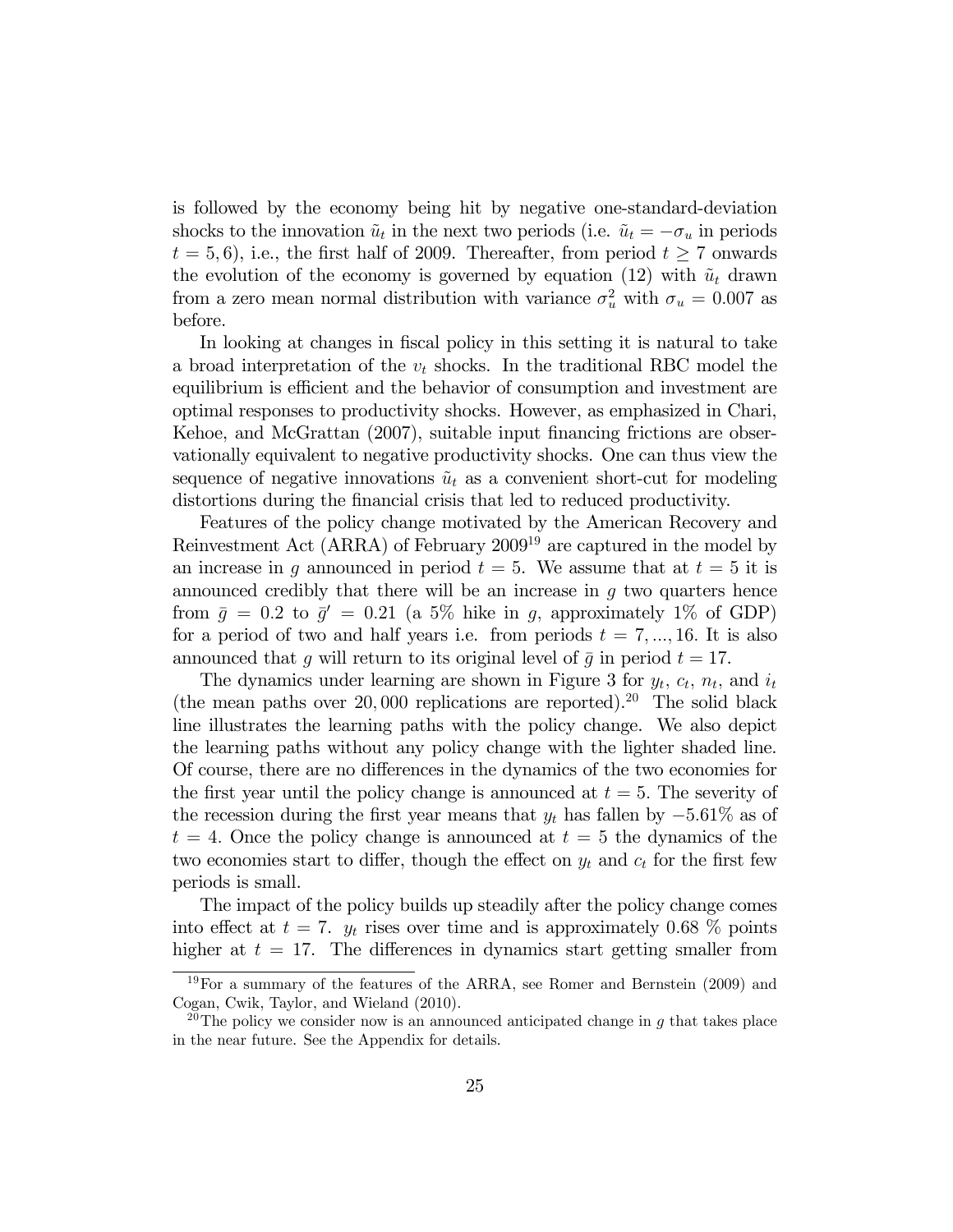is followed by the economy being hit by negative one-standard-deviation shocks to the innovation  $\tilde{u}_t$  in the next two periods (i.e.  $\tilde{u}_t = -\sigma_u$  in periods  $t = 5, 6$ , i.e., the first half of 2009. Thereafter, from period  $t \ge 7$  onwards the evolution of the economy is governed by equation (12) with  $\tilde{u}_t$  drawn from a zero mean normal distribution with variance  $\sigma_u^2$  with  $\sigma_u = 0.007$  as before.

In looking at changes in fiscal policy in this setting it is natural to take a broad interpretation of the  $v_t$  shocks. In the traditional RBC model the equilibrium is efficient and the behavior of consumption and investment are optimal responses to productivity shocks. However, as emphasized in Chari, Kehoe, and McGrattan (2007), suitable input financing frictions are observationally equivalent to negative productivity shocks. One can thus view the sequence of negative innovations  $\tilde{u}_t$  as a convenient short-cut for modeling distortions during the financial crisis that led to reduced productivity.

Features of the policy change motivated by the American Recovery and Reinvestment Act (ARRA) of February 200919 are captured in the model by an increase in g announced in period  $t = 5$ . We assume that at  $t = 5$  it is announced credibly that there will be an increase in  $g$  two quarters hence from  $\bar{g} = 0.2$  to  $\bar{g}' = 0.21$  (a 5% hike in g, approximately 1% of GDP) for a period of two and half years i.e. from periods  $t = 7, \dots, 16$ . It is also announced that g will return to its original level of  $\bar{g}$  in period  $t = 17$ .

The dynamics under learning are shown in Figure 3 for  $y_t$ ,  $c_t$ ,  $n_t$ , and  $i_t$ (the mean paths over 20,000 replications are reported).<sup>20</sup> The solid black line illustrates the learning paths with the policy change. We also depict the learning paths without any policy change with the lighter shaded line. Of course, there are no differences in the dynamics of the two economies for the first year until the policy change is announced at  $t = 5$ . The severity of the recession during the first year means that  $y_t$  has fallen by  $-5.61\%$  as of  $t = 4$ . Once the policy change is announced at  $t = 5$  the dynamics of the two economies start to differ, though the effect on  $y_t$  and  $c_t$  for the first few periods is small.

The impact of the policy builds up steadily after the policy change comes into effect at  $t = 7$ .  $y_t$  rises over time and is approximately 0.68 % points higher at  $t = 17$ . The differences in dynamics start getting smaller from

<sup>&</sup>lt;sup>19</sup>For a summary of the features of the ARRA, see Romer and Bernstein (2009) and Cogan, Cwik, Taylor, and Wieland (2010).

<sup>&</sup>lt;sup>20</sup>The policy we consider now is an announced anticipated change in  $g$  that takes place in the near future. See the Appendix for details.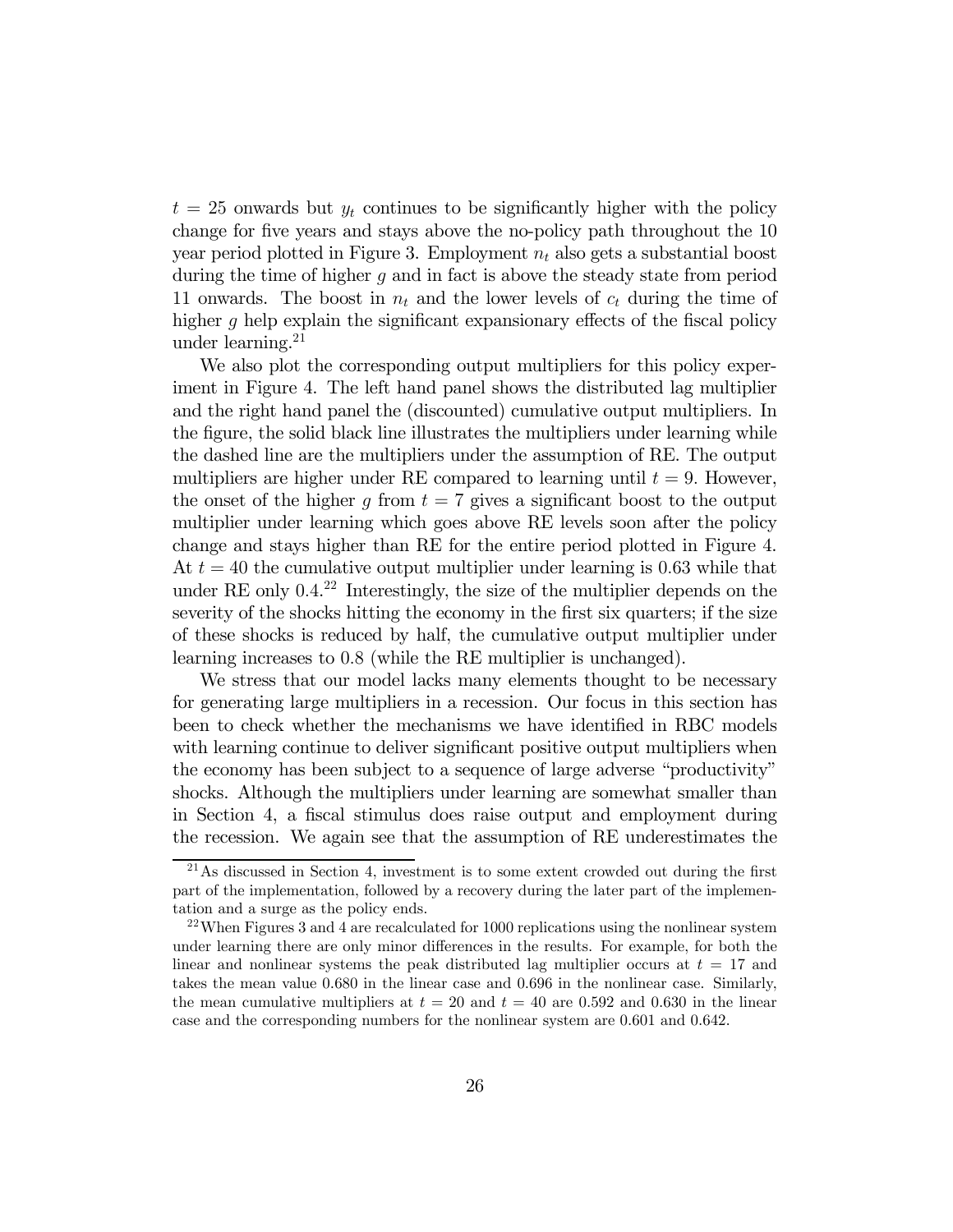$t = 25$  onwards but  $y_t$  continues to be significantly higher with the policy change for five years and stays above the no-policy path throughout the 10 year period plotted in Figure 3. Employment  $n_t$  also gets a substantial boost during the time of higher  $g$  and in fact is above the steady state from period 11 onwards. The boost in  $n_t$  and the lower levels of  $c_t$  during the time of higher  $g$  help explain the significant expansionary effects of the fiscal policy under learning.21

We also plot the corresponding output multipliers for this policy experiment in Figure 4. The left hand panel shows the distributed lag multiplier and the right hand panel the (discounted) cumulative output multipliers. In the figure, the solid black line illustrates the multipliers under learning while the dashed line are the multipliers under the assumption of RE. The output multipliers are higher under RE compared to learning until  $t = 9$ . However, the onset of the higher g from  $t = 7$  gives a significant boost to the output multiplier under learning which goes above RE levels soon after the policy change and stays higher than RE for the entire period plotted in Figure 4. At  $t = 40$  the cumulative output multiplier under learning is 0.63 while that under RE only 0.4.<sup>22</sup> Interestingly, the size of the multiplier depends on the severity of the shocks hitting the economy in the first six quarters; if the size of these shocks is reduced by half, the cumulative output multiplier under learning increases to  $0.8$  (while the RE multiplier is unchanged).

We stress that our model lacks many elements thought to be necessary for generating large multipliers in a recession. Our focus in this section has been to check whether the mechanisms we have identified in RBC models with learning continue to deliver significant positive output multipliers when the economy has been subject to a sequence of large adverse "productivity" shocks. Although the multipliers under learning are somewhat smaller than in Section 4, a fiscal stimulus does raise output and employment during the recession. We again see that the assumption of RE underestimates the

 $21$ As discussed in Section 4, investment is to some extent crowded out during the first part of the implementation, followed by a recovery during the later part of the implementation and a surge as the policy ends.

<sup>&</sup>lt;sup>22</sup>When Figures 3 and 4 are recalculated for  $1000$  replications using the nonlinear system under learning there are only minor differences in the results. For example, for both the linear and nonlinear systems the peak distributed lag multiplier occurs at  $t = 17$  and takes the mean value 0680 in the linear case and 0696 in the nonlinear case. Similarly, the mean cumulative multipliers at  $t = 20$  and  $t = 40$  are 0.592 and 0.630 in the linear case and the corresponding numbers for the nonlinear system are 0601 and 0642.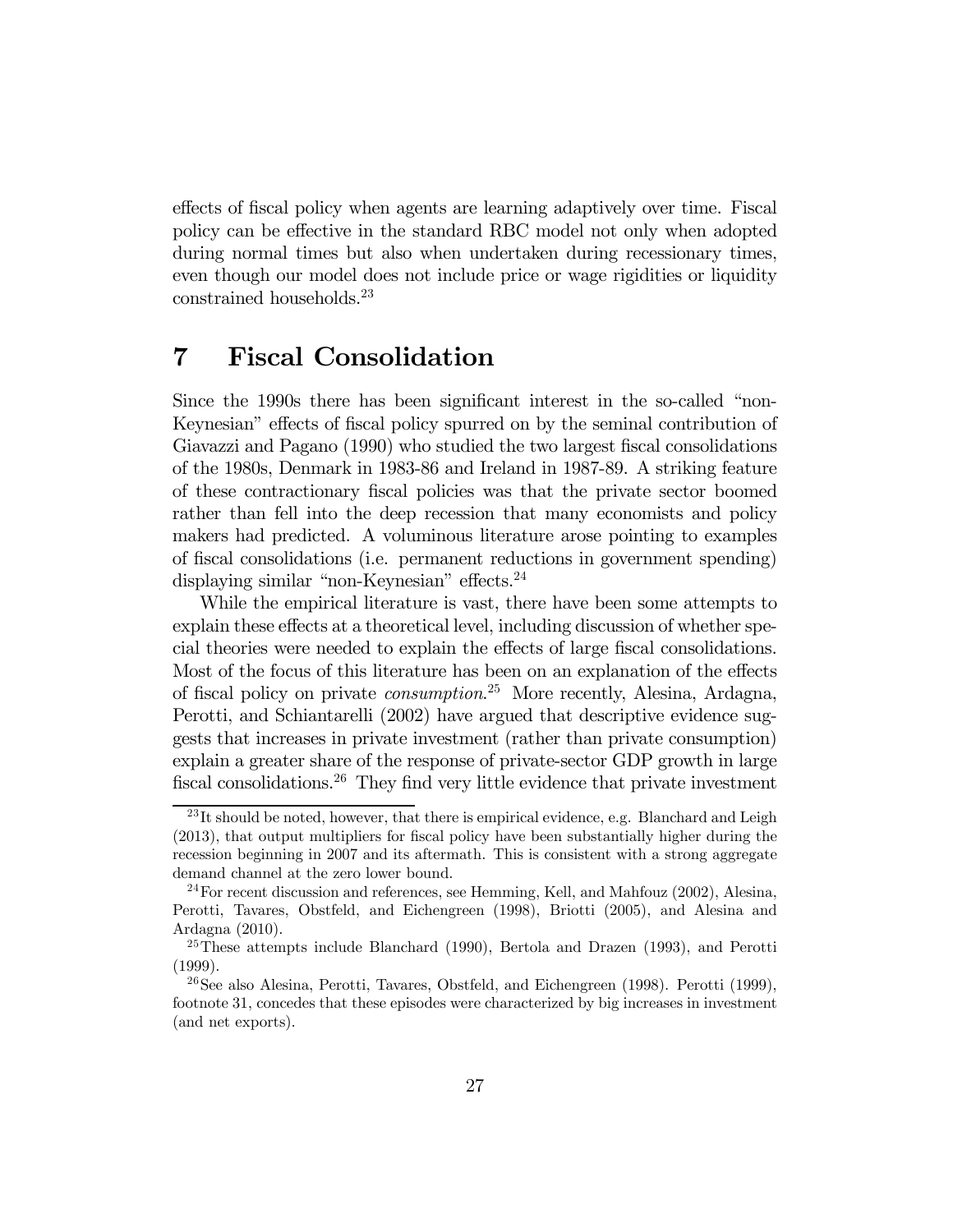effects of fiscal policy when agents are learning adaptively over time. Fiscal policy can be effective in the standard RBC model not only when adopted during normal times but also when undertaken during recessionary times, even though our model does not include price or wage rigidities or liquidity constrained households.23

### 7 Fiscal Consolidation

Since the 1990s there has been significant interest in the so-called "non-Keynesian" effects of fiscal policy spurred on by the seminal contribution of Giavazzi and Pagano (1990) who studied the two largest fiscal consolidations of the 1980s, Denmark in 1983-86 and Ireland in 1987-89. A striking feature of these contractionary fiscal policies was that the private sector boomed rather than fell into the deep recession that many economists and policy makers had predicted. A voluminous literature arose pointing to examples of fiscal consolidations (i.e. permanent reductions in government spending) displaying similar "non-Keynesian" effects.24

While the empirical literature is vast, there have been some attempts to explain these effects at a theoretical level, including discussion of whether special theories were needed to explain the effects of large fiscal consolidations. Most of the focus of this literature has been on an explanation of the effects of fiscal policy on private *consumption*.<sup>25</sup> More recently, Alesina, Ardagna, Perotti, and Schiantarelli (2002) have argued that descriptive evidence suggests that increases in private investment (rather than private consumption) explain a greater share of the response of private-sector GDP growth in large fiscal consolidations.<sup>26</sup> They find very little evidence that private investment

 $^{23}$ It should be noted, however, that there is empirical evidence, e.g. Blanchard and Leigh (2013), that output multipliers for fiscal policy have been substantially higher during the recession beginning in 2007 and its aftermath. This is consistent with a strong aggregate demand channel at the zero lower bound.

 $^{24}$ For recent discussion and references, see Hemming, Kell, and Mahfouz (2002), Alesina, Perotti, Tavares, Obstfeld, and Eichengreen (1998), Briotti (2005), and Alesina and Ardagna (2010).

 $25$ These attempts include Blanchard (1990), Bertola and Drazen (1993), and Perotti (1999).

 $^{26}$ See also Alesina, Perotti, Tavares, Obstfeld, and Eichengreen (1998). Perotti (1999), footnote 31, concedes that these episodes were characterized by big increases in investment (and net exports).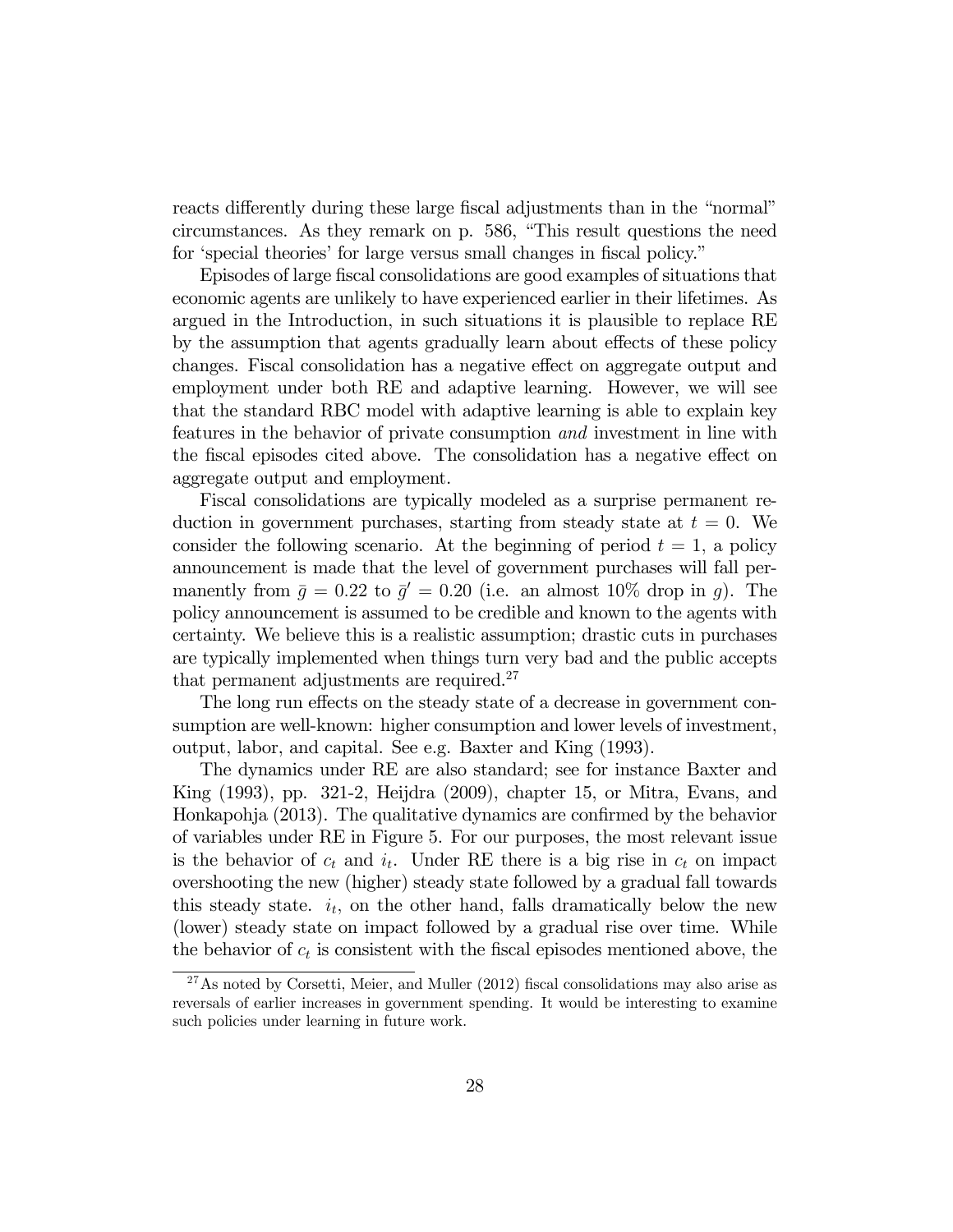reacts differently during these large fiscal adjustments than in the "normal" circumstances. As they remark on p. 586, "This result questions the need for 'special theories' for large versus small changes in fiscal policy."

Episodes of large fiscal consolidations are good examples of situations that economic agents are unlikely to have experienced earlier in their lifetimes. As argued in the Introduction, in such situations it is plausible to replace RE by the assumption that agents gradually learn about effects of these policy changes. Fiscal consolidation has a negative effect on aggregate output and employment under both RE and adaptive learning. However, we will see that the standard RBC model with adaptive learning is able to explain key features in the behavior of private consumption and investment in line with the fiscal episodes cited above. The consolidation has a negative effect on aggregate output and employment.

Fiscal consolidations are typically modeled as a surprise permanent reduction in government purchases, starting from steady state at  $t = 0$ . We consider the following scenario. At the beginning of period  $t = 1$ , a policy announcement is made that the level of government purchases will fall permanently from  $\bar{g} = 0.22$  to  $\bar{g}' = 0.20$  (i.e. an almost 10% drop in g). The policy announcement is assumed to be credible and known to the agents with certainty. We believe this is a realistic assumption; drastic cuts in purchases are typically implemented when things turn very bad and the public accepts that permanent adjustments are required.27

The long run effects on the steady state of a decrease in government consumption are well-known: higher consumption and lower levels of investment, output, labor, and capital. See e.g. Baxter and King (1993).

The dynamics under RE are also standard; see for instance Baxter and King (1993), pp. 321-2, Heijdra (2009), chapter 15, or Mitra, Evans, and Honkapohja (2013). The qualitative dynamics are confirmed by the behavior of variables under RE in Figure 5. For our purposes, the most relevant issue is the behavior of  $c_t$  and  $i_t$ . Under RE there is a big rise in  $c_t$  on impact overshooting the new (higher) steady state followed by a gradual fall towards this steady state.  $i_t$ , on the other hand, falls dramatically below the new (lower) steady state on impact followed by a gradual rise over time. While the behavior of  $c_t$  is consistent with the fiscal episodes mentioned above, the

 $27$ As noted by Corsetti, Meier, and Muller (2012) fiscal consolidations may also arise as reversals of earlier increases in government spending. It would be interesting to examine such policies under learning in future work.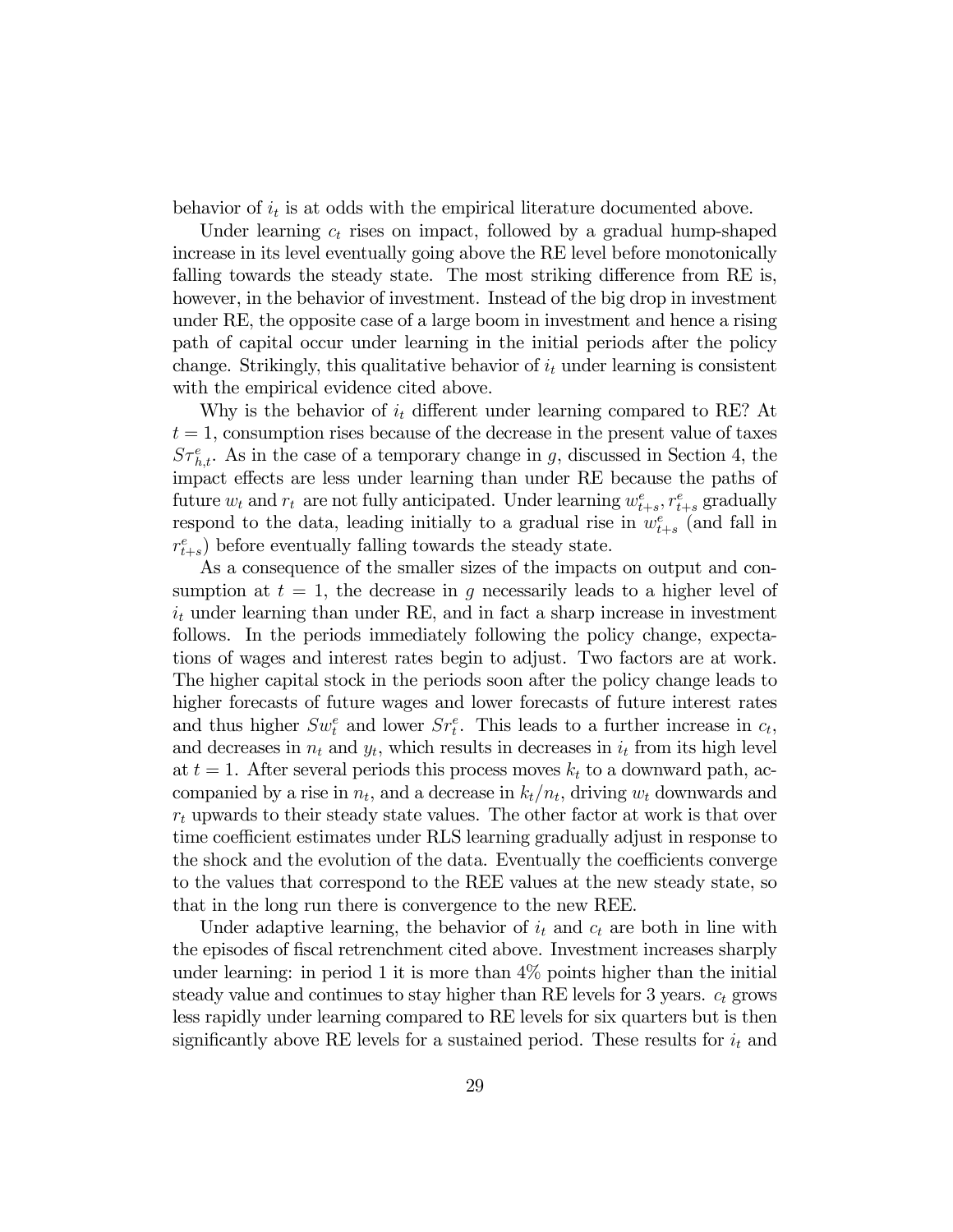behavior of  $i_t$  is at odds with the empirical literature documented above.

Under learning  $c_t$  rises on impact, followed by a gradual hump-shaped increase in its level eventually going above the RE level before monotonically falling towards the steady state. The most striking difference from RE is, however, in the behavior of investment. Instead of the big drop in investment under RE, the opposite case of a large boom in investment and hence a rising path of capital occur under learning in the initial periods after the policy change. Strikingly, this qualitative behavior of  $i_t$  under learning is consistent with the empirical evidence cited above.

Why is the behavior of  $i_t$  different under learning compared to RE? At  $t = 1$ , consumption rises because of the decrease in the present value of taxes  $S_{\tau_{h,t}}^e$ . As in the case of a temporary change in g, discussed in Section 4, the impact effects are less under learning than under RE because the paths of future  $w_t$  and  $r_t$  are not fully anticipated. Under learning  $w_{t+s}^e$ ,  $r_{t+s}^e$  gradually respond to the data, leading initially to a gradual rise in  $w_{t+s}^e$  (and fall in  $r_{t+s}^{e}$ ) before eventually falling towards the steady state.

As a consequence of the smaller sizes of the impacts on output and consumption at  $t = 1$ , the decrease in g necessarily leads to a higher level of  $i_t$  under learning than under RE, and in fact a sharp increase in investment follows. In the periods immediately following the policy change, expectations of wages and interest rates begin to adjust. Two factors are at work. The higher capital stock in the periods soon after the policy change leads to higher forecasts of future wages and lower forecasts of future interest rates and thus higher  $Sw_t^e$  and lower  $Sr_t^e$ . This leads to a further increase in  $c_t$ , and decreases in  $n_t$  and  $y_t$ , which results in decreases in  $i_t$  from its high level at  $t = 1$ . After several periods this process moves  $k_t$  to a downward path, accompanied by a rise in  $n_t$ , and a decrease in  $k_t/n_t$ , driving  $w_t$  downwards and  $r_t$  upwards to their steady state values. The other factor at work is that over time coefficient estimates under RLS learning gradually adjust in response to the shock and the evolution of the data. Eventually the coefficients converge to the values that correspond to the REE values at the new steady state, so that in the long run there is convergence to the new REE.

Under adaptive learning, the behavior of  $i_t$  and  $c_t$  are both in line with the episodes of fiscal retrenchment cited above. Investment increases sharply under learning: in period 1 it is more than 4% points higher than the initial steady value and continues to stay higher than RE levels for 3 years.  $c_t$  grows less rapidly under learning compared to RE levels for six quarters but is then significantly above RE levels for a sustained period. These results for  $i_t$  and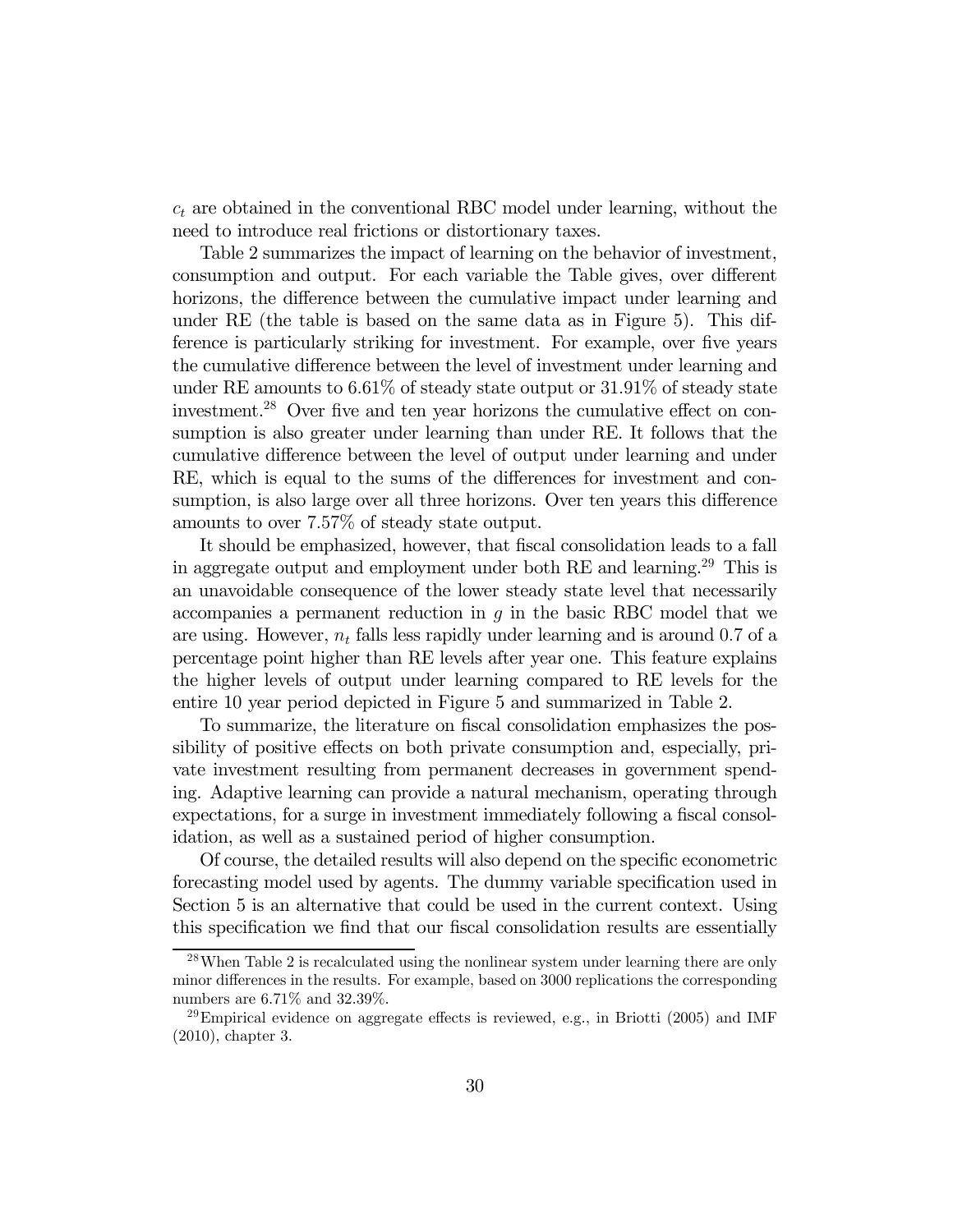$c_t$  are obtained in the conventional RBC model under learning, without the need to introduce real frictions or distortionary taxes.

Table 2 summarizes the impact of learning on the behavior of investment, consumption and output. For each variable the Table gives, over different horizons, the difference between the cumulative impact under learning and under RE (the table is based on the same data as in Figure 5). This difference is particularly striking for investment. For example, over five years the cumulative difference between the level of investment under learning and under RE amounts to  $6.61\%$  of steady state output or  $31.91\%$  of steady state investment.28 Over five and ten year horizons the cumulative effect on consumption is also greater under learning than under RE. It follows that the cumulative difference between the level of output under learning and under RE, which is equal to the sums of the differences for investment and consumption, is also large over all three horizons. Over ten years this difference amounts to over 757% of steady state output.

It should be emphasized, however, that fiscal consolidation leads to a fall in aggregate output and employment under both RE and learning.29 This is an unavoidable consequence of the lower steady state level that necessarily accompanies a permanent reduction in  $g$  in the basic RBC model that we are using. However,  $n_t$  falls less rapidly under learning and is around 0.7 of a percentage point higher than RE levels after year one. This feature explains the higher levels of output under learning compared to RE levels for the entire 10 year period depicted in Figure 5 and summarized in Table 2.

To summarize, the literature on fiscal consolidation emphasizes the possibility of positive effects on both private consumption and, especially, private investment resulting from permanent decreases in government spending. Adaptive learning can provide a natural mechanism, operating through expectations, for a surge in investment immediately following a fiscal consolidation, as well as a sustained period of higher consumption.

Of course, the detailed results will also depend on the specific econometric forecasting model used by agents. The dummy variable specification used in Section 5 is an alternative that could be used in the current context. Using this specification we find that our fiscal consolidation results are essentially

<sup>&</sup>lt;sup>28</sup>When Table 2 is recalculated using the nonlinear system under learning there are only minor differences in the results. For example, based on 3000 replications the corresponding numbers are 6.71% and 32.39%.

<sup>&</sup>lt;sup>29</sup>Empirical evidence on aggregate effects is reviewed, e.g., in Briotti (2005) and IMF (2010), chapter 3.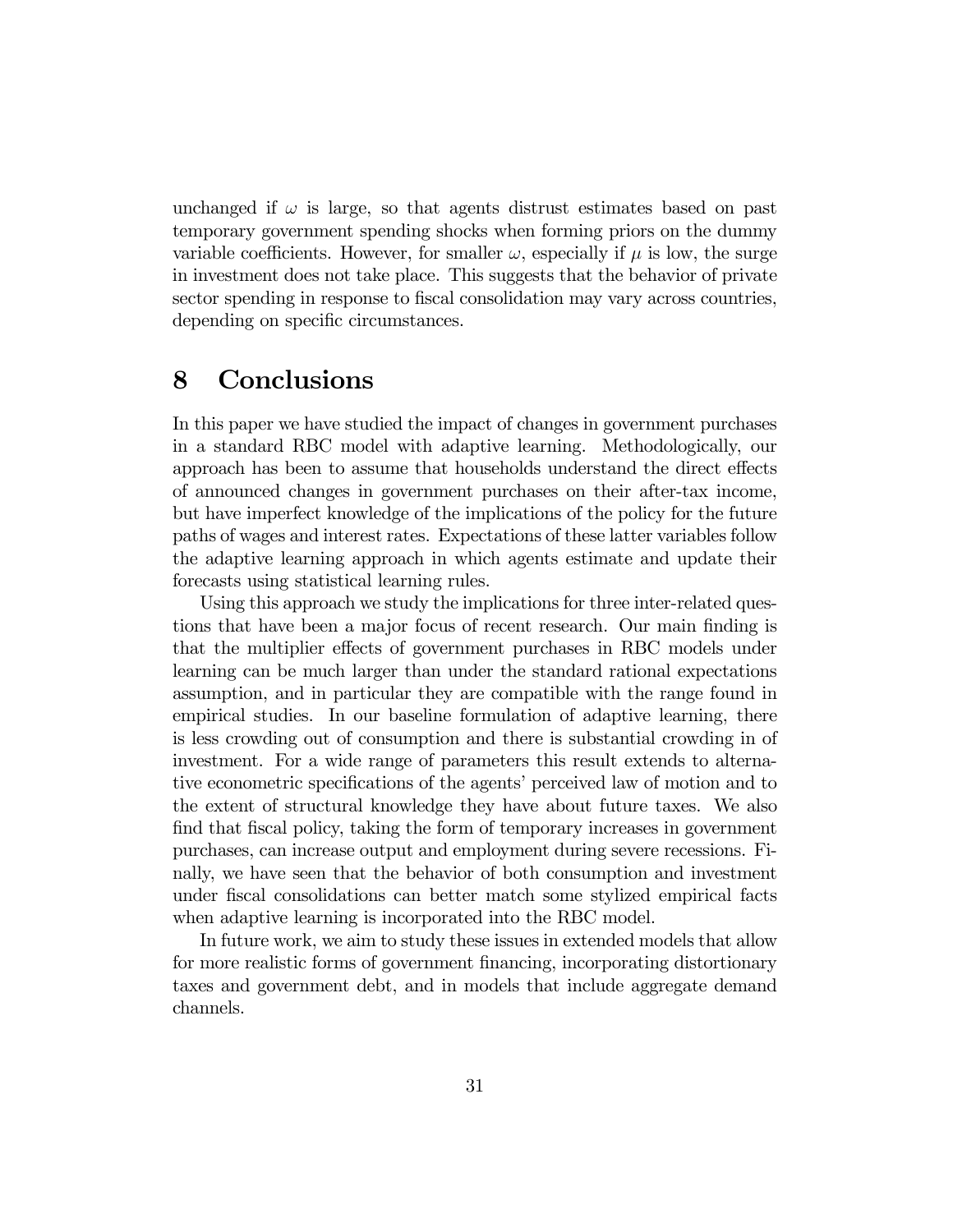unchanged if  $\omega$  is large, so that agents distrust estimates based on past temporary government spending shocks when forming priors on the dummy variable coefficients. However, for smaller  $\omega$ , especially if  $\mu$  is low, the surge in investment does not take place. This suggests that the behavior of private sector spending in response to fiscal consolidation may vary across countries, depending on specific circumstances.

### 8 Conclusions

In this paper we have studied the impact of changes in government purchases in a standard RBC model with adaptive learning. Methodologically, our approach has been to assume that households understand the direct effects of announced changes in government purchases on their after-tax income, but have imperfect knowledge of the implications of the policy for the future paths of wages and interest rates. Expectations of these latter variables follow the adaptive learning approach in which agents estimate and update their forecasts using statistical learning rules.

Using this approach we study the implications for three inter-related questions that have been a major focus of recent research. Our main finding is that the multiplier effects of government purchases in RBC models under learning can be much larger than under the standard rational expectations assumption, and in particular they are compatible with the range found in empirical studies. In our baseline formulation of adaptive learning, there is less crowding out of consumption and there is substantial crowding in of investment. For a wide range of parameters this result extends to alternative econometric specifications of the agents' perceived law of motion and to the extent of structural knowledge they have about future taxes. We also find that fiscal policy, taking the form of temporary increases in government purchases, can increase output and employment during severe recessions. Finally, we have seen that the behavior of both consumption and investment under fiscal consolidations can better match some stylized empirical facts when adaptive learning is incorporated into the RBC model.

In future work, we aim to study these issues in extended models that allow for more realistic forms of government financing, incorporating distortionary taxes and government debt, and in models that include aggregate demand channels.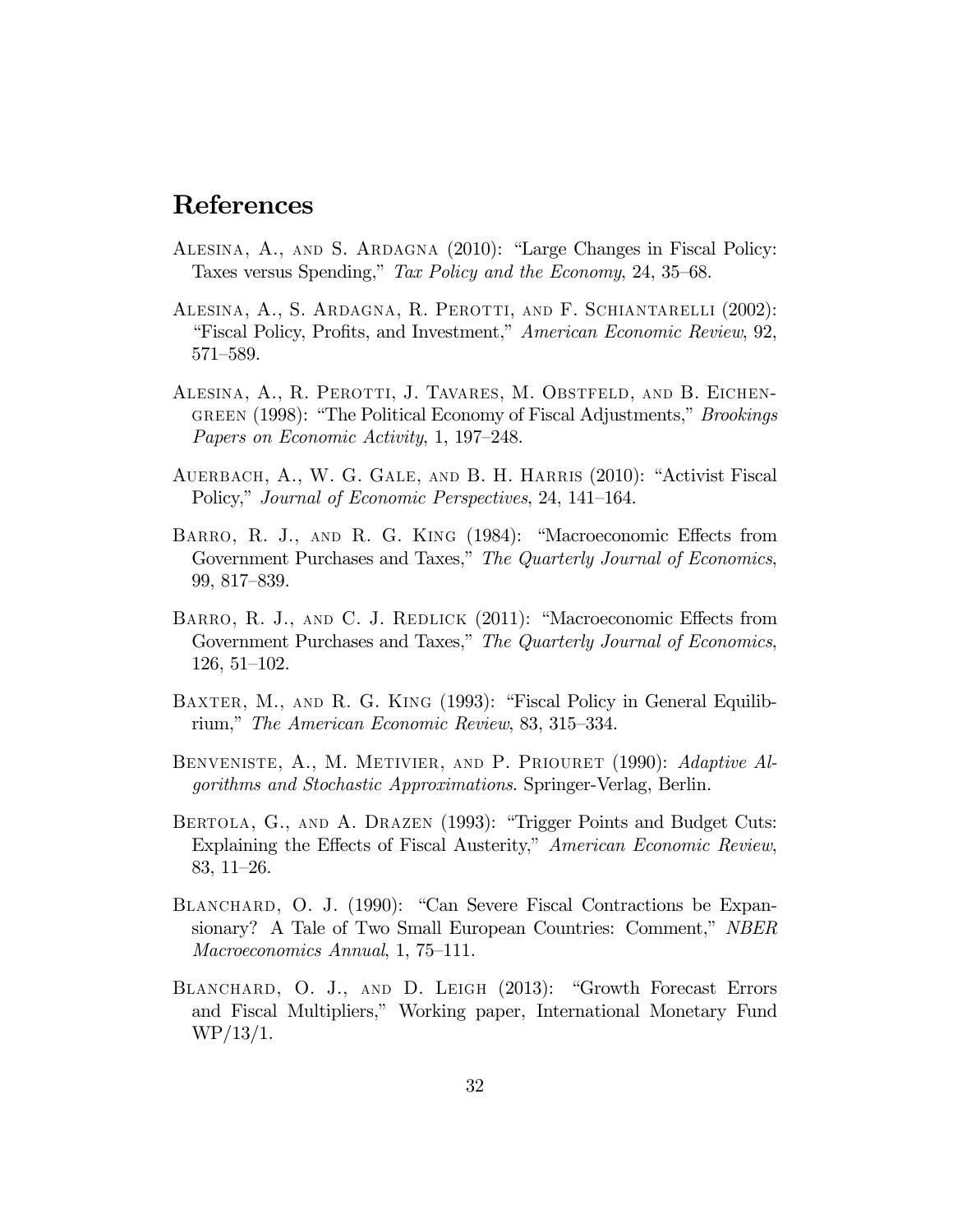#### References

- Alesina, A., and S. Ardagna (2010): "Large Changes in Fiscal Policy: Taxes versus Spending," Tax Policy and the Economy, 24, 35—68.
- Alesina, A., S. Ardagna, R. Perotti, and F. Schiantarelli (2002): "Fiscal Policy, Profits, and Investment," American Economic Review, 92, 571—589.
- Alesina, A., R. Perotti, J. Tavares, M. Obstfeld, and B. Eichen-GREEN (1998): "The Political Economy of Fiscal Adjustments," *Brookings* Papers on Economic Activity, 1, 197—248.
- Auerbach, A., W. G. Gale, and B. H. Harris (2010): "Activist Fiscal Policy," Journal of Economic Perspectives, 24, 141—164.
- Barro, R. J., and R. G. King (1984): "Macroeconomic Effects from Government Purchases and Taxes," The Quarterly Journal of Economics, 99, 817—839.
- BARRO, R. J., AND C. J. REDLICK (2011): "Macroeconomic Effects from Government Purchases and Taxes," The Quarterly Journal of Economics, 126, 51—102.
- Baxter, M., and R. G. King (1993): "Fiscal Policy in General Equilibrium," The American Economic Review, 83, 315—334.
- Benveniste, A., M. Metivier, and P. Priouret (1990): Adaptive Algorithms and Stochastic Approximations. Springer-Verlag, Berlin.
- Bertola, G., and A. Drazen (1993): "Trigger Points and Budget Cuts: Explaining the Effects of Fiscal Austerity," American Economic Review, 83, 11—26.
- BLANCHARD, O. J. (1990): "Can Severe Fiscal Contractions be Expansionary? A Tale of Two Small European Countries: Comment," NBER Macroeconomics Annual, 1, 75—111.
- BLANCHARD, O. J., AND D. LEIGH (2013): "Growth Forecast Errors and Fiscal Multipliers," Working paper, International Monetary Fund WP/13/1.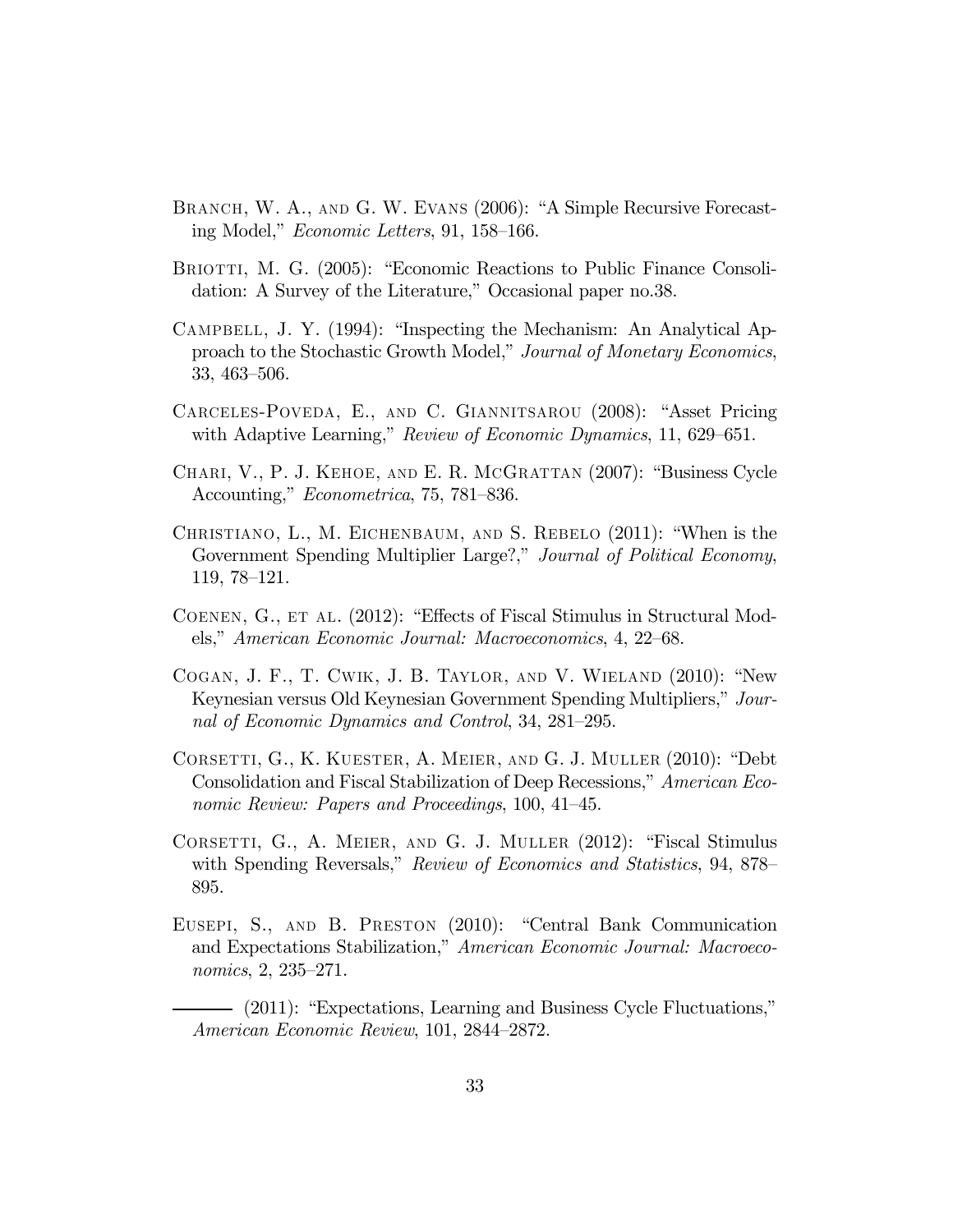- BRANCH, W. A., AND G. W. EVANS (2006): "A Simple Recursive Forecasting Model," Economic Letters, 91, 158—166.
- Briotti, M. G. (2005): "Economic Reactions to Public Finance Consolidation: A Survey of the Literature," Occasional paper no.38.
- Campbell, J. Y. (1994): "Inspecting the Mechanism: An Analytical Approach to the Stochastic Growth Model," Journal of Monetary Economics, 33, 463—506.
- Carceles-Poveda, E., and C. Giannitsarou (2008): "Asset Pricing with Adaptive Learning," Review of Economic Dynamics, 11, 629–651.
- Chari, V., P. J. Kehoe, and E. R. McGrattan (2007): "Business Cycle Accounting," Econometrica, 75, 781—836.
- Christiano, L., M. Eichenbaum, and S. Rebelo (2011): "When is the Government Spending Multiplier Large?," Journal of Political Economy, 119, 78—121.
- Coenen, G., et al. (2012): "Effects of Fiscal Stimulus in Structural Models," American Economic Journal: Macroeconomics, 4, 22—68.
- Cogan, J. F., T. Cwik, J. B. Taylor, and V. Wieland (2010): "New Keynesian versus Old Keynesian Government Spending Multipliers," Journal of Economic Dynamics and Control, 34, 281—295.
- Corsetti, G., K. Kuester, A. Meier, and G. J. Muller (2010): "Debt Consolidation and Fiscal Stabilization of Deep Recessions," American Economic Review: Papers and Proceedings, 100, 41—45.
- Corsetti, G., A. Meier, and G. J. Muller (2012): "Fiscal Stimulus with Spending Reversals," Review of Economics and Statistics, 94, 878– 895.
- Eusepi, S., and B. Preston (2010): "Central Bank Communication and Expectations Stabilization," American Economic Journal: Macroeconomics, 2, 235—271.

(2011): "Expectations, Learning and Business Cycle Fluctuations," American Economic Review, 101, 2844—2872.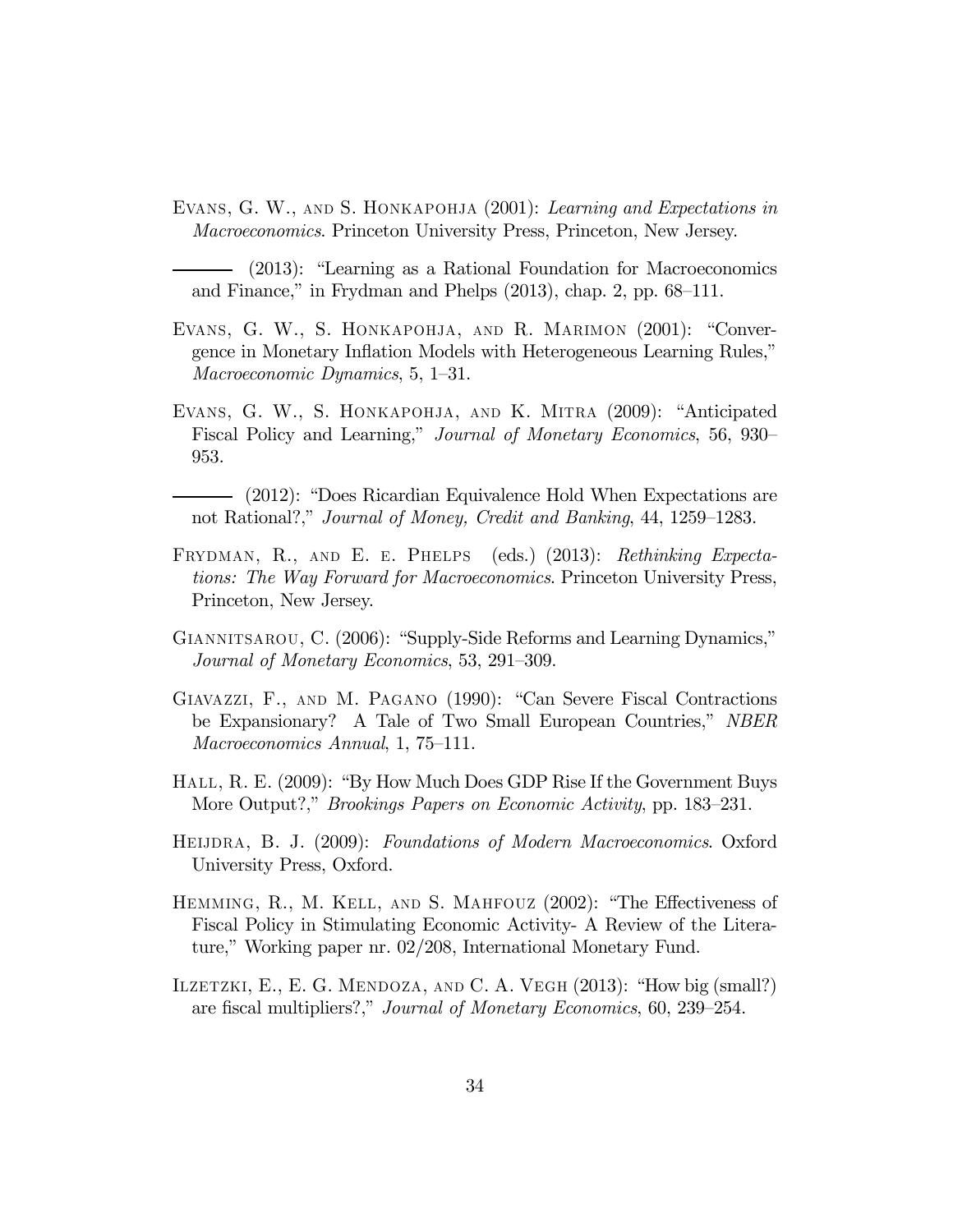EVANS, G. W., AND S. HONKAPOHJA (2001): Learning and Expectations in Macroeconomics. Princeton University Press, Princeton, New Jersey.

(2013): "Learning as a Rational Foundation for Macroeconomics and Finance," in Frydman and Phelps (2013), chap. 2, pp. 68—111.

- Evans, G. W., S. Honkapohja, and R. Marimon (2001): "Convergence in Monetary Inflation Models with Heterogeneous Learning Rules," Macroeconomic Dynamics, 5, 1—31.
- Evans, G. W., S. Honkapohja, and K. Mitra (2009): "Anticipated Fiscal Policy and Learning," Journal of Monetary Economics, 56, 930— 953.
- (2012): "Does Ricardian Equivalence Hold When Expectations are not Rational?," Journal of Money, Credit and Banking, 44, 1259—1283.
- FRYDMAN, R., AND E. E. PHELPS (eds.) (2013): Rethinking Expectations: The Way Forward for Macroeconomics. Princeton University Press, Princeton, New Jersey.
- GIANNITSAROU, C. (2006): "Supply-Side Reforms and Learning Dynamics," Journal of Monetary Economics, 53, 291—309.
- Giavazzi, F., and M. Pagano (1990): "Can Severe Fiscal Contractions be Expansionary? A Tale of Two Small European Countries," NBER Macroeconomics Annual, 1, 75—111.
- Hall, R. E. (2009): "By How Much Does GDP Rise If the Government Buys More Output?," *Brookings Papers on Economic Activity*, pp. 183–231.
- HEIJDRA, B. J. (2009): Foundations of Modern Macroeconomics. Oxford University Press, Oxford.
- Hemming, R., M. Kell, and S. Mahfouz (2002): "The Effectiveness of Fiscal Policy in Stimulating Economic Activity- A Review of the Literature," Working paper nr. 02/208, International Monetary Fund.
- Ilzetzki, E., E. G. Mendoza, and C. A. Vegh (2013): "How big (small?) are fiscal multipliers?," Journal of Monetary Economics, 60, 239—254.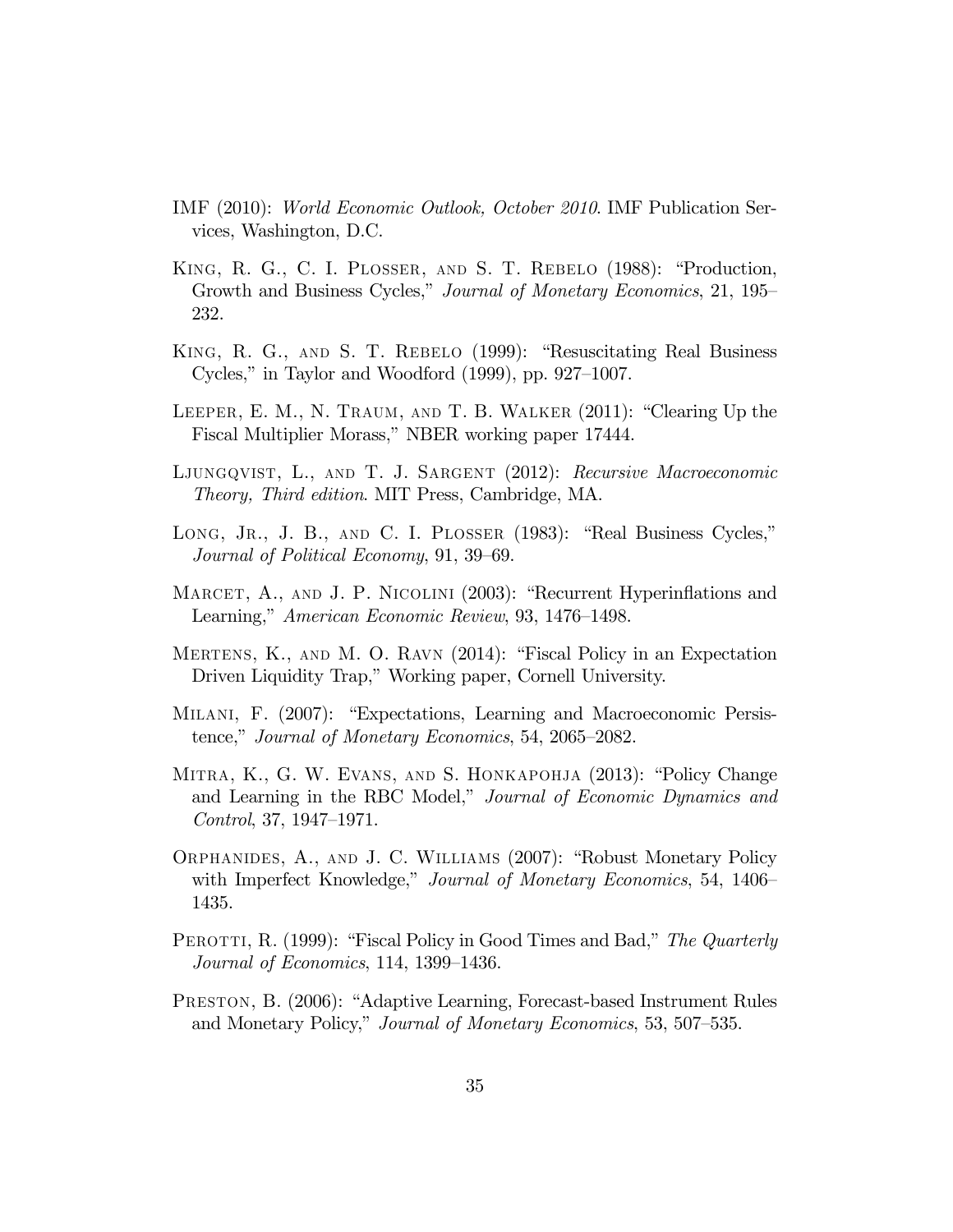- IMF (2010): World Economic Outlook, October 2010. IMF Publication Services, Washington, D.C.
- King, R. G., C. I. Plosser, and S. T. Rebelo (1988): "Production, Growth and Business Cycles," Journal of Monetary Economics, 21, 195— 232.
- King, R. G., and S. T. Rebelo (1999): "Resuscitating Real Business Cycles," in Taylor and Woodford (1999), pp. 927—1007.
- Leeper, E. M., N. Traum, and T. B. Walker (2011): "Clearing Up the Fiscal Multiplier Morass," NBER working paper 17444.
- LJUNGQVIST, L., AND T. J. SARGENT (2012): Recursive Macroeconomic Theory, Third edition. MIT Press, Cambridge, MA.
- LONG, JR., J. B., AND C. I. PLOSSER (1983): "Real Business Cycles," Journal of Political Economy, 91, 39—69.
- MARCET, A., AND J. P. NICOLINI (2003): "Recurrent Hyperinflations and Learning," American Economic Review, 93, 1476—1498.
- Mertens, K., and M. O. Ravn (2014): "Fiscal Policy in an Expectation Driven Liquidity Trap," Working paper, Cornell University.
- Milani, F. (2007): "Expectations, Learning and Macroeconomic Persistence," Journal of Monetary Economics, 54, 2065—2082.
- Mitra, K., G. W. Evans, and S. Honkapohja (2013): "Policy Change and Learning in the RBC Model," Journal of Economic Dynamics and Control, 37, 1947—1971.
- Orphanides, A., and J. C. Williams (2007): "Robust Monetary Policy with Imperfect Knowledge," Journal of Monetary Economics, 54, 1406– 1435.
- PEROTTI, R. (1999): "Fiscal Policy in Good Times and Bad," The Quarterly Journal of Economics, 114, 1399—1436.
- Preston, B. (2006): "Adaptive Learning, Forecast-based Instrument Rules and Monetary Policy," Journal of Monetary Economics, 53, 507—535.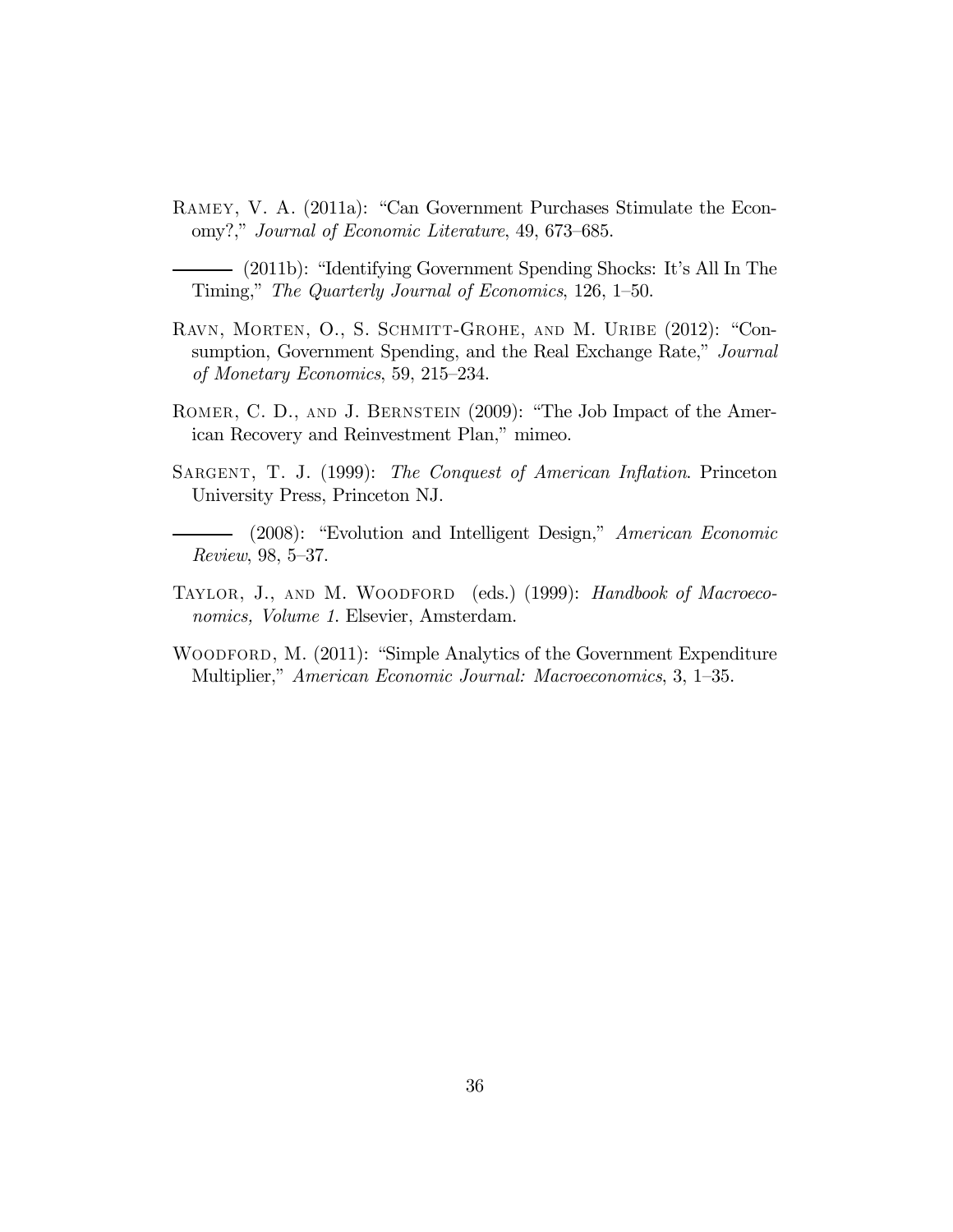Ramey, V. A. (2011a): "Can Government Purchases Stimulate the Economy?," Journal of Economic Literature, 49, 673—685.

(2011b): "Identifying Government Spending Shocks: It's All In The Timing," The Quarterly Journal of Economics, 126, 1—50.

- RAVN, MORTEN, O., S. SCHMITT-GROHE, AND M. URIBE (2012): "Consumption, Government Spending, and the Real Exchange Rate," Journal of Monetary Economics, 59, 215—234.
- ROMER, C. D., AND J. BERNSTEIN (2009): "The Job Impact of the American Recovery and Reinvestment Plan," mimeo.
- SARGENT, T. J. (1999): The Conquest of American Inflation. Princeton University Press, Princeton NJ.
	- (2008): "Evolution and Intelligent Design," American Economic Review, 98, 5—37.
- TAYLOR, J., AND M. WOODFORD (eds.) (1999): Handbook of Macroeconomics, Volume 1. Elsevier, Amsterdam.
- WOODFORD, M. (2011): "Simple Analytics of the Government Expenditure Multiplier," American Economic Journal: Macroeconomics, 3, 1—35.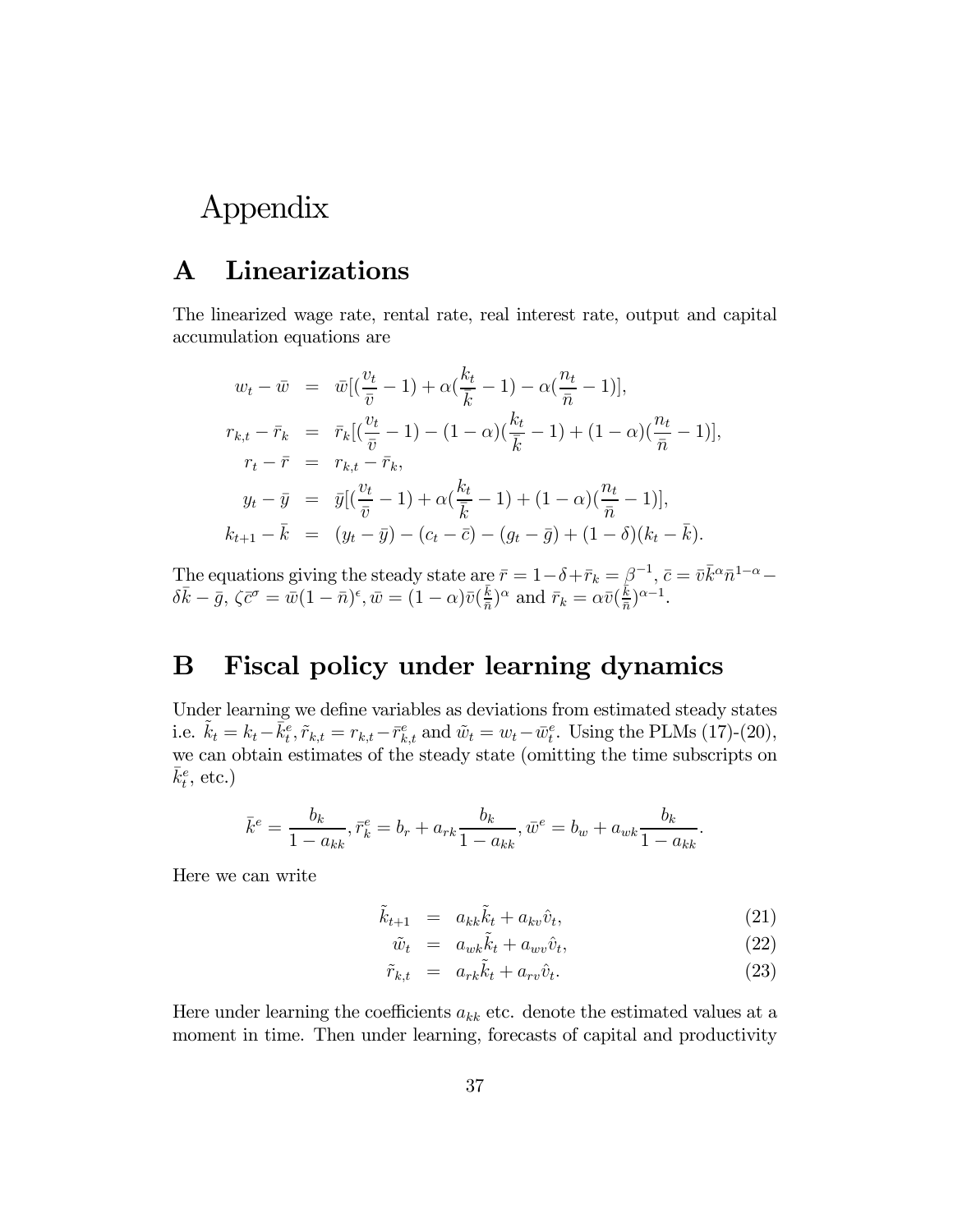## Appendix

### A Linearizations

The linearized wage rate, rental rate, real interest rate, output and capital accumulation equations are

$$
w_t - \bar{w} = \bar{w} \left[ \left( \frac{v_t}{\bar{v}} - 1 \right) + \alpha \left( \frac{k_t}{\bar{k}} - 1 \right) - \alpha \left( \frac{n_t}{\bar{n}} - 1 \right) \right],
$$
  
\n
$$
r_{k,t} - \bar{r}_k = \bar{r}_k \left[ \left( \frac{v_t}{\bar{v}} - 1 \right) - (1 - \alpha) \left( \frac{k_t}{\bar{k}} - 1 \right) + (1 - \alpha) \left( \frac{n_t}{\bar{n}} - 1 \right) \right],
$$
  
\n
$$
r_t - \bar{r} = r_{k,t} - \bar{r}_k,
$$
  
\n
$$
y_t - \bar{y} = \bar{y} \left[ \left( \frac{v_t}{\bar{v}} - 1 \right) + \alpha \left( \frac{k_t}{\bar{k}} - 1 \right) + (1 - \alpha) \left( \frac{n_t}{\bar{n}} - 1 \right) \right],
$$
  
\n
$$
k_{t+1} - \bar{k} = (y_t - \bar{y}) - (c_t - \bar{c}) - (g_t - \bar{g}) + (1 - \delta)(k_t - \bar{k}).
$$

The equations giving the steady state are  $\bar{r} = 1 - \delta + \bar{r}_k = \beta^{-1}, \bar{c} = \bar{v}\bar{k}^{\alpha}\bar{n}^{1-\alpha} - \bar{s}$  $\delta \bar{k} - \bar{g}, \, \zeta \bar{c}^{\sigma} = \bar{w} (1 - \bar{n})^{\epsilon}, \bar{w} = (1 - \alpha) \bar{v} (\frac{\bar{k}}{\bar{n}})^{\alpha} \text{ and } \bar{r}_k = \alpha \bar{v} (\frac{\bar{k}}{\bar{n}})^{\alpha - 1}.$ 

### B Fiscal policy under learning dynamics

Under learning we define variables as deviations from estimated steady states i.e.  $\tilde{k}_t = k_t - \bar{k}_t^e$ ,  $\tilde{r}_{k,t} = r_{k,t} - \bar{r}_{k,t}^e$  and  $\tilde{w}_t = w_t - \bar{w}_t^e$ . Using the PLMs (17)-(20), we can obtain estimates of the steady state (omitting the time subscripts on  $\bar{k}_t^e$ , etc.)

$$
\bar{k}^e = \frac{b_k}{1 - a_{kk}}, \bar{r}_k^e = b_r + a_{rk} \frac{b_k}{1 - a_{kk}}, \bar{w}^e = b_w + a_{wk} \frac{b_k}{1 - a_{kk}}.
$$

Here we can write

$$
\tilde{k}_{t+1} = a_{kk}\tilde{k}_t + a_{kv}\hat{v}_t, \qquad (21)
$$

$$
\tilde{w}_t = a_{wk}\tilde{k}_t + a_{wv}\hat{v}_t, \tag{22}
$$

$$
\tilde{r}_{k,t} = a_{rk}\tilde{k}_t + a_{rv}\hat{v}_t.
$$
\n(23)

Here under learning the coefficients  $a_{kk}$  etc. denote the estimated values at a moment in time. Then under learning, forecasts of capital and productivity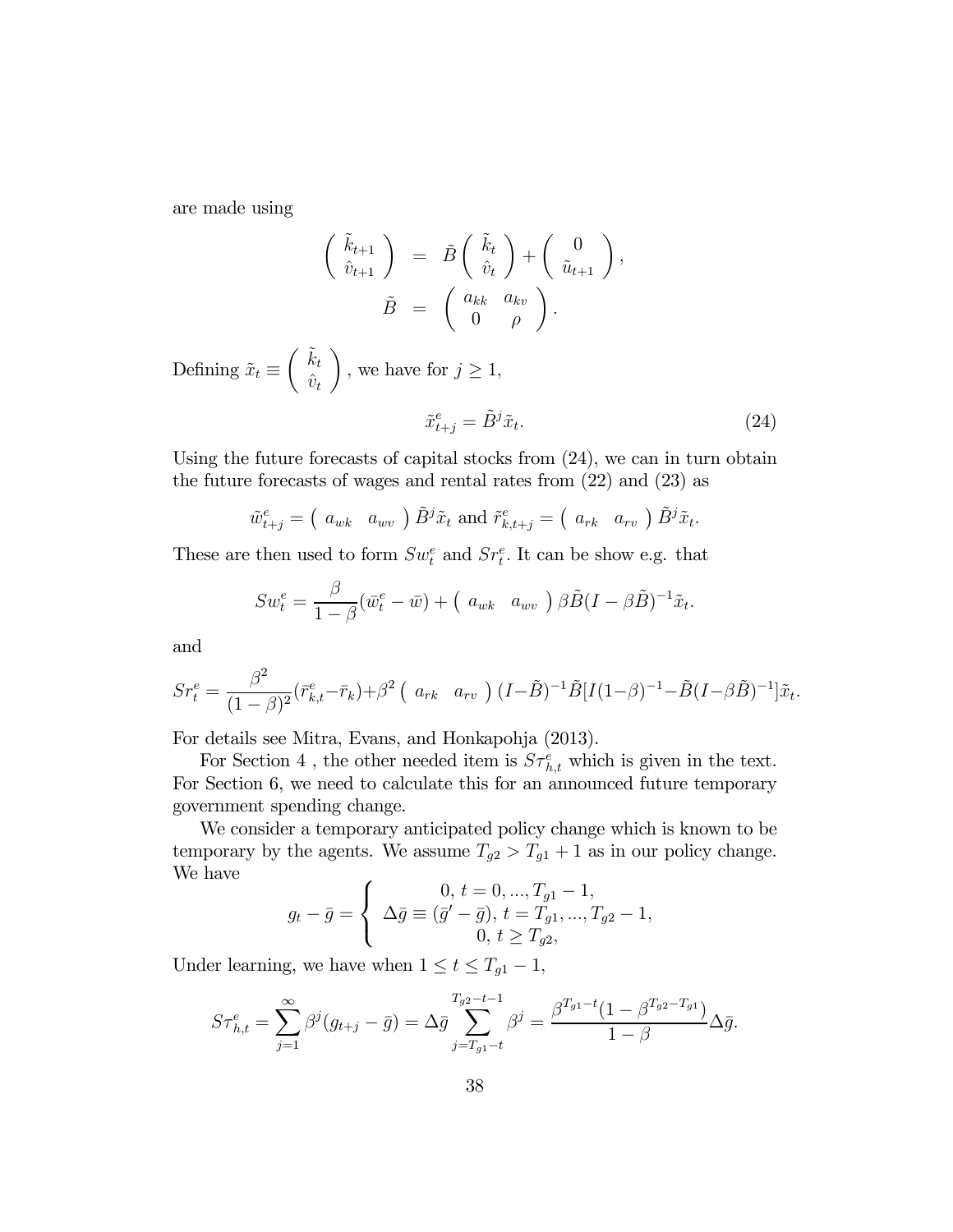are made using

$$
\begin{pmatrix}\n\tilde{k}_{t+1} \\
\hat{v}_{t+1}\n\end{pmatrix} = \tilde{B} \begin{pmatrix}\n\tilde{k}_t \\
\hat{v}_t\n\end{pmatrix} + \begin{pmatrix}\n0 \\
\tilde{u}_{t+1}\n\end{pmatrix},
$$
\n
$$
\tilde{B} = \begin{pmatrix}\na_{kk} & a_{kv} \\
0 & \rho\n\end{pmatrix}.
$$

Defining  $\tilde{x}_t \equiv$  $\int \tilde{k}_t$  $\hat{v}_t$  $\setminus$ , we have for  $j \geq 1$ ,

$$
\tilde{x}_{t+j}^e = \tilde{B}^j \tilde{x}_t. \tag{24}
$$

Using the future forecasts of capital stocks from (24), we can in turn obtain the future forecasts of wages and rental rates from (22) and (23) as

$$
\tilde{w}_{t+j}^e = \left( a_{wk} \quad a_{wv} \right) \tilde{B}^j \tilde{x}_t \text{ and } \tilde{r}_{k,t+j}^e = \left( a_{rk} \quad a_{rv} \right) \tilde{B}^j \tilde{x}_t.
$$

These are then used to form  $Sw_t^e$  and  $Sr_t^e$ . It can be show e.g. that

$$
Sw_t^e = \frac{\beta}{1-\beta}(\bar{w}_t^e - \bar{w}) + (a_{wk} \ a_{wv}) \beta \tilde{B} (I - \beta \tilde{B})^{-1} \tilde{x}_t.
$$

and

$$
Sr_t^e = \frac{\beta^2}{(1-\beta)^2} (\bar{r}_{k,t}^e - \bar{r}_k) + \beta^2 \left( a_{rk} \quad a_{rv} \right) (I - \tilde{B})^{-1} \tilde{B} [I(1-\beta)^{-1} - \tilde{B}(I-\beta \tilde{B})^{-1}] \tilde{x}_t.
$$

For details see Mitra, Evans, and Honkapohja (2013).

For Section 4, the other needed item is  $S\tau_{h,t}^e$  which is given in the text. For Section 6, we need to calculate this for an announced future temporary government spending change.

We consider a temporary anticipated policy change which is known to be temporary by the agents. We assume  $T_{g2} > T_{g1} + 1$  as in our policy change. We have

$$
g_t - \bar{g} = \begin{cases} 0, t = 0, ..., T_{g1} - 1, \\ \Delta \bar{g} \equiv (\bar{g}' - \bar{g}), t = T_{g1}, ..., T_{g2} - 1, \\ 0, t \ge T_{g2}, \end{cases}
$$

Under learning, we have when  $1 \le t \le T_{g1} - 1$ ,

$$
S\tau_{h,t}^e = \sum_{j=1}^{\infty} \beta^j (g_{t+j} - \bar{g}) = \Delta \bar{g} \sum_{j=T_{g1}-t}^{T_{g2}-t-1} \beta^j = \frac{\beta^{T_{g1}-t} (1 - \beta^{T_{g2}-T_{g1}})}{1 - \beta} \Delta \bar{g}.
$$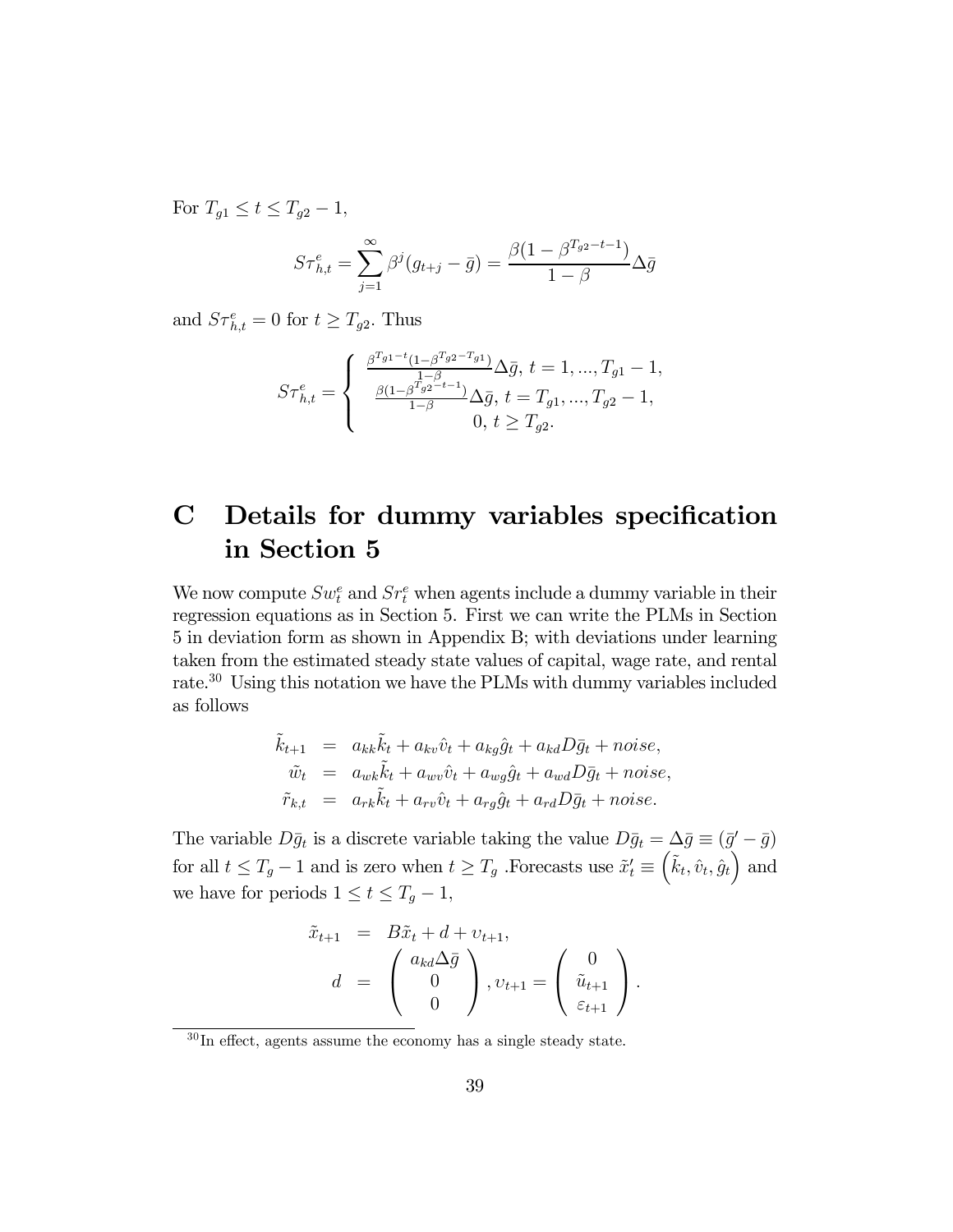For  $T_{g1} \le t \le T_{g2} - 1$ ,

$$
S\tau_{h,t}^{e} = \sum_{j=1}^{\infty} \beta^{j} (g_{t+j} - \bar{g}) = \frac{\beta (1 - \beta^{T_{g2} - t - 1})}{1 - \beta} \Delta \bar{g}
$$

and  $S\tau_{h,t}^e = 0$  for  $t \geq T_{g2}$ . Thus

$$
S\tau_{h,t}^{e}=\left\{\begin{array}{c} \frac{\beta^{T_{g1}-t}(1-\beta^{T_{g2}-T_{g1}})}{1-\beta}\Delta\bar{g},\,t=1,...,T_{g1}-1,\\ \frac{\beta(1-\beta^{T_{g2}-t-1})}{1-\beta}\Delta\bar{g},\,t=T_{g1},...,T_{g2}-1,\\ 0,\,t\geq T_{g2}. \end{array}\right.
$$

## C Details for dummy variables specification in Section 5

We now compute  $Sw_t^e$  and  $Sr_t^e$  when agents include a dummy variable in their regression equations as in Section 5. First we can write the PLMs in Section 5 in deviation form as shown in Appendix B; with deviations under learning taken from the estimated steady state values of capital, wage rate, and rental rate.30 Using this notation we have the PLMs with dummy variables included as follows

$$
\tilde{k}_{t+1} = a_{kk}\tilde{k}_t + a_{kv}\hat{v}_t + a_{kg}\hat{g}_t + a_{kd}D\bar{g}_t + noise,
$$
  
\n
$$
\tilde{w}_t = a_{wk}\tilde{k}_t + a_{wv}\hat{v}_t + a_{wg}\hat{g}_t + a_{wd}D\bar{g}_t + noise,
$$
  
\n
$$
\tilde{r}_{k,t} = a_{rk}\tilde{k}_t + a_{rv}\hat{v}_t + a_{rg}\hat{g}_t + a_{rd}D\bar{g}_t + noise.
$$

The variable  $D\bar{g}_t$  is a discrete variable taking the value  $D\bar{g}_t = \Delta \bar{g} \equiv (\bar{g}' - \bar{g})$ for all  $t \leq T_g - 1$  and is zero when  $t \geq T_g$ . Forecasts use  $\tilde{x}'_t \equiv$  $(\tilde{k}_t, \hat{v}_t, \hat{g}_t)$  and we have for periods  $1 \le t \le T_g - 1$ ,

$$
\tilde{x}_{t+1} = B\tilde{x}_t + d + v_{t+1},
$$
\n
$$
d = \begin{pmatrix} a_{kd} \Delta \bar{g} \\ 0 \\ 0 \end{pmatrix}, v_{t+1} = \begin{pmatrix} 0 \\ \tilde{u}_{t+1} \\ \varepsilon_{t+1} \end{pmatrix}.
$$

 $30$  In effect, agents assume the economy has a single steady state.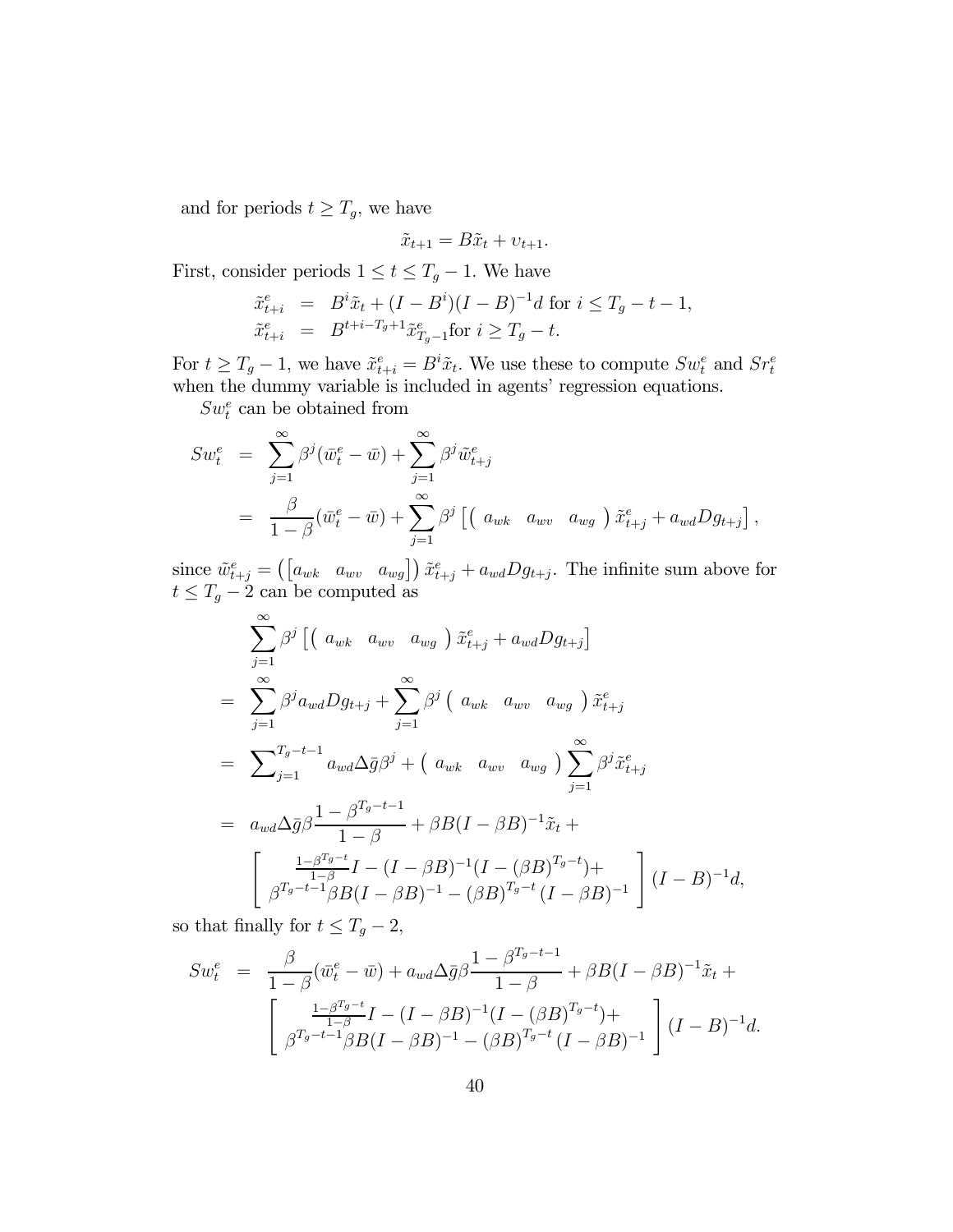and for periods  $t \geq T_g$ , we have

$$
\tilde{x}_{t+1} = B\tilde{x}_t + v_{t+1}.
$$

First, consider periods  $1 \le t \le T_g - 1$ . We have

$$
\begin{array}{rcl}\n\tilde{x}_{t+i}^e &=& B^i \tilde{x}_t + (I - B^i)(I - B)^{-1} d \text{ for } i \le T_g - t - 1, \\
\tilde{x}_{t+i}^e &=& B^{t+i - T_g + 1} \tilde{x}_{T_g - 1}^e \text{ for } i \ge T_g - t.\n\end{array}
$$

For  $t \geq T_g - 1$ , we have  $\tilde{x}_{t+i}^e = B^i \tilde{x}_t$ . We use these to compute  $S w_t^e$  and  $S r_t^e$ when the dummy variable is included in agents' regression equations.

 $Sw_t^e$  can be obtained from

$$
Sw_t^e = \sum_{j=1}^{\infty} \beta^j (\bar{w}_t^e - \bar{w}) + \sum_{j=1}^{\infty} \beta^j \tilde{w}_{t+j}^e
$$
  
= 
$$
\frac{\beta}{1-\beta} (\bar{w}_t^e - \bar{w}) + \sum_{j=1}^{\infty} \beta^j \left[ \begin{pmatrix} a_{wk} & a_{wv} & a_{wg} \end{pmatrix} \tilde{x}_{t+j}^e + a_{wd}Dg_{t+j} \right],
$$

since  $\tilde{w}_{t+j}^e = \left( \begin{bmatrix} a_{wk} & a_{wy} \end{bmatrix} \right) \tilde{x}_{t+j}^e + a_{wd} D g_{t+j}$ . The infinite sum above for  $t \leq T_g - 2$  can be computed as

$$
\sum_{j=1}^{\infty} \beta^j \left[ \left( a_{wk} \ a_{wv} \ a_{wg} \right) \tilde{x}_{t+j}^e + a_{wd} D g_{t+j} \right]
$$
\n
$$
= \sum_{j=1}^{\infty} \beta^j a_{wd} D g_{t+j} + \sum_{j=1}^{\infty} \beta^j \left( a_{wk} \ a_{wv} \ a_{wg} \right) \tilde{x}_{t+j}^e
$$
\n
$$
= \sum_{j=1}^{T_g - t - 1} a_{wd} \Delta \bar{g} \beta^j + \left( a_{wk} \ a_{wv} \ a_{wg} \right) \sum_{j=1}^{\infty} \beta^j \tilde{x}_{t+j}^e
$$
\n
$$
= a_{wd} \Delta \bar{g} \beta \frac{1 - \beta^{T_g - t - 1}}{1 - \beta} + \beta B (I - \beta B)^{-1} \tilde{x}_t + \left[ \frac{1 - \beta^{T_g - t}}{1 - \beta} I - (I - \beta B)^{-1} (I - (\beta B)^{T_g - t}) + \beta B (I - \beta B)^{-1} - (\beta B)^{T_g - t} (I - \beta B)^{-1} \right] (I - B)^{-1} d,
$$

so that finally for  $t \leq T_g - 2$ ,

$$
Sw_t^e = \frac{\beta}{1-\beta}(\bar{w}_t^e - \bar{w}) + a_{wd}\Delta \bar{g}\beta \frac{1-\beta^{T_g-t-1}}{1-\beta} + \beta B(I-\beta B)^{-1}\tilde{x}_t + \frac{1-\beta^{T_g-t}}{1-\beta}I - (I-\beta B)^{-1}(I-(\beta B)^{T_g-t}) + \beta I(\beta B)^{-1}(\beta B)(I-\beta B)^{-1} - (\beta B)^{-1}(\beta B)^{-1}(\beta B)^{-1} = (I-\beta B)^{-1}.
$$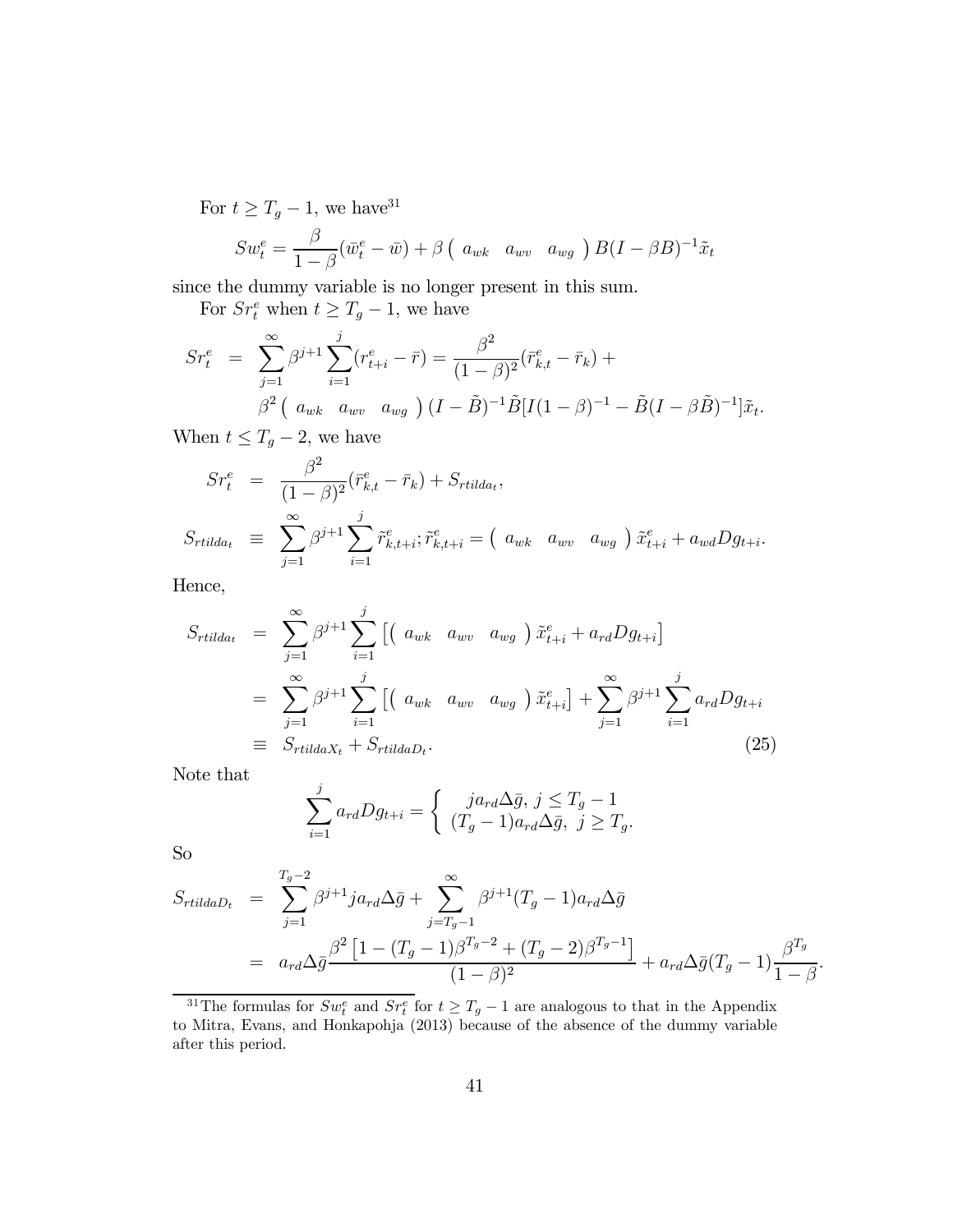For  $t \geq T_g - 1$ , we have<sup>31</sup>

$$
Sw_t^e = \frac{\beta}{1-\beta} (\bar{w}_t^e - \bar{w}) + \beta \left( a_{wk} \quad a_{wv} \quad a_{wg} \right) B(I - \beta B)^{-1} \tilde{x}_t
$$

since the dummy variable is no longer present in this sum.

For  $Sr_t^e$  when  $t \geq T_g - 1$ , we have

$$
Sr_t^e = \sum_{j=1}^{\infty} \beta^{j+1} \sum_{i=1}^j (r_{t+i}^e - \bar{r}) = \frac{\beta^2}{(1-\beta)^2} (\bar{r}_{k,t}^e - \bar{r}_k) +
$$
  

$$
\beta^2 \left( a_{wk} a_{wv} a_{wg} \right) (I - \tilde{B})^{-1} \tilde{B} [I(1-\beta)^{-1} - \tilde{B}(I-\beta \tilde{B})^{-1}] \tilde{x}_t.
$$

When  $t \leq T_g - 2$ , we have

$$
Sr_t^e = \frac{\beta^2}{(1-\beta)^2} (\bar{r}_{k,t}^e - \bar{r}_k) + S_{rtilda_t},
$$
  

$$
S_{rtilda_t} \equiv \sum_{j=1}^{\infty} \beta^{j+1} \sum_{i=1}^j \tilde{r}_{k,t+i}^e; \tilde{r}_{k,t+i}^e = (a_{wk} \ a_{wv} \ a_{wg}) \tilde{x}_{t+i}^e + a_{wd} Dg_{t+i}.
$$

Hence,

$$
S_{\text{trilda}_{t}} = \sum_{j=1}^{\infty} \beta^{j+1} \sum_{i=1}^{j} \left[ \left( a_{wk} \ a_{wv} \ a_{wg} \right) \tilde{x}_{t+i}^{e} + a_{rd} D g_{t+i} \right]
$$
  
\n
$$
= \sum_{j=1}^{\infty} \beta^{j+1} \sum_{i=1}^{j} \left[ \left( a_{wk} \ a_{wv} \ a_{wg} \right) \tilde{x}_{t+i}^{e} \right] + \sum_{j=1}^{\infty} \beta^{j+1} \sum_{i=1}^{j} a_{rd} D g_{t+i}
$$
  
\n
$$
\equiv S_{\text{trilda} X_{t}} + S_{\text{trilda} D_{t}}.
$$
\n(25)

Note that

$$
\sum_{i=1}^{j} a_{rd} Dg_{t+i} = \begin{cases} j a_{rd} \Delta \bar{g}, j \le T_g - 1 \\ (T_g - 1) a_{rd} \Delta \bar{g}, j \ge T_g. \end{cases}
$$

So

$$
S_{rtildaD_t} = \sum_{j=1}^{T_g - 2} \beta^{j+1} j a_{rd} \Delta \bar{g} + \sum_{j=T_g - 1}^{\infty} \beta^{j+1} (T_g - 1) a_{rd} \Delta \bar{g}
$$
  
=  $a_{rd} \Delta \bar{g} \frac{\beta^2 [1 - (T_g - 1)\beta^{T_g - 2} + (T_g - 2)\beta^{T_g - 1}]}{(1 - \beta)^2} + a_{rd} \Delta \bar{g} (T_g - 1) \frac{\beta^{T_g}}{1 - \beta}.$ 

<sup>&</sup>lt;sup>31</sup>The formulas for  $Sw_t^e$  and  $Sr_t^e$  for  $t \geq T_g - 1$  are analogous to that in the Appendix to Mitra, Evans, and Honkapohja (2013) because of the absence of the dummy variable after this period.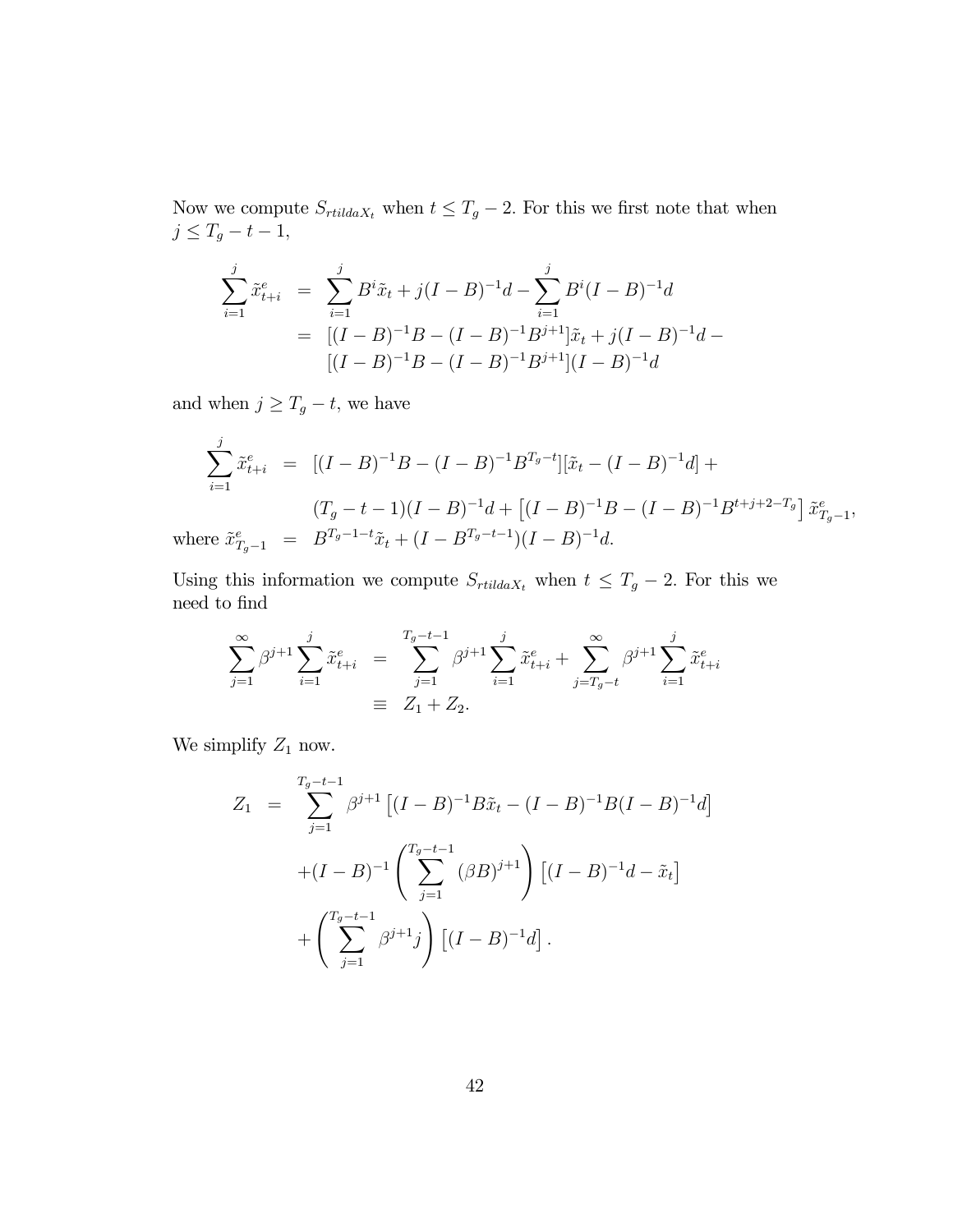Now we compute  $S_{rtildaX_t}$  when  $t \leq T_g - 2$ . For this we first note that when  $j \leq T_g - t - 1,$ 

$$
\sum_{i=1}^{j} \tilde{x}_{t+i}^{e} = \sum_{i=1}^{j} B^{i} \tilde{x}_{t} + j(I-B)^{-1}d - \sum_{i=1}^{j} B^{i}(I-B)^{-1}d
$$

$$
= [(I-B)^{-1}B - (I-B)^{-1}B^{j+1}]\tilde{x}_{t} + j(I-B)^{-1}d - [(I-B)^{-1}B - (I-B)^{-1}B^{j+1}](I-B)^{-1}d
$$

and when  $j \geq T_g - t$ , we have

$$
\sum_{i=1}^{j} \tilde{x}_{t+i}^{e} = [(I-B)^{-1}B - (I-B)^{-1}B^{T_g-t}][\tilde{x}_t - (I-B)^{-1}d] +
$$
  
\n
$$
(T_g - t - 1)(I-B)^{-1}d + [(I-B)^{-1}B - (I-B)^{-1}B^{t+j+2-T_g}] \tilde{x}_{T_g-1}^{e},
$$
  
\nwhere  $\tilde{x}_{T_g-1}^{e} = B^{T_g-1-t}\tilde{x}_t + (I-B^{T_g-t-1})(I-B)^{-1}d$ .

Using this information we compute  $S_{\text{tridiax}_t}$  when  $t \leq T_g - 2$ . For this we need to find

$$
\sum_{j=1}^{\infty} \beta^{j+1} \sum_{i=1}^{j} \tilde{x}_{t+i}^{e} = \sum_{j=1}^{T_g - t - 1} \beta^{j+1} \sum_{i=1}^{j} \tilde{x}_{t+i}^{e} + \sum_{j=T_g - t}^{\infty} \beta^{j+1} \sum_{i=1}^{j} \tilde{x}_{t+i}^{e}
$$

$$
\equiv Z_1 + Z_2.
$$

We simplify  $Z_1$  now.

$$
Z_{1} = \sum_{j=1}^{T_{g}-t-1} \beta^{j+1} \left[ (I-B)^{-1} B \tilde{x}_{t} - (I-B)^{-1} B (I-B)^{-1} d \right]
$$

$$
+ (I-B)^{-1} \left( \sum_{j=1}^{T_{g}-t-1} (\beta B)^{j+1} \right) \left[ (I-B)^{-1} d - \tilde{x}_{t} \right]
$$

$$
+ \left( \sum_{j=1}^{T_{g}-t-1} \beta^{j+1} j \right) \left[ (I-B)^{-1} d \right].
$$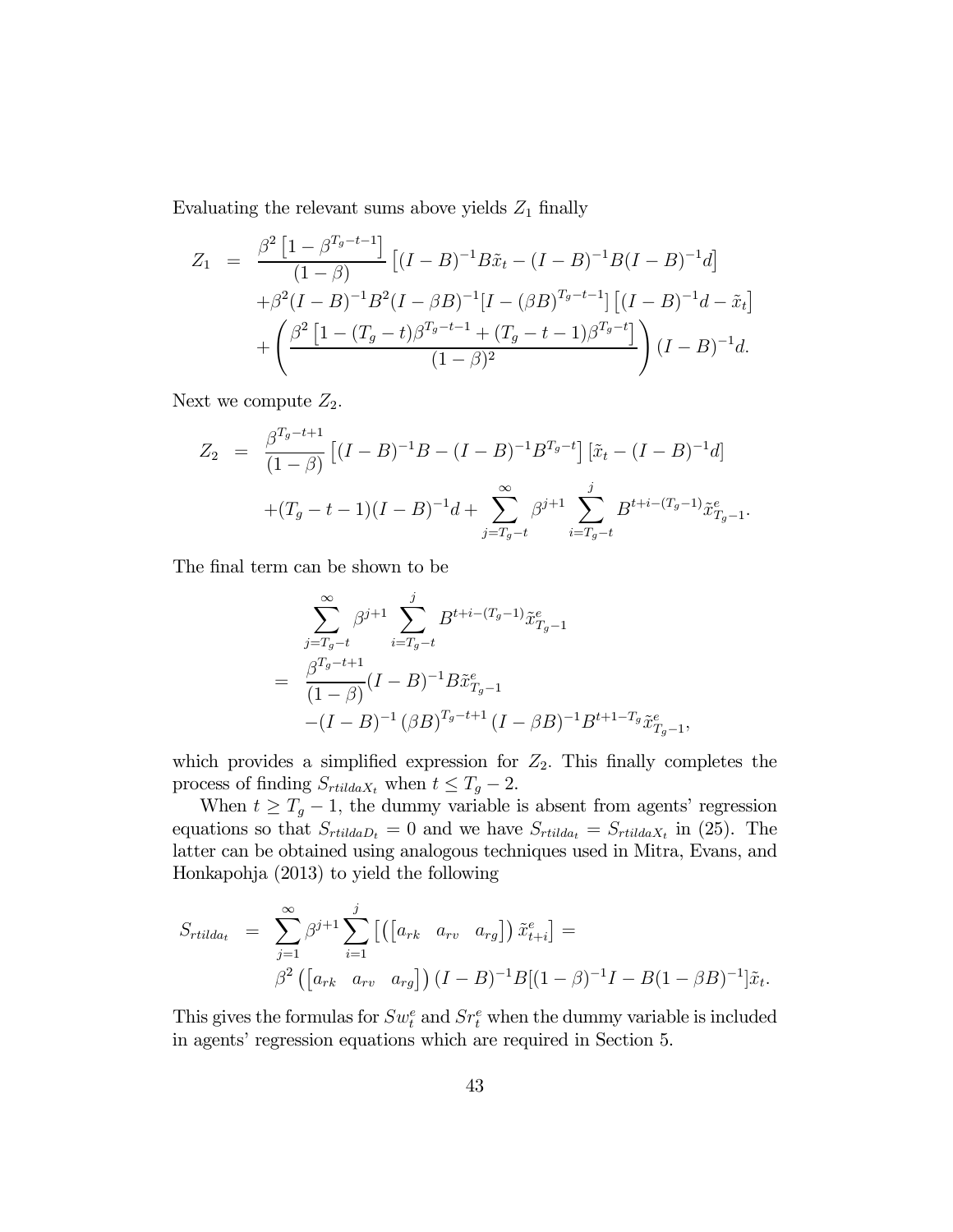Evaluating the relevant sums above yields  $Z_1$  finally

$$
Z_1 = \frac{\beta^2 \left[ 1 - \beta^{T_g - t - 1} \right]}{(1 - \beta)} \left[ (I - B)^{-1} B \tilde{x}_t - (I - B)^{-1} B (I - B)^{-1} d \right] + \beta^2 (I - B)^{-1} B^2 (I - \beta B)^{-1} [I - (\beta B)^{T_g - t - 1}] \left[ (I - B)^{-1} d - \tilde{x}_t \right] + \left( \frac{\beta^2 \left[ 1 - (T_g - t) \beta^{T_g - t - 1} + (T_g - t - 1) \beta^{T_g - t} \right]}{(1 - \beta)^2} \right) (I - B)^{-1} d.
$$

Next we compute  $Z_2$ .

$$
Z_2 = \frac{\beta^{T_g - t + 1}}{(1 - \beta)} \left[ (I - B)^{-1} B - (I - B)^{-1} B^{T_g - t} \right] \left[ \tilde{x}_t - (I - B)^{-1} d \right] + (T_g - t - 1)(I - B)^{-1} d + \sum_{j = T_g - t}^{\infty} \beta^{j+1} \sum_{i = T_g - t}^{j} B^{t+i - (T_g - 1)} \tilde{x}_{T_g - 1}^e.
$$

The final term can be shown to be

$$
\sum_{j=T_g-t}^{\infty} \beta^{j+1} \sum_{i=T_g-t}^{j} B^{t+i-(T_g-1)} \tilde{x}_{T_g-1}^e
$$
\n
$$
= \frac{\beta^{T_g-t+1}}{(1-\beta)} (I-B)^{-1} B \tilde{x}_{T_g-1}^e
$$
\n
$$
-(I-B)^{-1} (\beta B)^{T_g-t+1} (I-\beta B)^{-1} B^{t+1-T_g} \tilde{x}_{T_g-1}^e,
$$

which provides a simplified expression for  $Z_2$ . This finally completes the process of finding  $S_{rtildaX_t}$  when  $t \leq T_g - 2$ .

When  $t \geq T_g - 1$ , the dummy variable is absent from agents' regression equations so that  $S_{rtildaD_t} = 0$  and we have  $S_{rtilda_t} = S_{rtildaX_t}$  in (25). The latter can be obtained using analogous techniques used in Mitra, Evans, and Honkapohja (2013) to yield the following

$$
S_{\text{trilda}} = \sum_{j=1}^{\infty} \beta^{j+1} \sum_{i=1}^{j} \left[ \left( \begin{bmatrix} a_{rk} & a_{rv} & a_{rg} \end{bmatrix} \right) \tilde{x}_{t+i}^{e} \right] =
$$
  

$$
\beta^{2} \left( \begin{bmatrix} a_{rk} & a_{rv} & a_{rg} \end{bmatrix} \right) (I - B)^{-1} B [(1 - \beta)^{-1} I - B (1 - \beta B)^{-1}] \tilde{x}_{t}.
$$

This gives the formulas for  $Sw_t^e$  and  $Sr_t^e$  when the dummy variable is included in agents' regression equations which are required in Section 5.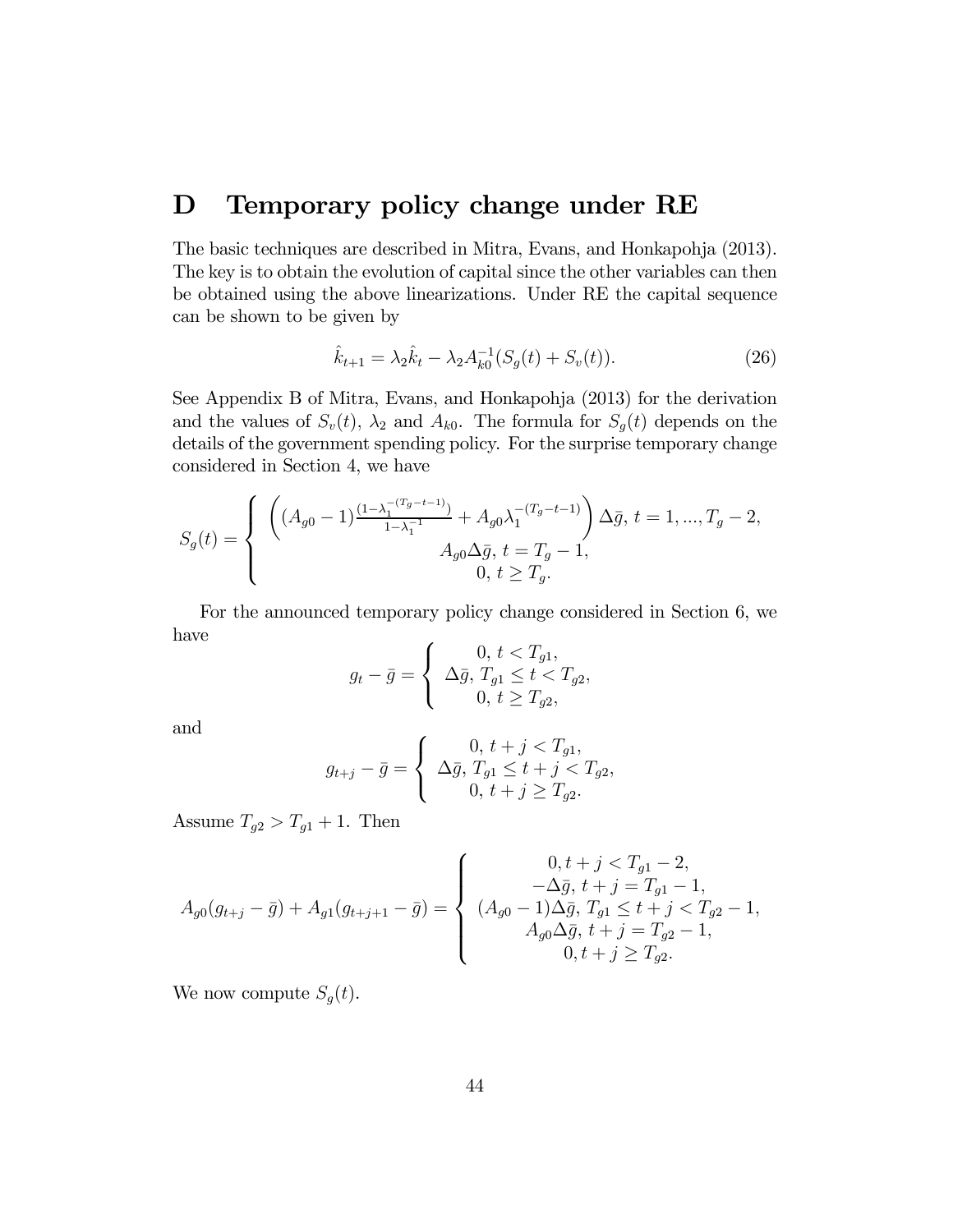### D Temporary policy change under RE

The basic techniques are described in Mitra, Evans, and Honkapohja (2013). The key is to obtain the evolution of capital since the other variables can then be obtained using the above linearizations. Under RE the capital sequence can be shown to be given by

$$
\hat{k}_{t+1} = \lambda_2 \hat{k}_t - \lambda_2 A_{k0}^{-1} (S_g(t) + S_v(t)).
$$
\n(26)

See Appendix B of Mitra, Evans, and Honkapohja (2013) for the derivation and the values of  $S_v(t)$ ,  $\lambda_2$  and  $A_{k0}$ . The formula for  $S_g(t)$  depends on the details of the government spending policy. For the surprise temporary change considered in Section 4, we have

$$
S_g(t) = \begin{cases} \left( (A_{g0} - 1) \frac{(1 - \lambda_1^{-(T_g - t - 1)})}{1 - \lambda_1^{-1}} + A_{g0} \lambda_1^{-(T_g - t - 1)} \right) \Delta \bar{g}, \ t = 1, ..., T_g - 2, \\ A_{g0} \Delta \bar{g}, \ t = T_g - 1, \\ 0, \ t \ge T_g. \end{cases}
$$

For the announced temporary policy change considered in Section 6, we have

$$
g_t - \bar{g} = \begin{cases} 0, t < T_{g1}, \\ \Delta \bar{g}, T_{g1} \le t < T_{g2}, \\ 0, t \ge T_{g2}, \end{cases}
$$

and

$$
g_{t+j} - \bar{g} = \begin{cases} 0, t+j < T_{g1}, \\ \Delta \bar{g}, T_{g1} \le t+j < T_{g2}, \\ 0, t+j \ge T_{g2}. \end{cases}
$$

Assume  $T_{g2} > T_{g1} + 1$ . Then

$$
A_{g0}(g_{t+j}-\bar{g})+A_{g1}(g_{t+j+1}-\bar{g})=\left\{\begin{array}{c}0,t+j
$$

We now compute  $S_g(t)$ .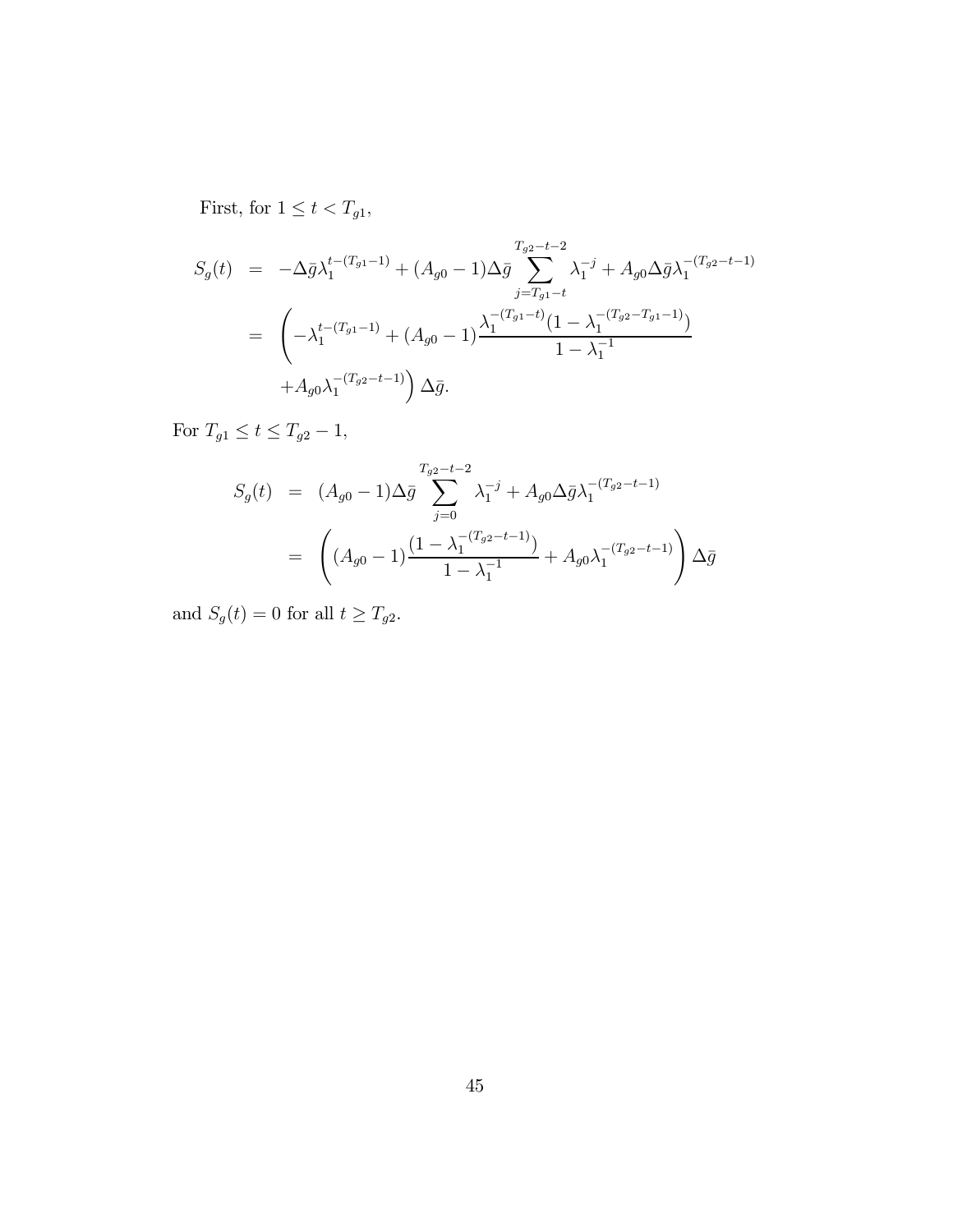First, for  $1 \le t < T_{g1}$ ,

$$
S_g(t) = -\Delta \bar{g} \lambda_1^{t-(T_{g1}-1)} + (A_{g0}-1) \Delta \bar{g} \sum_{j=T_{g1}-t}^{T_{g2}-t-2} \lambda_1^{-j} + A_{g0} \Delta \bar{g} \lambda_1^{-(T_{g2}-t-1)}
$$
  
= 
$$
\left(-\lambda_1^{t-(T_{g1}-1)} + (A_{g0}-1) \frac{\lambda_1^{-(T_{g1}-t)}(1-\lambda_1^{-(T_{g2}-T_{g1}-1)})}{1-\lambda_1^{-1}} + A_{g0} \lambda_1^{-(T_{g2}-t-1)}\right) \Delta \bar{g}.
$$

For  $T_{g1} \le t \le T_{g2} - 1$ ,

$$
S_g(t) = (A_{g0} - 1)\Delta \bar{g} \sum_{j=0}^{T_{g2}-t-2} \lambda_1^{-j} + A_{g0} \Delta \bar{g} \lambda_1^{-(T_{g2}-t-1)}
$$
  
= 
$$
\left( (A_{g0} - 1) \frac{(1 - \lambda_1^{-(T_{g2}-t-1)})}{1 - \lambda_1^{-1}} + A_{g0} \lambda_1^{-(T_{g2}-t-1)} \right) \Delta \bar{g}
$$

and  $S_g(t)=0$  for all  $t \ge T_{g2}$ .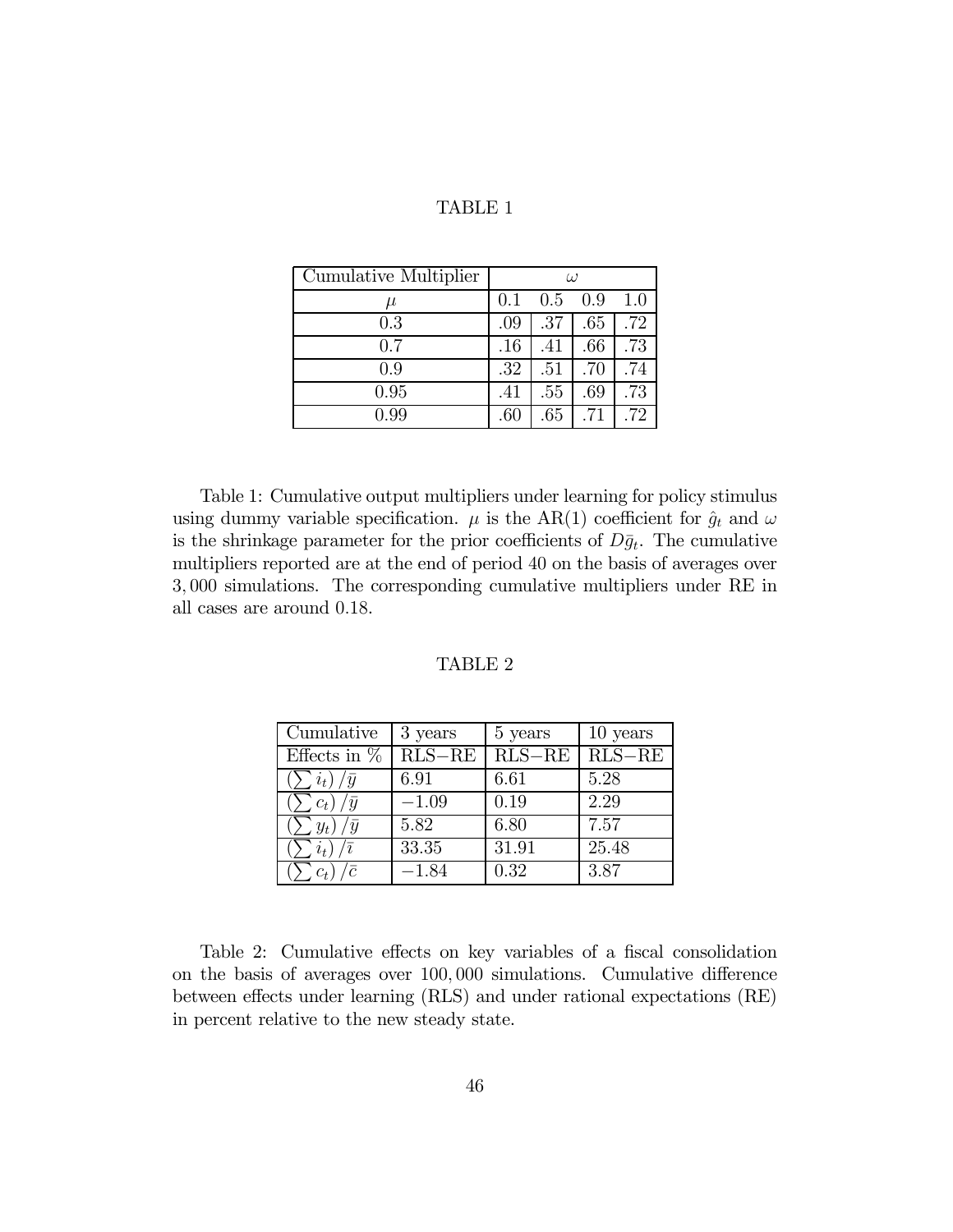| 'ABLE<br>n. |  |
|-------------|--|
|-------------|--|

| Cumulative Multiplier | $\omega$ |                 |     |     |
|-----------------------|----------|-----------------|-----|-----|
| $\mu$                 | 0.1      | $0.5 \quad 0.9$ |     | 1.0 |
| 0.3                   | .09      | .37             | .65 | .72 |
| 0.7                   | .16      | .41             | .66 | .73 |
| 0.9                   | .32      | .51             | .70 | .74 |
| 0.95                  | .41      | .55             | .69 | .73 |
| 0.99                  | $.60\,$  | .65             | .71 | 72  |

Table 1: Cumulative output multipliers under learning for policy stimulus using dummy variable specification.  $\mu$  is the AR(1) coefficient for  $\hat{g}_t$  and  $\omega$ is the shrinkage parameter for the prior coefficients of  $D\bar{g}_t$ . The cumulative multipliers reported are at the end of period 40 on the basis of averages over 3 000 simulations. The corresponding cumulative multipliers under RE in all cases are around  $0.18$ .

#### TABLE 2

| Cumulative                      | 3 years  | 5 years    | 10 years   |
|---------------------------------|----------|------------|------------|
| Effects in $%$                  | $RLS-RE$ | $RLS - RE$ | $RLS - RE$ |
| $\left(\sum i_t\right)/\bar{y}$ | 6.91     | 6.61       | 5.28       |
| $\sum c_t$ ) / $\bar{y}$        | $-1.09$  | 0.19       | 2.29       |
| $\left(\sum y_t\right)/\bar{y}$ | 5.82     | 6.80       | 7.57       |
| $\sum i_t$ ) / $\bar{i}$        | 33.35    | 31.91      | 25.48      |
| $\sum_{i} c_t$ ) / $\bar{c}$    | $-1.84$  | 0.32       | 3.87       |

Table 2: Cumulative effects on key variables of a fiscal consolidation on the basis of averages over 100,000 simulations. Cumulative difference between effects under learning (RLS) and under rational expectations (RE) in percent relative to the new steady state.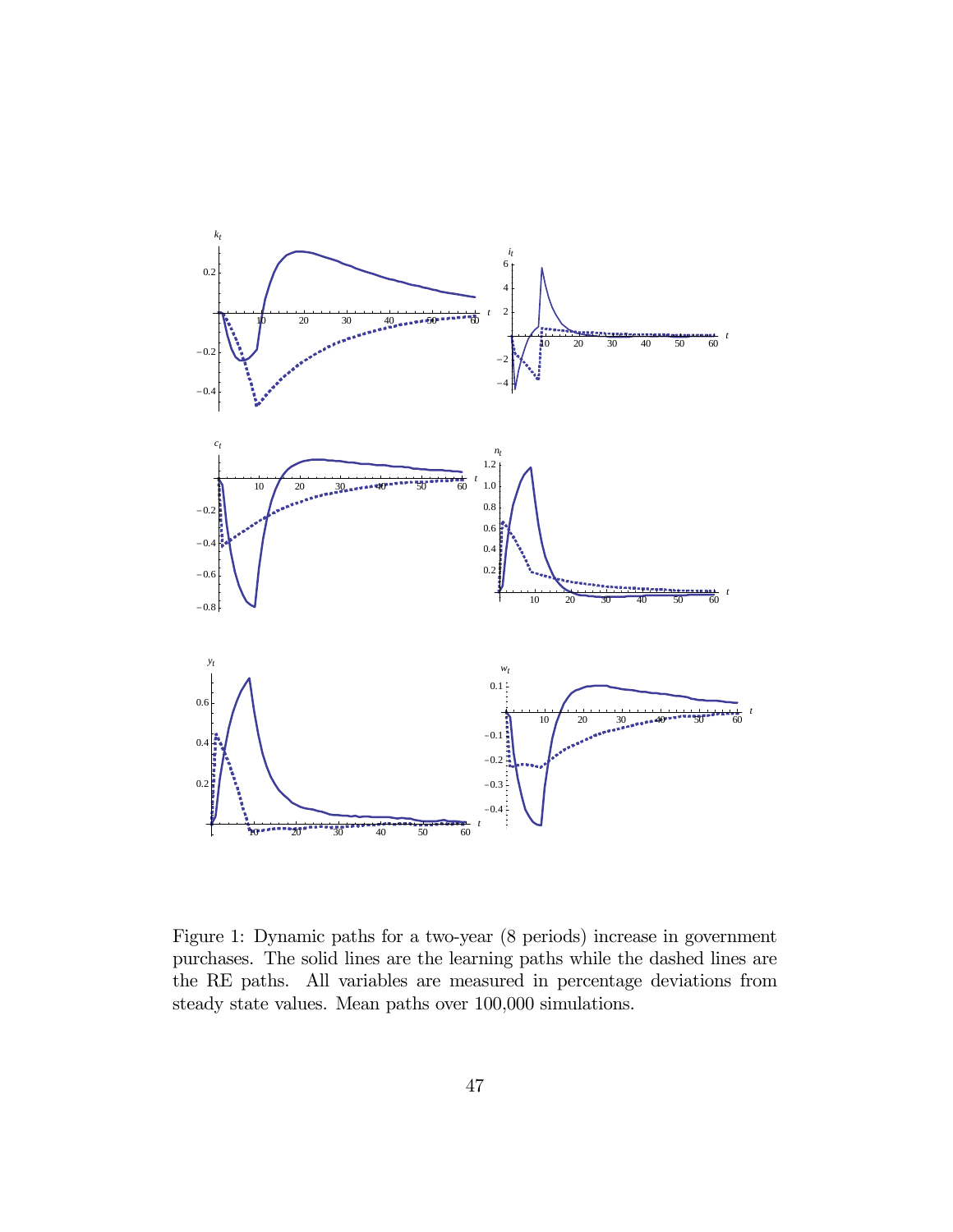

Figure 1: Dynamic paths for a two-year (8 periods) increase in government purchases. The solid lines are the learning paths while the dashed lines are the RE paths. All variables are measured in percentage deviations from steady state values. Mean paths over 100,000 simulations.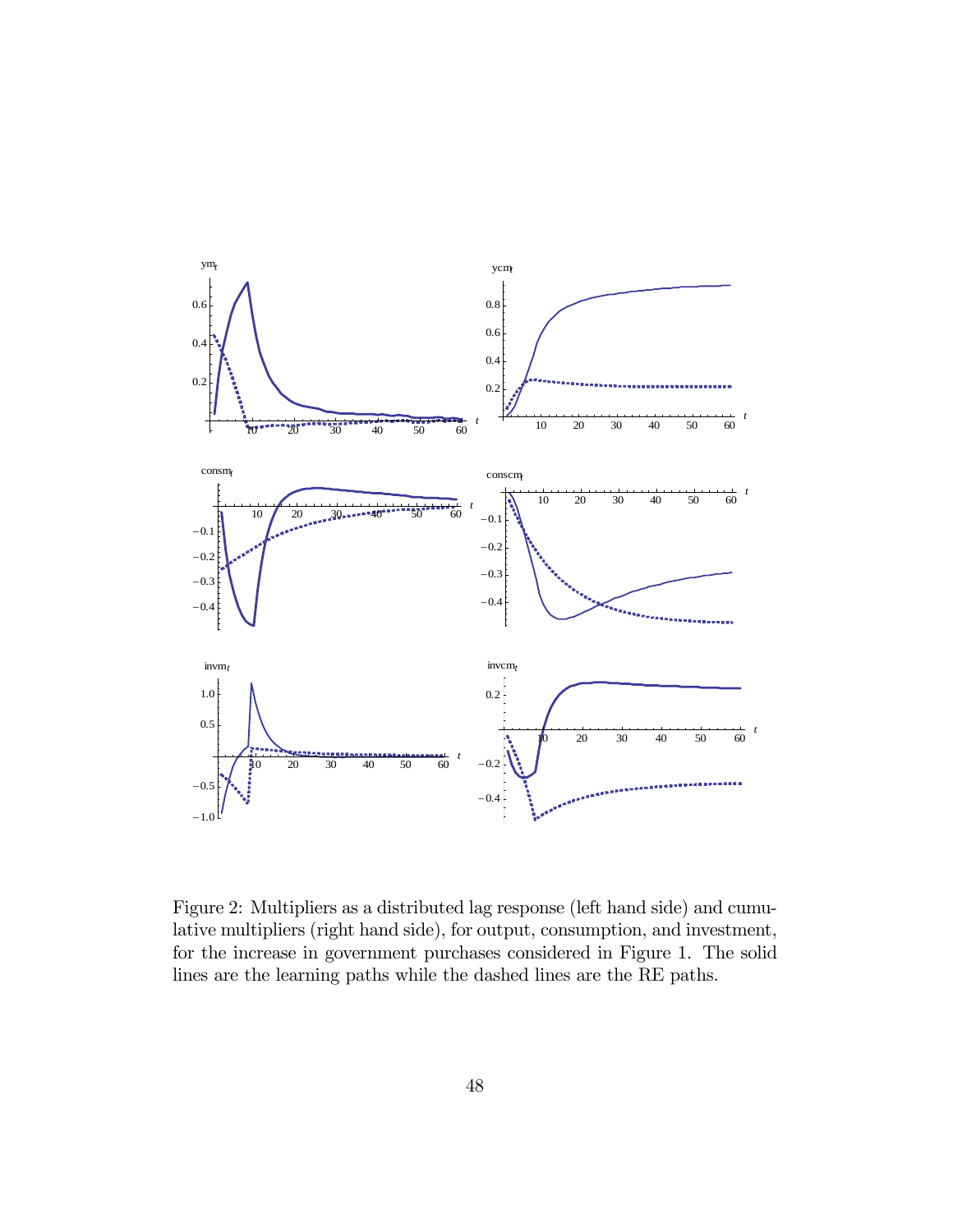

Figure 2: Multipliers as a distributed lag response (left hand side) and cumulative multipliers (right hand side), for output, consumption, and investment, for the increase in government purchases considered in Figure 1. The solid lines are the learning paths while the dashed lines are the RE paths.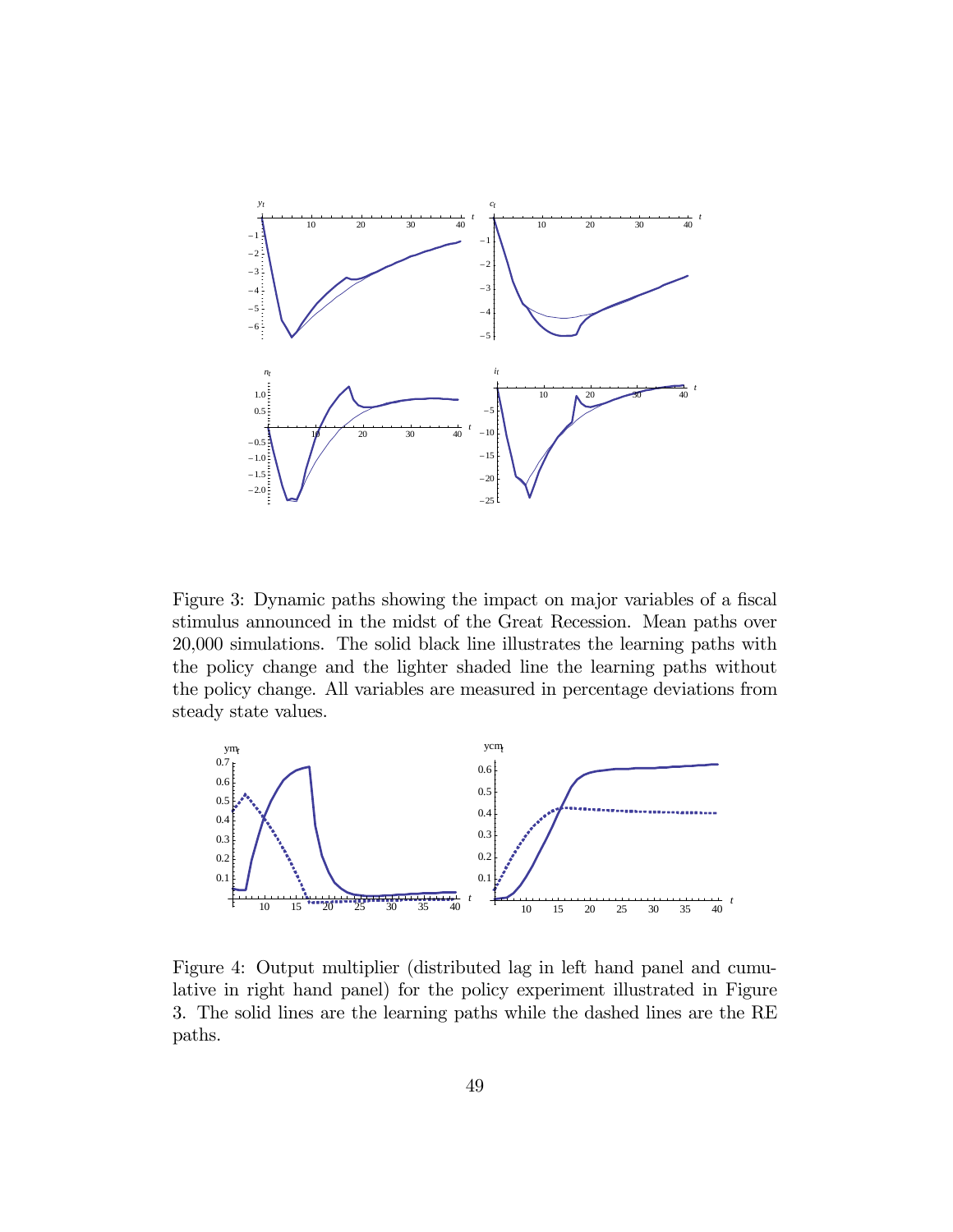

Figure 3: Dynamic paths showing the impact on major variables of a fiscal stimulus announced in the midst of the Great Recession. Mean paths over 20,000 simulations. The solid black line illustrates the learning paths with the policy change and the lighter shaded line the learning paths without the policy change. All variables are measured in percentage deviations from steady state values.



Figure 4: Output multiplier (distributed lag in left hand panel and cumulative in right hand panel) for the policy experiment illustrated in Figure 3. The solid lines are the learning paths while the dashed lines are the RE paths.